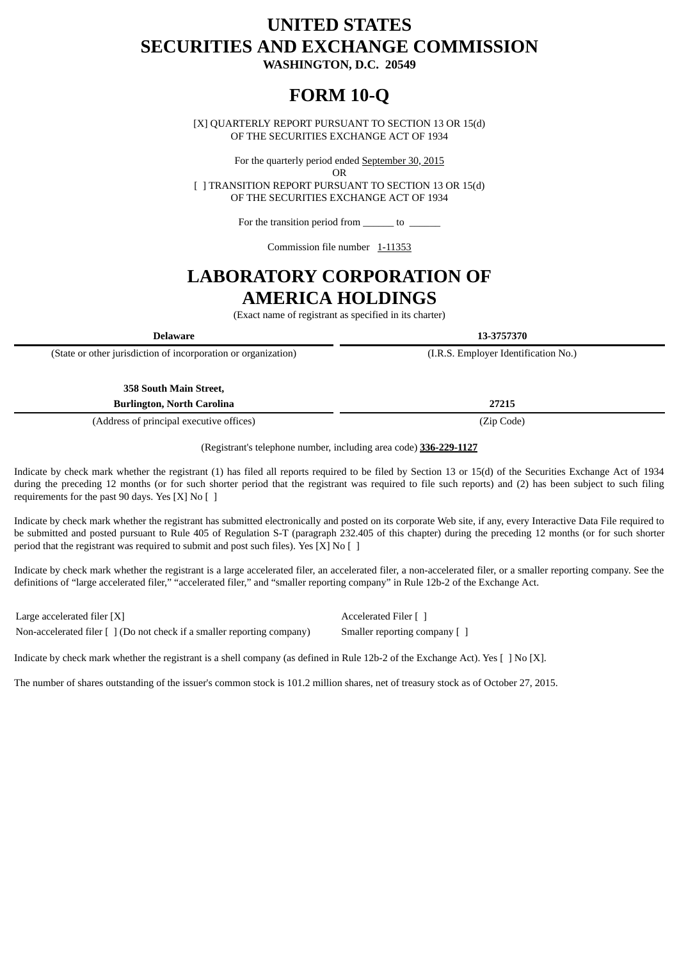# **UNITED STATES SECURITIES AND EXCHANGE COMMISSION**

**WASHINGTON, D.C. 20549**

# **FORM 10-Q**

[X] QUARTERLY REPORT PURSUANT TO SECTION 13 OR 15(d) OF THE SECURITIES EXCHANGE ACT OF 1934

For the quarterly period ended September 30, 2015

OR

[ ] TRANSITION REPORT PURSUANT TO SECTION 13 OR 15(d) OF THE SECURITIES EXCHANGE ACT OF 1934

For the transition period from \_\_\_\_\_\_\_ to \_

Commission file number 1-11353

## **LABORATORY CORPORATION OF AMERICA HOLDINGS**

(Exact name of registrant as specified in its charter)

**Delaware 13-3757370**

(State or other jurisdiction of incorporation or organization) (I.R.S. Employer Identification No.)

**358 South Main Street,**

**Burlington, North Carolina 27215**

(Address of principal executive offices) (Zip Code)

(Registrant's telephone number, including area code) **336-229-1127**

Indicate by check mark whether the registrant (1) has filed all reports required to be filed by Section 13 or 15(d) of the Securities Exchange Act of 1934 during the preceding 12 months (or for such shorter period that the registrant was required to file such reports) and (2) has been subject to such filing requirements for the past 90 days. Yes  $[X]$  No  $[ \ ]$ 

Indicate by check mark whether the registrant has submitted electronically and posted on its corporate Web site, if any, every Interactive Data File required to be submitted and posted pursuant to Rule 405 of Regulation S-T (paragraph 232.405 of this chapter) during the preceding 12 months (or for such shorter period that the registrant was required to submit and post such files). Yes [X] No [ ]

Indicate by check mark whether the registrant is a large accelerated filer, an accelerated filer, a non-accelerated filer, or a smaller reporting company. See the definitions of "large accelerated filer," "accelerated filer," and "smaller reporting company" in Rule 12b-2 of the Exchange Act.

Large accelerated filer [X] and the contract of the contract of the Accelerated Filer [ ] Non-accelerated filer [ ] (Do not check if a smaller reporting company) Smaller reporting company [ ]

Indicate by check mark whether the registrant is a shell company (as defined in Rule 12b-2 of the Exchange Act). Yes [ ] No [X].

<span id="page-0-0"></span>The number of shares outstanding of the issuer's common stock is 101.2 million shares, net of treasury stock as of October 27, 2015.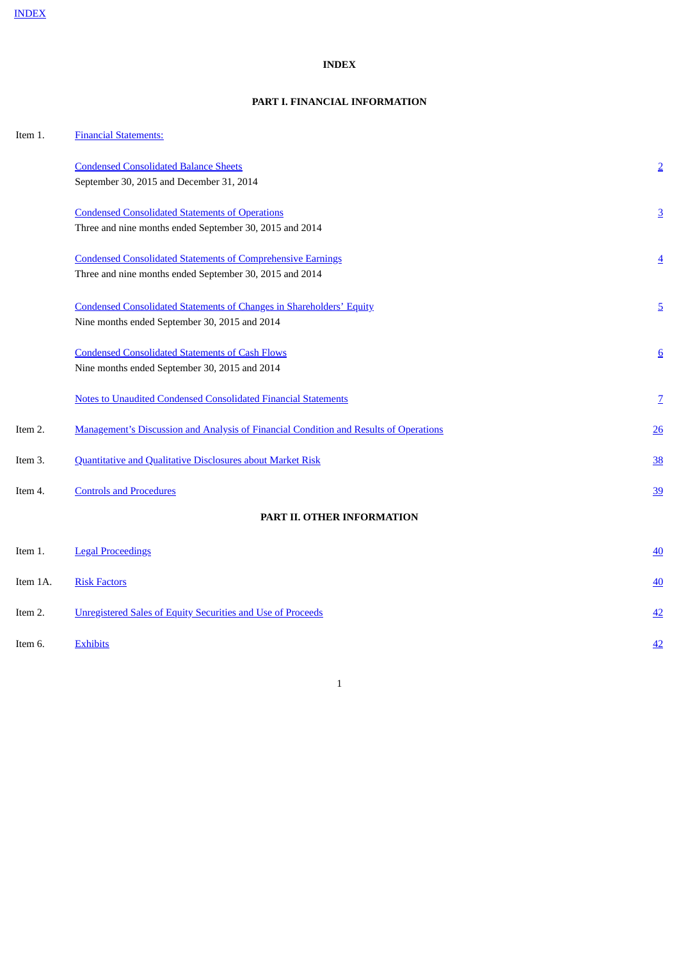## **INDEX**

## **PART I. FINANCIAL INFORMATION**

<span id="page-1-0"></span>

| Item 1.  | <b>Financial Statements:</b>                                                          |                 |
|----------|---------------------------------------------------------------------------------------|-----------------|
|          | <b>Condensed Consolidated Balance Sheets</b>                                          | $\overline{2}$  |
|          | September 30, 2015 and December 31, 2014                                              |                 |
|          | <b>Condensed Consolidated Statements of Operations</b>                                | $\overline{3}$  |
|          | Three and nine months ended September 30, 2015 and 2014                               |                 |
|          | <b>Condensed Consolidated Statements of Comprehensive Earnings</b>                    | $\overline{4}$  |
|          | Three and nine months ended September 30, 2015 and 2014                               |                 |
|          | <b>Condensed Consolidated Statements of Changes in Shareholders' Equity</b>           | $\overline{5}$  |
|          | Nine months ended September 30, 2015 and 2014                                         |                 |
|          | <b>Condensed Consolidated Statements of Cash Flows</b>                                | $6\overline{6}$ |
|          | Nine months ended September 30, 2015 and 2014                                         |                 |
|          | <b>Notes to Unaudited Condensed Consolidated Financial Statements</b>                 | $\overline{Z}$  |
| Item 2.  | Management's Discussion and Analysis of Financial Condition and Results of Operations | 26              |
| Item 3.  | <b>Quantitative and Qualitative Disclosures about Market Risk</b>                     | 38              |
| Item 4.  | <b>Controls and Procedures</b>                                                        | 39              |
|          | PART II. OTHER INFORMATION                                                            |                 |
| Item 1.  | <b>Legal Proceedings</b>                                                              | <u>40</u>       |
| Item 1A. | <b>Risk Factors</b>                                                                   | 40              |
| Item 2.  | <b>Unregistered Sales of Equity Securities and Use of Proceeds</b>                    | 42              |
| Item 6.  | <b>Exhibits</b>                                                                       | 42              |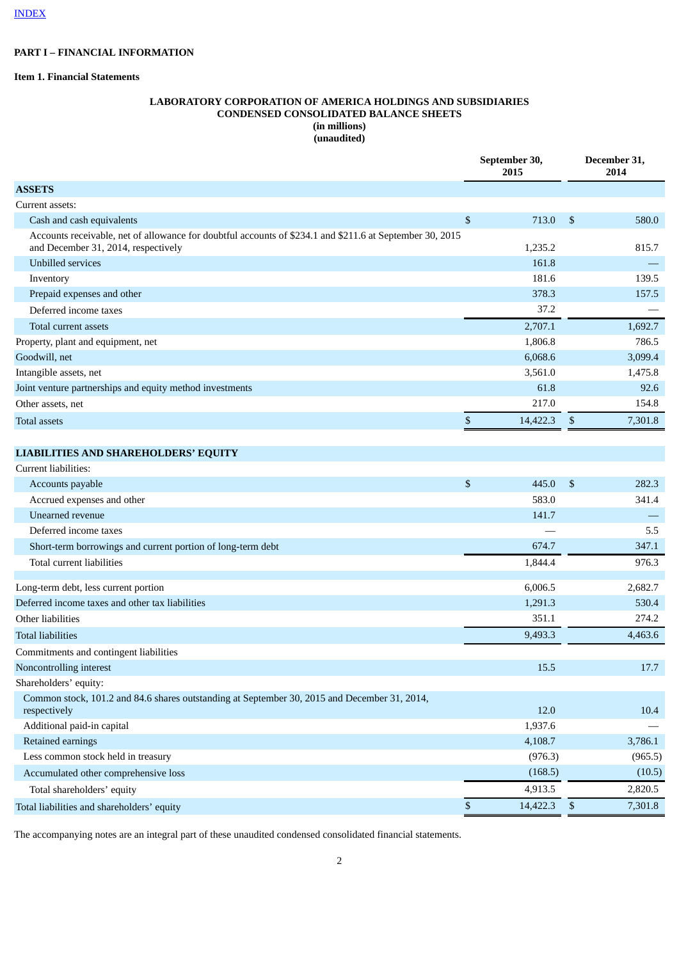## **PART I – FINANCIAL INFORMATION**

## <span id="page-2-0"></span>**Item 1. Financial Statements**

## **LABORATORY CORPORATION OF AMERICA HOLDINGS AND SUBSIDIARIES CONDENSED CONSOLIDATED BALANCE SHEETS (in millions) (unaudited)**

|                                                                                                                                                 |                           | September 30,<br>2015 | December 31,<br>2014 |  |  |  |
|-------------------------------------------------------------------------------------------------------------------------------------------------|---------------------------|-----------------------|----------------------|--|--|--|
| <b>ASSETS</b>                                                                                                                                   |                           |                       |                      |  |  |  |
| Current assets:                                                                                                                                 |                           |                       |                      |  |  |  |
| Cash and cash equivalents                                                                                                                       | $\boldsymbol{\mathsf{S}}$ | 713.0                 | \$<br>580.0          |  |  |  |
| Accounts receivable, net of allowance for doubtful accounts of \$234.1 and \$211.6 at September 30, 2015<br>and December 31, 2014, respectively |                           | 1,235.2               | 815.7                |  |  |  |
| Unbilled services                                                                                                                               |                           | 161.8                 |                      |  |  |  |
| Inventory                                                                                                                                       |                           | 181.6                 | 139.5                |  |  |  |
| Prepaid expenses and other                                                                                                                      |                           | 378.3                 | 157.5                |  |  |  |
| Deferred income taxes                                                                                                                           |                           | 37.2                  |                      |  |  |  |
| Total current assets                                                                                                                            |                           | 2,707.1               | 1,692.7              |  |  |  |
| Property, plant and equipment, net                                                                                                              |                           | 1,806.8               | 786.5                |  |  |  |
| Goodwill, net                                                                                                                                   |                           | 6,068.6               | 3,099.4              |  |  |  |
| Intangible assets, net                                                                                                                          |                           | 3,561.0               | 1,475.8              |  |  |  |
| Joint venture partnerships and equity method investments                                                                                        |                           | 61.8                  | 92.6                 |  |  |  |
| Other assets, net                                                                                                                               |                           | 217.0                 | 154.8                |  |  |  |
| <b>Total assets</b>                                                                                                                             | $\mathbb{S}$              | 14,422.3              | \$<br>7,301.8        |  |  |  |
|                                                                                                                                                 |                           |                       |                      |  |  |  |
| <b>LIABILITIES AND SHAREHOLDERS' EQUITY</b>                                                                                                     |                           |                       |                      |  |  |  |
| Current liabilities:                                                                                                                            |                           |                       |                      |  |  |  |
| Accounts payable                                                                                                                                | \$                        | 445.0                 | \$<br>282.3          |  |  |  |
| Accrued expenses and other                                                                                                                      |                           | 583.0                 | 341.4                |  |  |  |
| Unearned revenue                                                                                                                                |                           | 141.7                 |                      |  |  |  |
| Deferred income taxes                                                                                                                           |                           |                       | 5.5                  |  |  |  |
| Short-term borrowings and current portion of long-term debt                                                                                     |                           | 674.7                 | 347.1                |  |  |  |
| Total current liabilities                                                                                                                       |                           | 1,844.4               | 976.3                |  |  |  |
| Long-term debt, less current portion                                                                                                            |                           | 6,006.5               | 2,682.7              |  |  |  |
| Deferred income taxes and other tax liabilities                                                                                                 |                           | 1,291.3               | 530.4                |  |  |  |
| Other liabilities                                                                                                                               |                           | 351.1                 | 274.2                |  |  |  |
| <b>Total liabilities</b>                                                                                                                        |                           | 9,493.3               | 4,463.6              |  |  |  |
| Commitments and contingent liabilities                                                                                                          |                           |                       |                      |  |  |  |
| Noncontrolling interest                                                                                                                         |                           | 15.5                  | 17.7                 |  |  |  |
| Shareholders' equity:                                                                                                                           |                           |                       |                      |  |  |  |
| Common stock, 101.2 and 84.6 shares outstanding at September 30, 2015 and December 31, 2014,                                                    |                           |                       |                      |  |  |  |
| respectively                                                                                                                                    |                           | 12.0                  | 10.4                 |  |  |  |
| Additional paid-in capital                                                                                                                      |                           | 1,937.6               |                      |  |  |  |
| Retained earnings                                                                                                                               |                           | 4,108.7               | 3,786.1              |  |  |  |
| Less common stock held in treasury                                                                                                              |                           | (976.3)               | (965.5)              |  |  |  |
| Accumulated other comprehensive loss                                                                                                            |                           | (168.5)               | (10.5)               |  |  |  |
| Total shareholders' equity                                                                                                                      |                           | 4,913.5               | 2,820.5              |  |  |  |
| Total liabilities and shareholders' equity                                                                                                      | $\mathbb{S}$              | 14,422.3              | \$<br>7,301.8        |  |  |  |

<span id="page-2-1"></span>The accompanying notes are an integral part of these unaudited condensed consolidated financial statements.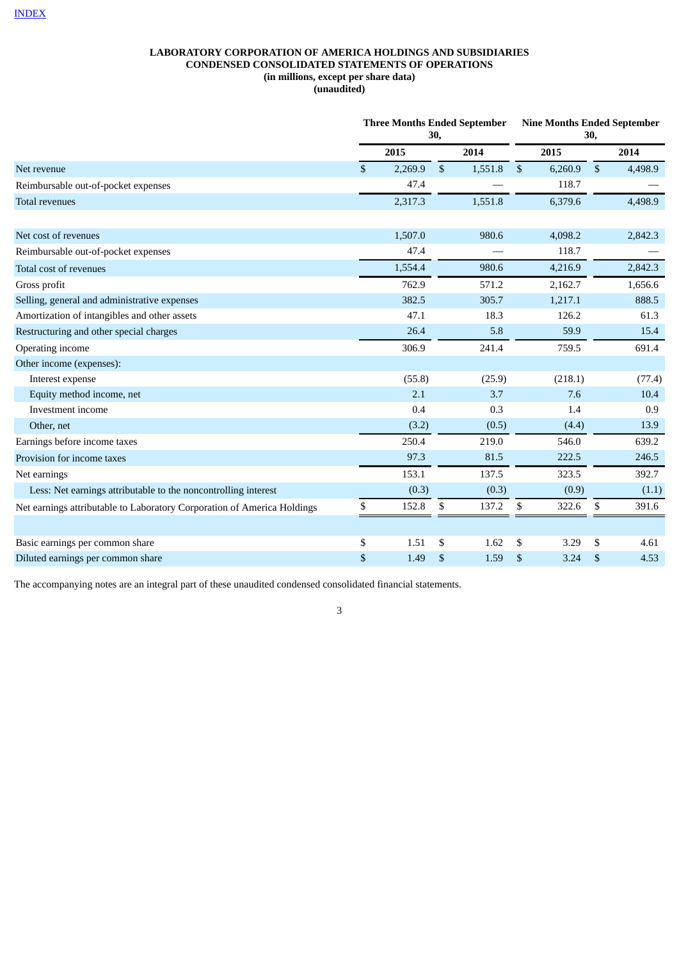## **LABORATORY CORPORATION OF AMERICA HOLDINGS AND SUBSIDIARIES CONDENSED CONSOLIDATED STATEMENTS OF OPERATIONS (in millions, except per share data) (unaudited)**

|                                                                         |              | <b>Three Months Ended September</b> | 30,            |         |                | <b>Nine Months Ended September</b><br>30, |    |         |  |  |  |
|-------------------------------------------------------------------------|--------------|-------------------------------------|----------------|---------|----------------|-------------------------------------------|----|---------|--|--|--|
|                                                                         |              | 2015                                |                | 2014    |                | 2015                                      |    | 2014    |  |  |  |
| Net revenue                                                             | $\mathbb{S}$ | 2,269.9                             | $\mathfrak{S}$ | 1,551.8 | $\mathfrak{S}$ | 6,260.9                                   | \$ | 4,498.9 |  |  |  |
| Reimbursable out-of-pocket expenses                                     |              | 47.4                                |                |         |                | 118.7                                     |    |         |  |  |  |
| <b>Total revenues</b>                                                   |              | 2,317.3                             |                | 1,551.8 |                | 6,379.6                                   |    | 4,498.9 |  |  |  |
| Net cost of revenues                                                    |              | 1,507.0                             |                | 980.6   |                | 4,098.2                                   |    | 2,842.3 |  |  |  |
| Reimbursable out-of-pocket expenses                                     |              | 47.4                                |                |         |                | 118.7                                     |    |         |  |  |  |
| Total cost of revenues                                                  |              | 1,554.4                             |                | 980.6   |                | 4,216.9                                   |    | 2,842.3 |  |  |  |
| Gross profit                                                            |              | 762.9                               |                | 571.2   |                | 2,162.7                                   |    | 1,656.6 |  |  |  |
| Selling, general and administrative expenses                            |              | 382.5                               |                | 305.7   |                | 1,217.1                                   |    | 888.5   |  |  |  |
| Amortization of intangibles and other assets                            |              | 47.1                                |                | 18.3    |                | 126.2                                     |    | 61.3    |  |  |  |
| Restructuring and other special charges                                 |              | 26.4                                |                | 5.8     |                | 59.9                                      |    | 15.4    |  |  |  |
| Operating income                                                        |              | 306.9                               |                | 241.4   |                | 759.5                                     |    | 691.4   |  |  |  |
| Other income (expenses):                                                |              |                                     |                |         |                |                                           |    |         |  |  |  |
| Interest expense                                                        |              | (55.8)                              |                | (25.9)  |                | (218.1)                                   |    | (77.4)  |  |  |  |
| Equity method income, net                                               |              | 2.1                                 |                | 3.7     |                | 7.6                                       |    | 10.4    |  |  |  |
| Investment income                                                       |              | 0.4                                 |                | 0.3     |                | 1.4                                       |    | 0.9     |  |  |  |
| Other, net                                                              |              | (3.2)                               |                | (0.5)   |                | (4.4)                                     |    | 13.9    |  |  |  |
| Earnings before income taxes                                            |              | 250.4                               |                | 219.0   |                | 546.0                                     |    | 639.2   |  |  |  |
| Provision for income taxes                                              |              | 97.3                                |                | 81.5    |                | 222.5                                     |    | 246.5   |  |  |  |
| Net earnings                                                            |              | 153.1                               |                | 137.5   |                | 323.5                                     |    | 392.7   |  |  |  |
| Less: Net earnings attributable to the noncontrolling interest          |              | (0.3)                               |                | (0.3)   |                | (0.9)                                     |    | (1.1)   |  |  |  |
| Net earnings attributable to Laboratory Corporation of America Holdings | \$           | 152.8                               | \$             | 137.2   | \$             | 322.6                                     | \$ | 391.6   |  |  |  |
|                                                                         |              |                                     |                |         |                |                                           |    |         |  |  |  |
| Basic earnings per common share                                         | \$           | 1.51                                | \$             | 1.62    | \$             | 3.29                                      | \$ | 4.61    |  |  |  |
| Diluted earnings per common share                                       | \$           | 1.49                                | \$             | 1.59    | \$             | 3.24                                      | \$ | 4.53    |  |  |  |

<span id="page-3-0"></span>The accompanying notes are an integral part of these unaudited condensed consolidated financial statements.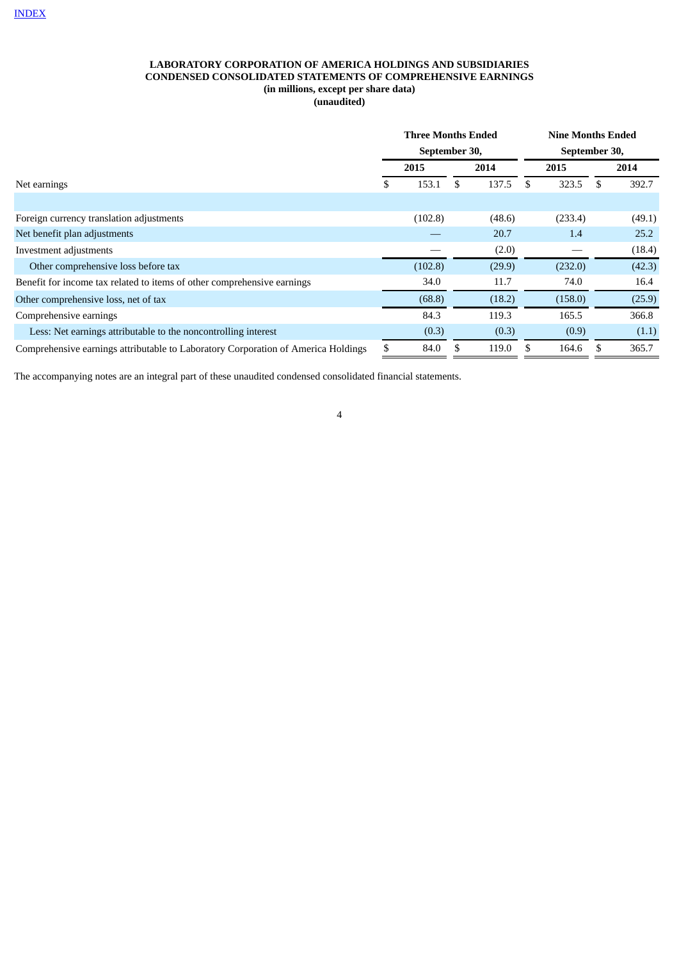## **LABORATORY CORPORATION OF AMERICA HOLDINGS AND SUBSIDIARIES CONDENSED CONSOLIDATED STATEMENTS OF COMPREHENSIVE EARNINGS (in millions, except per share data) (unaudited)**

|                                                                                   | <b>Three Months Ended</b><br>September 30, |         |     |        |   | <b>Nine Months Ended</b><br>September 30, |     |        |
|-----------------------------------------------------------------------------------|--------------------------------------------|---------|-----|--------|---|-------------------------------------------|-----|--------|
|                                                                                   |                                            | 2015    |     | 2014   |   | 2015                                      |     | 2014   |
| Net earnings                                                                      | S                                          | 153.1   | \$. | 137.5  | S | 323.5                                     | \$. | 392.7  |
|                                                                                   |                                            |         |     |        |   |                                           |     |        |
| Foreign currency translation adjustments                                          |                                            | (102.8) |     | (48.6) |   | (233.4)                                   |     | (49.1) |
| Net benefit plan adjustments                                                      |                                            |         |     | 20.7   |   | 1.4                                       |     | 25.2   |
| Investment adjustments                                                            |                                            |         |     | (2.0)  |   |                                           |     | (18.4) |
| Other comprehensive loss before tax                                               |                                            | (102.8) |     | (29.9) |   | (232.0)                                   |     | (42.3) |
| Benefit for income tax related to items of other comprehensive earnings           |                                            | 34.0    |     | 11.7   |   | 74.0                                      |     | 16.4   |
| Other comprehensive loss, net of tax                                              |                                            | (68.8)  |     | (18.2) |   | (158.0)                                   |     | (25.9) |
| Comprehensive earnings                                                            |                                            | 84.3    |     | 119.3  |   | 165.5                                     |     | 366.8  |
| Less: Net earnings attributable to the noncontrolling interest                    |                                            | (0.3)   |     | (0.3)  |   | (0.9)                                     |     | (1.1)  |
| Comprehensive earnings attributable to Laboratory Corporation of America Holdings |                                            | 84.0    | \$. | 119.0  | S | 164.6                                     |     | 365.7  |

<span id="page-4-0"></span>The accompanying notes are an integral part of these unaudited condensed consolidated financial statements.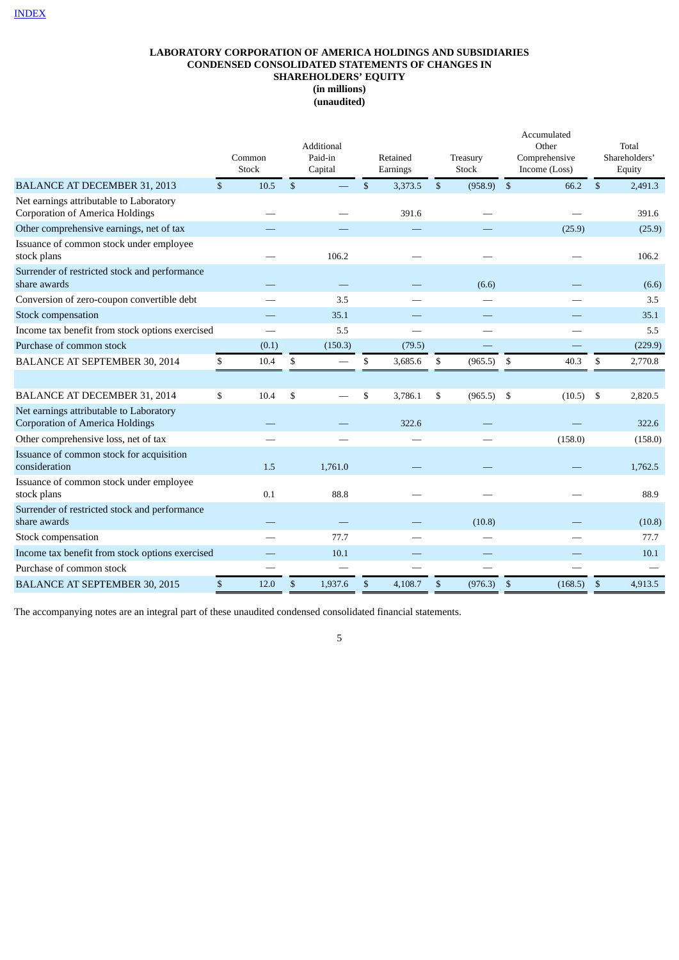## **LABORATORY CORPORATION OF AMERICA HOLDINGS AND SUBSIDIARIES CONDENSED CONSOLIDATED STATEMENTS OF CHANGES IN SHAREHOLDERS' EQUITY (in millions) (unaudited)**

|                                                                                   |              | Common<br><b>Stock</b> |              | Additional<br>Paid-in<br>Capital |              | Retained<br>Earnings |                | Treasury<br>Stock | Accumulated<br>Other<br>Comprehensive<br>Income (Loss) |    | Total<br>Shareholders'<br>Equity |
|-----------------------------------------------------------------------------------|--------------|------------------------|--------------|----------------------------------|--------------|----------------------|----------------|-------------------|--------------------------------------------------------|----|----------------------------------|
| <b>BALANCE AT DECEMBER 31, 2013</b>                                               | $\mathbb{S}$ | 10.5                   | $\mathbb{S}$ |                                  | $\mathbb{S}$ | 3,373.5              | $\mathfrak{S}$ | $(958.9)$ \$      | 66.2                                                   | \$ | 2,491.3                          |
| Net earnings attributable to Laboratory<br>Corporation of America Holdings        |              |                        |              |                                  |              | 391.6                |                |                   |                                                        |    | 391.6                            |
| Other comprehensive earnings, net of tax                                          |              |                        |              |                                  |              |                      |                |                   | (25.9)                                                 |    | (25.9)                           |
| Issuance of common stock under employee<br>stock plans                            |              |                        |              | 106.2                            |              |                      |                |                   |                                                        |    | 106.2                            |
| Surrender of restricted stock and performance<br>share awards                     |              |                        |              |                                  |              |                      |                | (6.6)             |                                                        |    | (6.6)                            |
| Conversion of zero-coupon convertible debt                                        |              |                        |              | 3.5                              |              |                      |                |                   |                                                        |    | 3.5                              |
| <b>Stock compensation</b>                                                         |              |                        |              | 35.1                             |              |                      |                |                   |                                                        |    | 35.1                             |
| Income tax benefit from stock options exercised                                   |              |                        |              | 5.5                              |              |                      |                |                   |                                                        |    | 5.5                              |
| Purchase of common stock                                                          |              | (0.1)                  |              | (150.3)                          |              | (79.5)               |                |                   |                                                        |    | (229.9)                          |
| BALANCE AT SEPTEMBER 30, 2014                                                     | \$           | 10.4                   | \$           |                                  | \$           | 3,685.6              | \$             | (965.5)           | \$<br>40.3                                             | \$ | 2,770.8                          |
|                                                                                   |              |                        |              |                                  |              |                      |                |                   |                                                        |    |                                  |
| BALANCE AT DECEMBER 31, 2014                                                      | \$           | 10.4                   | \$           |                                  | \$           | 3,786.1              | \$             | (965.5)           | \$<br>(10.5)                                           | \$ | 2,820.5                          |
| Net earnings attributable to Laboratory<br><b>Corporation of America Holdings</b> |              |                        |              |                                  |              | 322.6                |                |                   |                                                        |    | 322.6                            |
| Other comprehensive loss, net of tax                                              |              |                        |              |                                  |              |                      |                |                   | (158.0)                                                |    | (158.0)                          |
| Issuance of common stock for acquisition<br>consideration                         |              | 1.5                    |              | 1,761.0                          |              |                      |                |                   |                                                        |    | 1,762.5                          |
| Issuance of common stock under employee<br>stock plans                            |              | 0.1                    |              | 88.8                             |              |                      |                |                   |                                                        |    | 88.9                             |
| Surrender of restricted stock and performance<br>share awards                     |              |                        |              |                                  |              |                      |                | (10.8)            |                                                        |    | (10.8)                           |
| Stock compensation                                                                |              |                        |              | 77.7                             |              |                      |                |                   |                                                        |    | 77.7                             |
| Income tax benefit from stock options exercised                                   |              |                        |              | 10.1                             |              |                      |                |                   |                                                        |    | 10.1                             |
| Purchase of common stock                                                          |              |                        |              |                                  |              |                      |                |                   |                                                        |    |                                  |
| <b>BALANCE AT SEPTEMBER 30, 2015</b>                                              | \$           | 12.0                   | \$           | 1,937.6                          | \$           | 4,108.7              | \$             | (976.3)           | \$<br>(168.5)                                          | \$ | 4,913.5                          |

<span id="page-5-0"></span>The accompanying notes are an integral part of these unaudited condensed consolidated financial statements.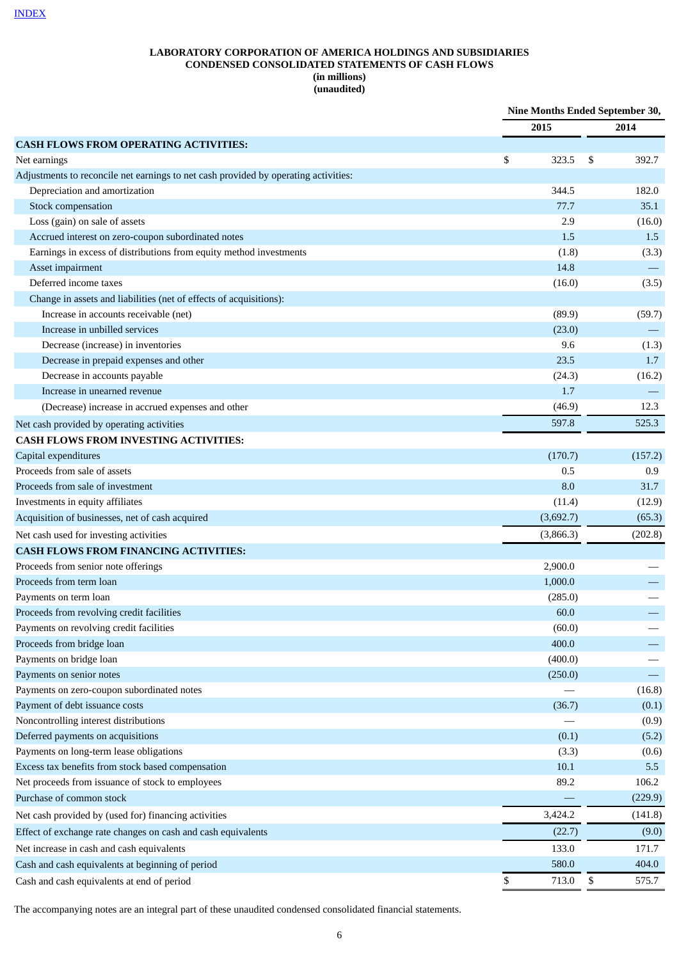## **LABORATORY CORPORATION OF AMERICA HOLDINGS AND SUBSIDIARIES CONDENSED CONSOLIDATED STATEMENTS OF CASH FLOWS (in millions) (unaudited)**

|                                                                                     |             | Nine Months Ended September 30, |
|-------------------------------------------------------------------------------------|-------------|---------------------------------|
|                                                                                     | 2015        | 2014                            |
| <b>CASH FLOWS FROM OPERATING ACTIVITIES:</b>                                        |             |                                 |
| Net earnings                                                                        | \$<br>323.5 | \$<br>392.7                     |
| Adjustments to reconcile net earnings to net cash provided by operating activities: |             |                                 |
| Depreciation and amortization                                                       | 344.5       | 182.0                           |
| Stock compensation                                                                  | 77.7        | 35.1                            |
| Loss (gain) on sale of assets                                                       | 2.9         | (16.0)                          |
| Accrued interest on zero-coupon subordinated notes                                  | 1.5         | 1.5                             |
| Earnings in excess of distributions from equity method investments                  | (1.8)       | (3.3)                           |
| Asset impairment                                                                    | 14.8        |                                 |
| Deferred income taxes                                                               | (16.0)      | (3.5)                           |
| Change in assets and liabilities (net of effects of acquisitions):                  |             |                                 |
| Increase in accounts receivable (net)                                               | (89.9)      | (59.7)                          |
| Increase in unbilled services                                                       | (23.0)      |                                 |
| Decrease (increase) in inventories                                                  | 9.6         | (1.3)                           |
| Decrease in prepaid expenses and other                                              | 23.5        | 1.7                             |
| Decrease in accounts payable                                                        | (24.3)      | (16.2)                          |
| Increase in unearned revenue                                                        | 1.7         |                                 |
| (Decrease) increase in accrued expenses and other                                   | (46.9)      | 12.3                            |
| Net cash provided by operating activities                                           | 597.8       | 525.3                           |
| <b>CASH FLOWS FROM INVESTING ACTIVITIES:</b>                                        |             |                                 |
| Capital expenditures                                                                | (170.7)     | (157.2)                         |
| Proceeds from sale of assets                                                        | 0.5         | 0.9                             |
| Proceeds from sale of investment                                                    | 8.0         | 31.7                            |
| Investments in equity affiliates                                                    | (11.4)      | (12.9)                          |
| Acquisition of businesses, net of cash acquired                                     | (3,692.7)   | (65.3)                          |
| Net cash used for investing activities                                              | (3,866.3)   | (202.8)                         |
| <b>CASH FLOWS FROM FINANCING ACTIVITIES:</b>                                        |             |                                 |
| Proceeds from senior note offerings                                                 | 2,900.0     |                                 |
| Proceeds from term loan                                                             | 1,000.0     |                                 |
| Payments on term loan                                                               | (285.0)     |                                 |
| Proceeds from revolving credit facilities                                           | 60.0        |                                 |
| Payments on revolving credit facilities                                             | (60.0)      |                                 |
| Proceeds from bridge loan                                                           | 400.0       |                                 |
| Payments on bridge loan                                                             | (400.0)     |                                 |
| Payments on senior notes                                                            | (250.0)     |                                 |
| Payments on zero-coupon subordinated notes                                          |             | (16.8)                          |
| Payment of debt issuance costs                                                      | (36.7)      | (0.1)                           |
| Noncontrolling interest distributions                                               |             | (0.9)                           |
| Deferred payments on acquisitions                                                   | (0.1)       | (5.2)                           |
| Payments on long-term lease obligations                                             | (3.3)       | (0.6)                           |
| Excess tax benefits from stock based compensation                                   | 10.1        | 5.5                             |
| Net proceeds from issuance of stock to employees                                    | 89.2        | 106.2                           |
| Purchase of common stock                                                            |             | (229.9)                         |
|                                                                                     | 3,424.2     |                                 |
| Net cash provided by (used for) financing activities                                |             | (141.8)                         |
| Effect of exchange rate changes on cash and cash equivalents                        | (22.7)      | (9.0)                           |
| Net increase in cash and cash equivalents                                           | 133.0       | 171.7                           |
| Cash and cash equivalents at beginning of period                                    | 580.0       | 404.0                           |
| Cash and cash equivalents at end of period                                          | \$<br>713.0 | \$<br>575.7                     |

The accompanying notes are an integral part of these unaudited condensed consolidated financial statements.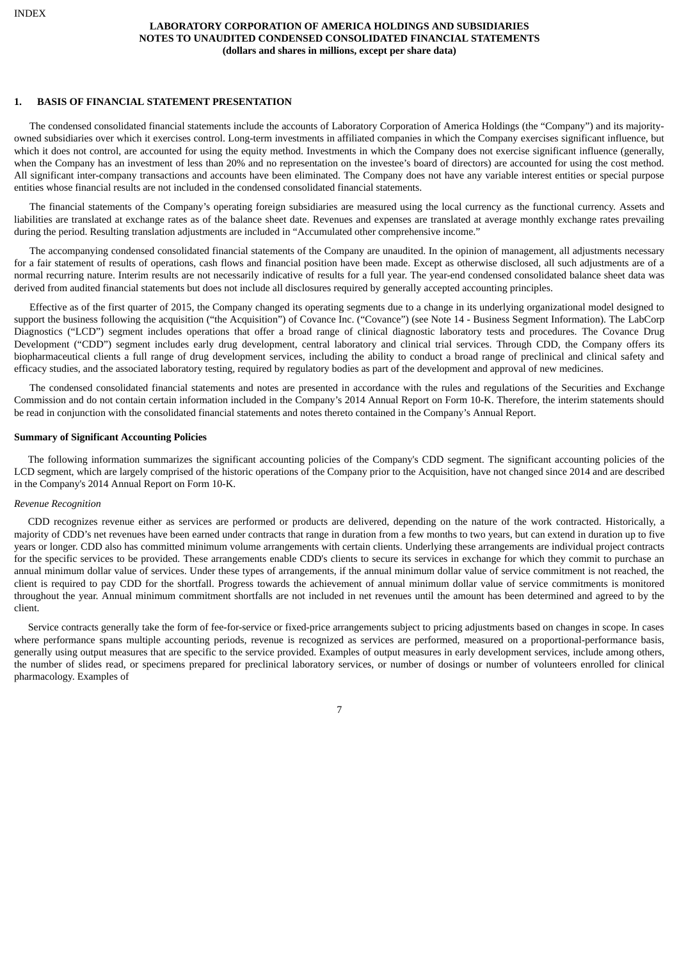#### <span id="page-7-0"></span>**1. BASIS OF FINANCIAL STATEMENT PRESENTATION**

The condensed consolidated financial statements include the accounts of Laboratory Corporation of America Holdings (the "Company") and its majorityowned subsidiaries over which it exercises control. Long-term investments in affiliated companies in which the Company exercises significant influence, but which it does not control, are accounted for using the equity method. Investments in which the Company does not exercise significant influence (generally, when the Company has an investment of less than 20% and no representation on the investee's board of directors) are accounted for using the cost method. All significant inter-company transactions and accounts have been eliminated. The Company does not have any variable interest entities or special purpose entities whose financial results are not included in the condensed consolidated financial statements.

The financial statements of the Company's operating foreign subsidiaries are measured using the local currency as the functional currency. Assets and liabilities are translated at exchange rates as of the balance sheet date. Revenues and expenses are translated at average monthly exchange rates prevailing during the period. Resulting translation adjustments are included in "Accumulated other comprehensive income."

The accompanying condensed consolidated financial statements of the Company are unaudited. In the opinion of management, all adjustments necessary for a fair statement of results of operations, cash flows and financial position have been made. Except as otherwise disclosed, all such adjustments are of a normal recurring nature. Interim results are not necessarily indicative of results for a full year. The year-end condensed consolidated balance sheet data was derived from audited financial statements but does not include all disclosures required by generally accepted accounting principles.

Effective as of the first quarter of 2015, the Company changed its operating segments due to a change in its underlying organizational model designed to support the business following the acquisition ("the Acquisition") of Covance Inc. ("Covance") (see Note 14 - Business Segment Information). The LabCorp Diagnostics ("LCD") segment includes operations that offer a broad range of clinical diagnostic laboratory tests and procedures. The Covance Drug Development ("CDD") segment includes early drug development, central laboratory and clinical trial services. Through CDD, the Company offers its biopharmaceutical clients a full range of drug development services, including the ability to conduct a broad range of preclinical and clinical safety and efficacy studies, and the associated laboratory testing, required by regulatory bodies as part of the development and approval of new medicines.

The condensed consolidated financial statements and notes are presented in accordance with the rules and regulations of the Securities and Exchange Commission and do not contain certain information included in the Company's 2014 Annual Report on Form 10-K. Therefore, the interim statements should be read in conjunction with the consolidated financial statements and notes thereto contained in the Company's Annual Report.

## **Summary of Significant Accounting Policies**

The following information summarizes the significant accounting policies of the Company's CDD segment. The significant accounting policies of the LCD segment, which are largely comprised of the historic operations of the Company prior to the Acquisition, have not changed since 2014 and are described in the Company's 2014 Annual Report on Form 10-K.

## *Revenue Recognition*

CDD recognizes revenue either as services are performed or products are delivered, depending on the nature of the work contracted. Historically, a majority of CDD's net revenues have been earned under contracts that range in duration from a few months to two years, but can extend in duration up to five years or longer. CDD also has committed minimum volume arrangements with certain clients. Underlying these arrangements are individual project contracts for the specific services to be provided. These arrangements enable CDD's clients to secure its services in exchange for which they commit to purchase an annual minimum dollar value of services. Under these types of arrangements, if the annual minimum dollar value of service commitment is not reached, the client is required to pay CDD for the shortfall. Progress towards the achievement of annual minimum dollar value of service commitments is monitored throughout the year. Annual minimum commitment shortfalls are not included in net revenues until the amount has been determined and agreed to by the client.

Service contracts generally take the form of fee-for-service or fixed-price arrangements subject to pricing adjustments based on changes in scope. In cases where performance spans multiple accounting periods, revenue is recognized as services are performed, measured on a proportional-performance basis, generally using output measures that are specific to the service provided. Examples of output measures in early development services, include among others, the number of slides read, or specimens prepared for preclinical laboratory services, or number of dosings or number of volunteers enrolled for clinical pharmacology. Examples of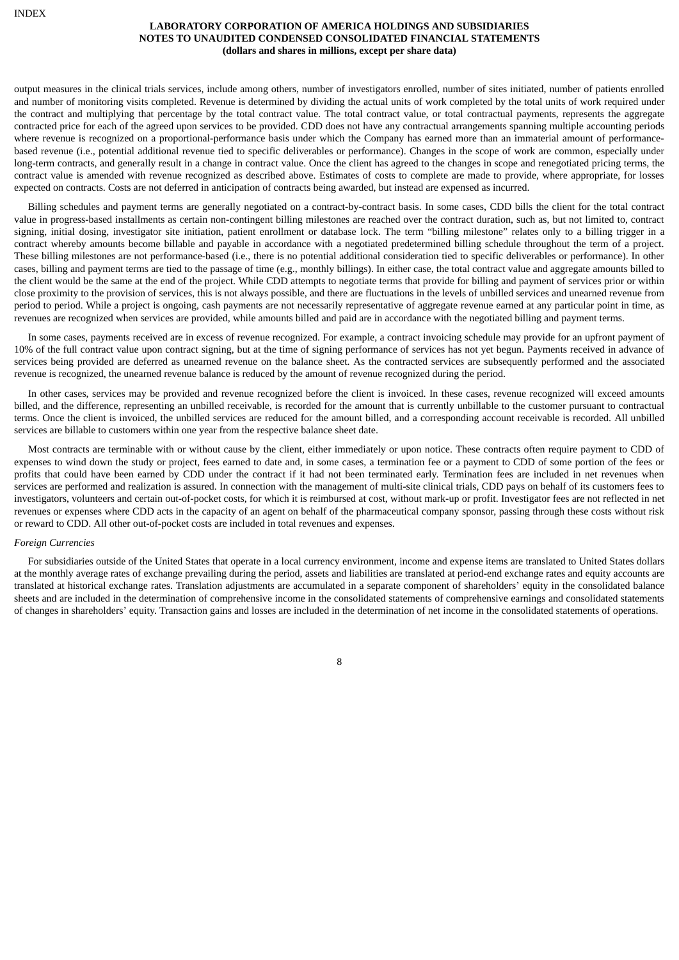output measures in the clinical trials services, include among others, number of investigators enrolled, number of sites initiated, number of patients enrolled and number of monitoring visits completed. Revenue is determined by dividing the actual units of work completed by the total units of work required under the contract and multiplying that percentage by the total contract value. The total contract value, or total contractual payments, represents the aggregate contracted price for each of the agreed upon services to be provided. CDD does not have any contractual arrangements spanning multiple accounting periods where revenue is recognized on a proportional-performance basis under which the Company has earned more than an immaterial amount of performancebased revenue (i.e., potential additional revenue tied to specific deliverables or performance). Changes in the scope of work are common, especially under long-term contracts, and generally result in a change in contract value. Once the client has agreed to the changes in scope and renegotiated pricing terms, the contract value is amended with revenue recognized as described above. Estimates of costs to complete are made to provide, where appropriate, for losses expected on contracts. Costs are not deferred in anticipation of contracts being awarded, but instead are expensed as incurred.

Billing schedules and payment terms are generally negotiated on a contract-by-contract basis. In some cases, CDD bills the client for the total contract value in progress-based installments as certain non-contingent billing milestones are reached over the contract duration, such as, but not limited to, contract signing, initial dosing, investigator site initiation, patient enrollment or database lock. The term "billing milestone" relates only to a billing trigger in a contract whereby amounts become billable and payable in accordance with a negotiated predetermined billing schedule throughout the term of a project. These billing milestones are not performance-based (i.e., there is no potential additional consideration tied to specific deliverables or performance). In other cases, billing and payment terms are tied to the passage of time (e.g., monthly billings). In either case, the total contract value and aggregate amounts billed to the client would be the same at the end of the project. While CDD attempts to negotiate terms that provide for billing and payment of services prior or within close proximity to the provision of services, this is not always possible, and there are fluctuations in the levels of unbilled services and unearned revenue from period to period. While a project is ongoing, cash payments are not necessarily representative of aggregate revenue earned at any particular point in time, as revenues are recognized when services are provided, while amounts billed and paid are in accordance with the negotiated billing and payment terms.

In some cases, payments received are in excess of revenue recognized. For example, a contract invoicing schedule may provide for an upfront payment of 10% of the full contract value upon contract signing, but at the time of signing performance of services has not yet begun. Payments received in advance of services being provided are deferred as unearned revenue on the balance sheet. As the contracted services are subsequently performed and the associated revenue is recognized, the unearned revenue balance is reduced by the amount of revenue recognized during the period.

In other cases, services may be provided and revenue recognized before the client is invoiced. In these cases, revenue recognized will exceed amounts billed, and the difference, representing an unbilled receivable, is recorded for the amount that is currently unbillable to the customer pursuant to contractual terms. Once the client is invoiced, the unbilled services are reduced for the amount billed, and a corresponding account receivable is recorded. All unbilled services are billable to customers within one year from the respective balance sheet date.

Most contracts are terminable with or without cause by the client, either immediately or upon notice. These contracts often require payment to CDD of expenses to wind down the study or project, fees earned to date and, in some cases, a termination fee or a payment to CDD of some portion of the fees or profits that could have been earned by CDD under the contract if it had not been terminated early. Termination fees are included in net revenues when services are performed and realization is assured. In connection with the management of multi-site clinical trials, CDD pays on behalf of its customers fees to investigators, volunteers and certain out-of-pocket costs, for which it is reimbursed at cost, without mark-up or profit. Investigator fees are not reflected in net revenues or expenses where CDD acts in the capacity of an agent on behalf of the pharmaceutical company sponsor, passing through these costs without risk or reward to CDD. All other out-of-pocket costs are included in total revenues and expenses.

#### *Foreign Currencies*

For subsidiaries outside of the United States that operate in a local currency environment, income and expense items are translated to United States dollars at the monthly average rates of exchange prevailing during the period, assets and liabilities are translated at period-end exchange rates and equity accounts are translated at historical exchange rates. Translation adjustments are accumulated in a separate component of shareholders' equity in the consolidated balance sheets and are included in the determination of comprehensive income in the consolidated statements of comprehensive earnings and consolidated statements of changes in shareholders' equity. Transaction gains and losses are included in the determination of net income in the consolidated statements of operations.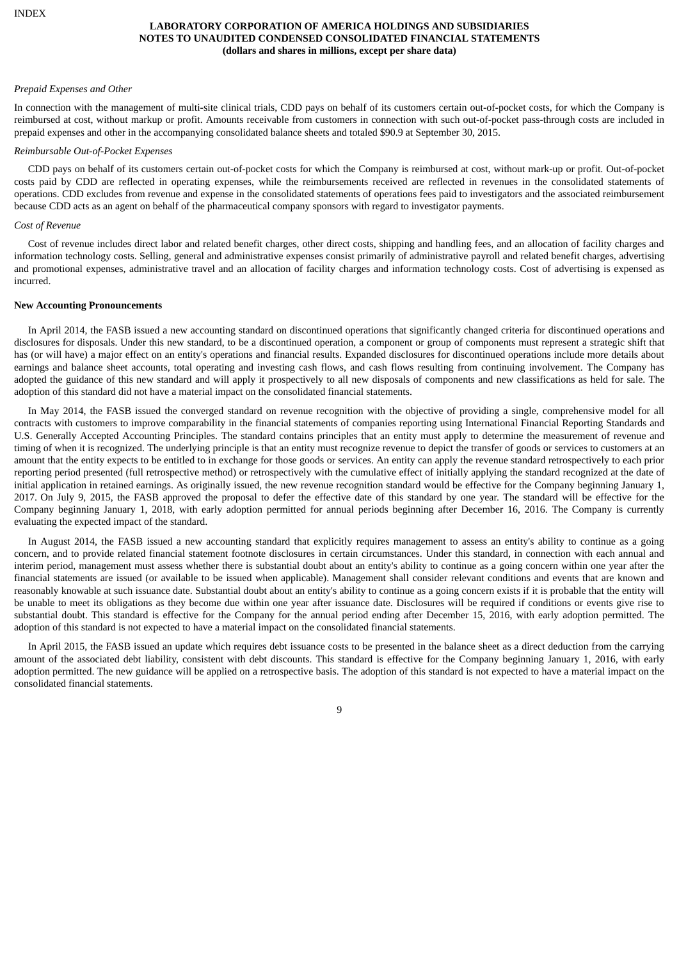#### *Prepaid Expenses and Other*

In connection with the management of multi-site clinical trials, CDD pays on behalf of its customers certain out-of-pocket costs, for which the Company is reimbursed at cost, without markup or profit. Amounts receivable from customers in connection with such out-of-pocket pass-through costs are included in prepaid expenses and other in the accompanying consolidated balance sheets and totaled \$90.9 at September 30, 2015.

#### *Reimbursable Out-of-Pocket Expenses*

CDD pays on behalf of its customers certain out-of-pocket costs for which the Company is reimbursed at cost, without mark-up or profit. Out-of-pocket costs paid by CDD are reflected in operating expenses, while the reimbursements received are reflected in revenues in the consolidated statements of operations. CDD excludes from revenue and expense in the consolidated statements of operations fees paid to investigators and the associated reimbursement because CDD acts as an agent on behalf of the pharmaceutical company sponsors with regard to investigator payments.

#### *Cost of Revenue*

Cost of revenue includes direct labor and related benefit charges, other direct costs, shipping and handling fees, and an allocation of facility charges and information technology costs. Selling, general and administrative expenses consist primarily of administrative payroll and related benefit charges, advertising and promotional expenses, administrative travel and an allocation of facility charges and information technology costs. Cost of advertising is expensed as incurred.

#### **New Accounting Pronouncements**

In April 2014, the FASB issued a new accounting standard on discontinued operations that significantly changed criteria for discontinued operations and disclosures for disposals. Under this new standard, to be a discontinued operation, a component or group of components must represent a strategic shift that has (or will have) a major effect on an entity's operations and financial results. Expanded disclosures for discontinued operations include more details about earnings and balance sheet accounts, total operating and investing cash flows, and cash flows resulting from continuing involvement. The Company has adopted the guidance of this new standard and will apply it prospectively to all new disposals of components and new classifications as held for sale. The adoption of this standard did not have a material impact on the consolidated financial statements.

In May 2014, the FASB issued the converged standard on revenue recognition with the objective of providing a single, comprehensive model for all contracts with customers to improve comparability in the financial statements of companies reporting using International Financial Reporting Standards and U.S. Generally Accepted Accounting Principles. The standard contains principles that an entity must apply to determine the measurement of revenue and timing of when it is recognized. The underlying principle is that an entity must recognize revenue to depict the transfer of goods or services to customers at an amount that the entity expects to be entitled to in exchange for those goods or services. An entity can apply the revenue standard retrospectively to each prior reporting period presented (full retrospective method) or retrospectively with the cumulative effect of initially applying the standard recognized at the date of initial application in retained earnings. As originally issued, the new revenue recognition standard would be effective for the Company beginning January 1, 2017. On July 9, 2015, the FASB approved the proposal to defer the effective date of this standard by one year. The standard will be effective for the Company beginning January 1, 2018, with early adoption permitted for annual periods beginning after December 16, 2016. The Company is currently evaluating the expected impact of the standard.

In August 2014, the FASB issued a new accounting standard that explicitly requires management to assess an entity's ability to continue as a going concern, and to provide related financial statement footnote disclosures in certain circumstances. Under this standard, in connection with each annual and interim period, management must assess whether there is substantial doubt about an entity's ability to continue as a going concern within one year after the financial statements are issued (or available to be issued when applicable). Management shall consider relevant conditions and events that are known and reasonably knowable at such issuance date. Substantial doubt about an entity's ability to continue as a going concern exists if it is probable that the entity will be unable to meet its obligations as they become due within one year after issuance date. Disclosures will be required if conditions or events give rise to substantial doubt. This standard is effective for the Company for the annual period ending after December 15, 2016, with early adoption permitted. The adoption of this standard is not expected to have a material impact on the consolidated financial statements.

In April 2015, the FASB issued an update which requires debt issuance costs to be presented in the balance sheet as a direct deduction from the carrying amount of the associated debt liability, consistent with debt discounts. This standard is effective for the Company beginning January 1, 2016, with early adoption permitted. The new guidance will be applied on a retrospective basis. The adoption of this standard is not expected to have a material impact on the consolidated financial statements.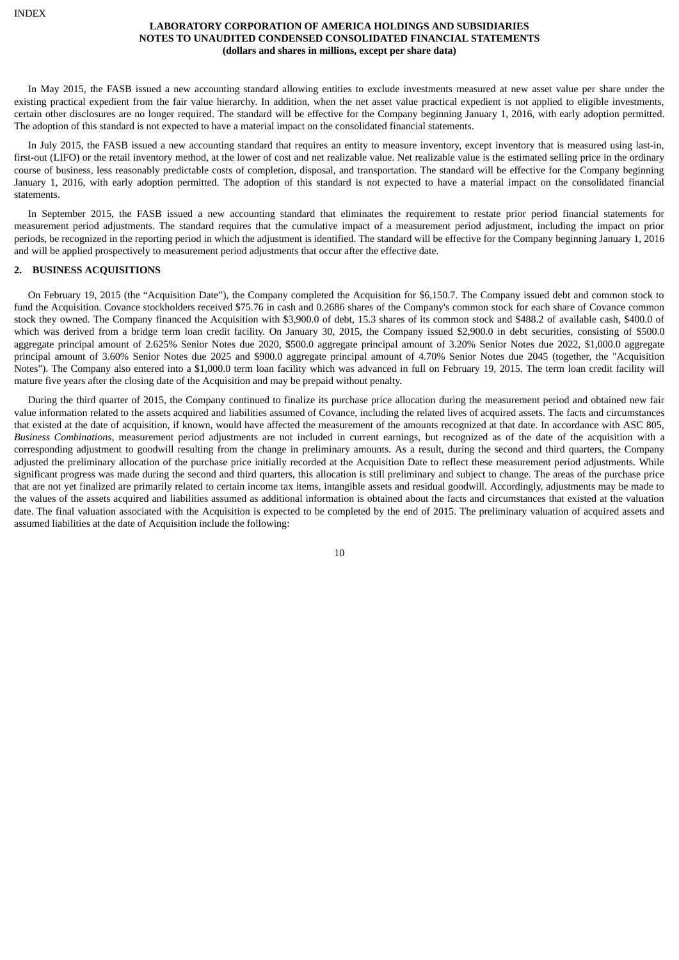In May 2015, the FASB issued a new accounting standard allowing entities to exclude investments measured at new asset value per share under the existing practical expedient from the fair value hierarchy. In addition, when the net asset value practical expedient is not applied to eligible investments, certain other disclosures are no longer required. The standard will be effective for the Company beginning January 1, 2016, with early adoption permitted. The adoption of this standard is not expected to have a material impact on the consolidated financial statements.

In July 2015, the FASB issued a new accounting standard that requires an entity to measure inventory, except inventory that is measured using last-in, first-out (LIFO) or the retail inventory method, at the lower of cost and net realizable value. Net realizable value is the estimated selling price in the ordinary course of business, less reasonably predictable costs of completion, disposal, and transportation. The standard will be effective for the Company beginning January 1, 2016, with early adoption permitted. The adoption of this standard is not expected to have a material impact on the consolidated financial statements.

In September 2015, the FASB issued a new accounting standard that eliminates the requirement to restate prior period financial statements for measurement period adjustments. The standard requires that the cumulative impact of a measurement period adjustment, including the impact on prior periods, be recognized in the reporting period in which the adjustment is identified. The standard will be effective for the Company beginning January 1, 2016 and will be applied prospectively to measurement period adjustments that occur after the effective date.

## **2. BUSINESS ACQUISITIONS**

On February 19, 2015 (the "Acquisition Date"), the Company completed the Acquisition for \$6,150.7. The Company issued debt and common stock to fund the Acquisition. Covance stockholders received \$75.76 in cash and 0.2686 shares of the Company's common stock for each share of Covance common stock they owned. The Company financed the Acquisition with \$3,900.0 of debt, 15.3 shares of its common stock and \$488.2 of available cash, \$400.0 of which was derived from a bridge term loan credit facility. On January 30, 2015, the Company issued \$2,900.0 in debt securities, consisting of \$500.0 aggregate principal amount of 2.625% Senior Notes due 2020, \$500.0 aggregate principal amount of 3.20% Senior Notes due 2022, \$1,000.0 aggregate principal amount of 3.60% Senior Notes due 2025 and \$900.0 aggregate principal amount of 4.70% Senior Notes due 2045 (together, the "Acquisition Notes"). The Company also entered into a \$1,000.0 term loan facility which was advanced in full on February 19, 2015. The term loan credit facility will mature five years after the closing date of the Acquisition and may be prepaid without penalty.

During the third quarter of 2015, the Company continued to finalize its purchase price allocation during the measurement period and obtained new fair value information related to the assets acquired and liabilities assumed of Covance, including the related lives of acquired assets. The facts and circumstances that existed at the date of acquisition, if known, would have affected the measurement of the amounts recognized at that date. In accordance with ASC 805, *Business Combinations*, measurement period adjustments are not included in current earnings, but recognized as of the date of the acquisition with a corresponding adjustment to goodwill resulting from the change in preliminary amounts. As a result, during the second and third quarters, the Company adjusted the preliminary allocation of the purchase price initially recorded at the Acquisition Date to reflect these measurement period adjustments. While significant progress was made during the second and third quarters, this allocation is still preliminary and subject to change. The areas of the purchase price that are not yet finalized are primarily related to certain income tax items, intangible assets and residual goodwill. Accordingly, adjustments may be made to the values of the assets acquired and liabilities assumed as additional information is obtained about the facts and circumstances that existed at the valuation date. The final valuation associated with the Acquisition is expected to be completed by the end of 2015. The preliminary valuation of acquired assets and assumed liabilities at the date of Acquisition include the following: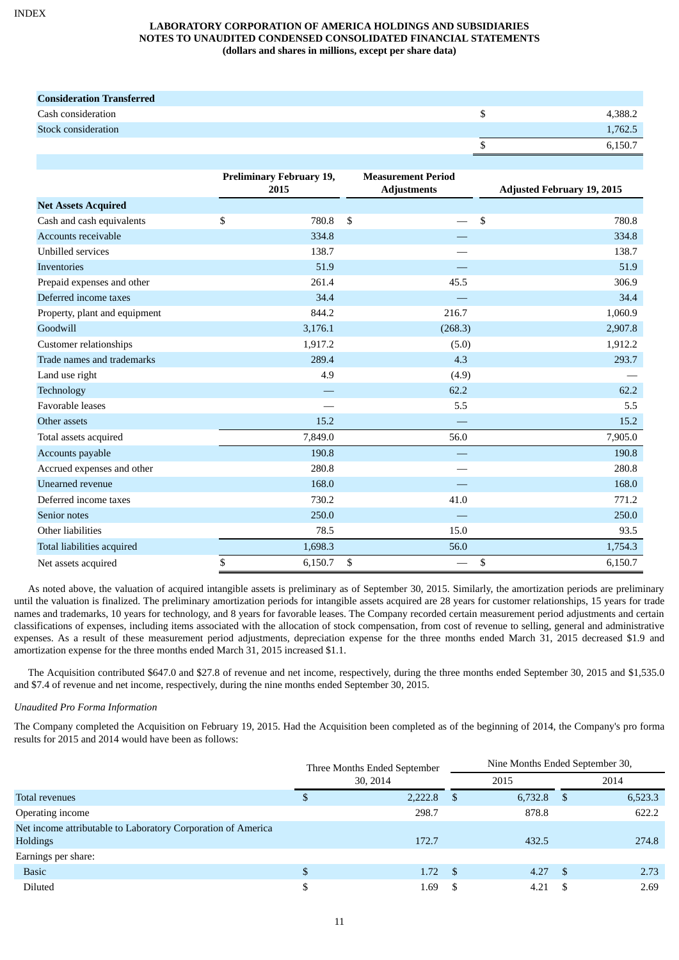| <b>Consideration Transferred</b> |         |
|----------------------------------|---------|
| Cash consideration               | 4,388.2 |
| <b>Stock consideration</b>       | 1,762.5 |
|                                  | 6,150.7 |

|                               | <b>Preliminary February 19,</b><br>2015 | <b>Measurement Period</b><br><b>Adjustments</b> | <b>Adjusted February 19, 2015</b> |
|-------------------------------|-----------------------------------------|-------------------------------------------------|-----------------------------------|
| <b>Net Assets Acquired</b>    |                                         |                                                 |                                   |
| Cash and cash equivalents     | \$<br>780.8                             | \$                                              | \$<br>780.8                       |
| Accounts receivable           | 334.8                                   |                                                 | 334.8                             |
| <b>Unbilled services</b>      | 138.7                                   |                                                 | 138.7                             |
| <b>Inventories</b>            | 51.9                                    |                                                 | 51.9                              |
| Prepaid expenses and other    | 261.4                                   | 45.5                                            | 306.9                             |
| Deferred income taxes         | 34.4                                    |                                                 | 34.4                              |
| Property, plant and equipment | 844.2                                   | 216.7                                           | 1,060.9                           |
| Goodwill                      | 3,176.1                                 | (268.3)                                         | 2,907.8                           |
| Customer relationships        | 1,917.2                                 | (5.0)                                           | 1,912.2                           |
| Trade names and trademarks    | 289.4                                   | 4.3                                             | 293.7                             |
| Land use right                | 4.9                                     | (4.9)                                           |                                   |
| Technology                    |                                         | 62.2                                            | 62.2                              |
| Favorable leases              |                                         | 5.5                                             | 5.5                               |
| Other assets                  | 15.2                                    |                                                 | 15.2                              |
| Total assets acquired         | 7,849.0                                 | 56.0                                            | 7,905.0                           |
| Accounts payable              | 190.8                                   |                                                 | 190.8                             |
| Accrued expenses and other    | 280.8                                   |                                                 | 280.8                             |
| Unearned revenue              | 168.0                                   |                                                 | 168.0                             |
| Deferred income taxes         | 730.2                                   | 41.0                                            | 771.2                             |
| Senior notes                  | 250.0                                   |                                                 | 250.0                             |
| Other liabilities             | 78.5                                    | 15.0                                            | 93.5                              |
| Total liabilities acquired    | 1,698.3                                 | 56.0                                            | 1,754.3                           |
| Net assets acquired           | \$<br>6,150.7                           | \$                                              | \$<br>6,150.7                     |

As noted above, the valuation of acquired intangible assets is preliminary as of September 30, 2015. Similarly, the amortization periods are preliminary until the valuation is finalized. The preliminary amortization periods for intangible assets acquired are 28 years for customer relationships, 15 years for trade names and trademarks, 10 years for technology, and 8 years for favorable leases. The Company recorded certain measurement period adjustments and certain classifications of expenses, including items associated with the allocation of stock compensation, from cost of revenue to selling, general and administrative expenses. As a result of these measurement period adjustments, depreciation expense for the three months ended March 31, 2015 decreased \$1.9 and amortization expense for the three months ended March 31, 2015 increased \$1.1.

The Acquisition contributed \$647.0 and \$27.8 of revenue and net income, respectively, during the three months ended September 30, 2015 and \$1,535.0 and \$7.4 of revenue and net income, respectively, during the nine months ended September 30, 2015.

#### *Unaudited Pro Forma Information*

The Company completed the Acquisition on February 19, 2015. Had the Acquisition been completed as of the beginning of 2014, the Company's pro forma results for 2015 and 2014 would have been as follows:

|                                                              |    | Three Months Ended September |          | Nine Months Ended September 30, |      |         |  |  |  |  |
|--------------------------------------------------------------|----|------------------------------|----------|---------------------------------|------|---------|--|--|--|--|
|                                                              |    | 30, 2014                     |          | 2015                            | 2014 |         |  |  |  |  |
| Total revenues                                               |    | 2,222.8                      | <b>S</b> | 6,732.8                         | - \$ | 6,523.3 |  |  |  |  |
| Operating income                                             |    | 298.7                        |          | 878.8                           |      | 622.2   |  |  |  |  |
| Net income attributable to Laboratory Corporation of America |    |                              |          |                                 |      |         |  |  |  |  |
| <b>Holdings</b>                                              |    | 172.7                        |          | 432.5                           |      | 274.8   |  |  |  |  |
| Earnings per share:                                          |    |                              |          |                                 |      |         |  |  |  |  |
| <b>Basic</b>                                                 |    | 1.72                         | - \$     | 4.27                            | -8   | 2.73    |  |  |  |  |
| Diluted                                                      | ۵D | 1.69                         | - S      | 4.21                            | -8   | 2.69    |  |  |  |  |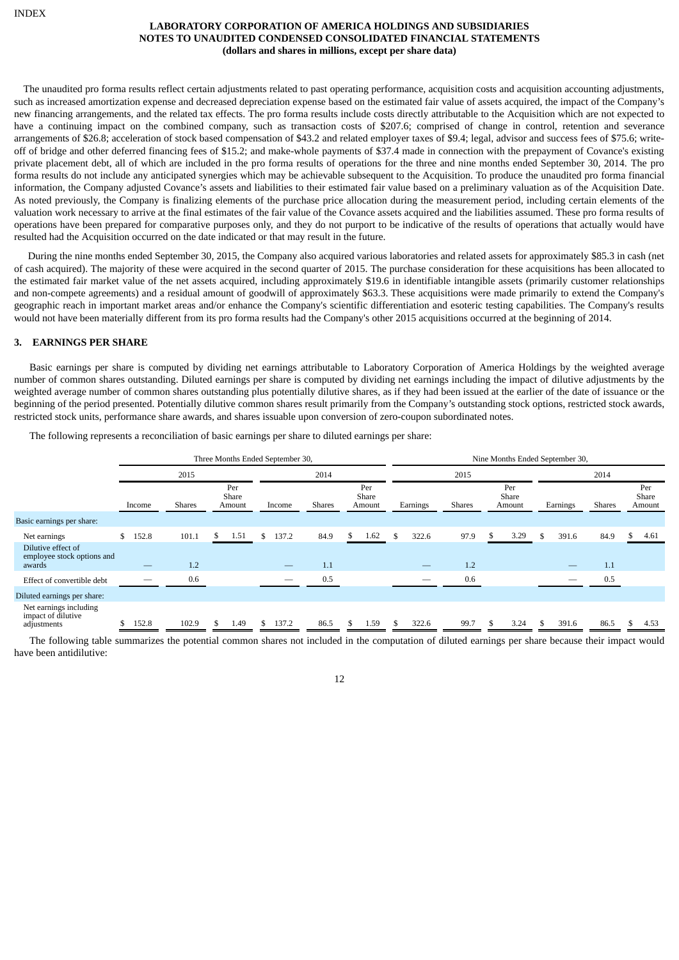The unaudited pro forma results reflect certain adjustments related to past operating performance, acquisition costs and acquisition accounting adjustments, such as increased amortization expense and decreased depreciation expense based on the estimated fair value of assets acquired, the impact of the Company's new financing arrangements, and the related tax effects. The pro forma results include costs directly attributable to the Acquisition which are not expected to have a continuing impact on the combined company, such as transaction costs of \$207.6; comprised of change in control, retention and severance arrangements of \$26.8; acceleration of stock based compensation of \$43.2 and related employer taxes of \$9.4; legal, advisor and success fees of \$75.6; writeoff of bridge and other deferred financing fees of \$15.2; and make-whole payments of \$37.4 made in connection with the prepayment of Covance's existing private placement debt, all of which are included in the pro forma results of operations for the three and nine months ended September 30, 2014. The pro forma results do not include any anticipated synergies which may be achievable subsequent to the Acquisition. To produce the unaudited pro forma financial information, the Company adjusted Covance's assets and liabilities to their estimated fair value based on a preliminary valuation as of the Acquisition Date. As noted previously, the Company is finalizing elements of the purchase price allocation during the measurement period, including certain elements of the valuation work necessary to arrive at the final estimates of the fair value of the Covance assets acquired and the liabilities assumed. These pro forma results of operations have been prepared for comparative purposes only, and they do not purport to be indicative of the results of operations that actually would have resulted had the Acquisition occurred on the date indicated or that may result in the future.

During the nine months ended September 30, 2015, the Company also acquired various laboratories and related assets for approximately \$85.3 in cash (net of cash acquired). The majority of these were acquired in the second quarter of 2015. The purchase consideration for these acquisitions has been allocated to the estimated fair market value of the net assets acquired, including approximately \$19.6 in identifiable intangible assets (primarily customer relationships and non-compete agreements) and a residual amount of goodwill of approximately \$63.3. These acquisitions were made primarily to extend the Company's geographic reach in important market areas and/or enhance the Company's scientific differentiation and esoteric testing capabilities. The Company's results would not have been materially different from its pro forma results had the Company's other 2015 acquisitions occurred at the beginning of 2014.

## **3. EARNINGS PER SHARE**

Basic earnings per share is computed by dividing net earnings attributable to Laboratory Corporation of America Holdings by the weighted average number of common shares outstanding. Diluted earnings per share is computed by dividing net earnings including the impact of dilutive adjustments by the weighted average number of common shares outstanding plus potentially dilutive shares, as if they had been issued at the earlier of the date of issuance or the beginning of the period presented. Potentially dilutive common shares result primarily from the Company's outstanding stock options, restricted stock awards, restricted stock units, performance share awards, and shares issuable upon conversion of zero-coupon subordinated notes.

The following represents a reconciliation of basic earnings per share to diluted earnings per share:

|                                                             |             |               | Three Months Ended September 30, | Nine Months Ended September 30, |        |               |  |                        |  |          |  |               |                        |      |  |          |               |      |                        |      |
|-------------------------------------------------------------|-------------|---------------|----------------------------------|---------------------------------|--------|---------------|--|------------------------|--|----------|--|---------------|------------------------|------|--|----------|---------------|------|------------------------|------|
|                                                             |             | 2015          |                                  |                                 |        | 2014          |  |                        |  |          |  |               | 2015                   |      |  |          |               | 2014 |                        |      |
|                                                             | Income      | <b>Shares</b> | Per<br>Share<br>Amount           |                                 | Income | <b>Shares</b> |  | Per<br>Share<br>Amount |  | Earnings |  | <b>Shares</b> | Per<br>Share<br>Amount |      |  | Earnings | <b>Shares</b> |      | Per<br>Share<br>Amount |      |
| Basic earnings per share:                                   |             |               |                                  |                                 |        |               |  |                        |  |          |  |               |                        |      |  |          |               |      |                        |      |
| Net earnings                                                | \$<br>152.8 | 101.1         | \$<br>1.51                       | \$                              | 137.2  | 84.9          |  | 1.62                   |  | 322.6    |  | 97.9          |                        | 3.29 |  | 391.6    | 84.9          |      |                        | 4.61 |
| Dilutive effect of<br>employee stock options and<br>awards  |             | 1.2           |                                  |                                 | __     | 1.1           |  |                        |  |          |  | 1.2           |                        |      |  |          | 1.1           |      |                        |      |
| Effect of convertible debt                                  |             | 0.6           |                                  |                                 |        | 0.5           |  |                        |  |          |  | 0.6           |                        |      |  |          | 0.5           |      |                        |      |
| Diluted earnings per share:                                 |             |               |                                  |                                 |        |               |  |                        |  |          |  |               |                        |      |  |          |               |      |                        |      |
| Net earnings including<br>impact of dilutive<br>adjustments | 152.8       | 102.9         | 1.49                             |                                 | 137.2  | 86.5          |  | . 59                   |  | 322.6    |  | 99.7          |                        | 3.24 |  | 391.6    | 86.5          |      |                        | 4.53 |

The following table summarizes the potential common shares not included in the computation of diluted earnings per share because their impact would have been antidilutive: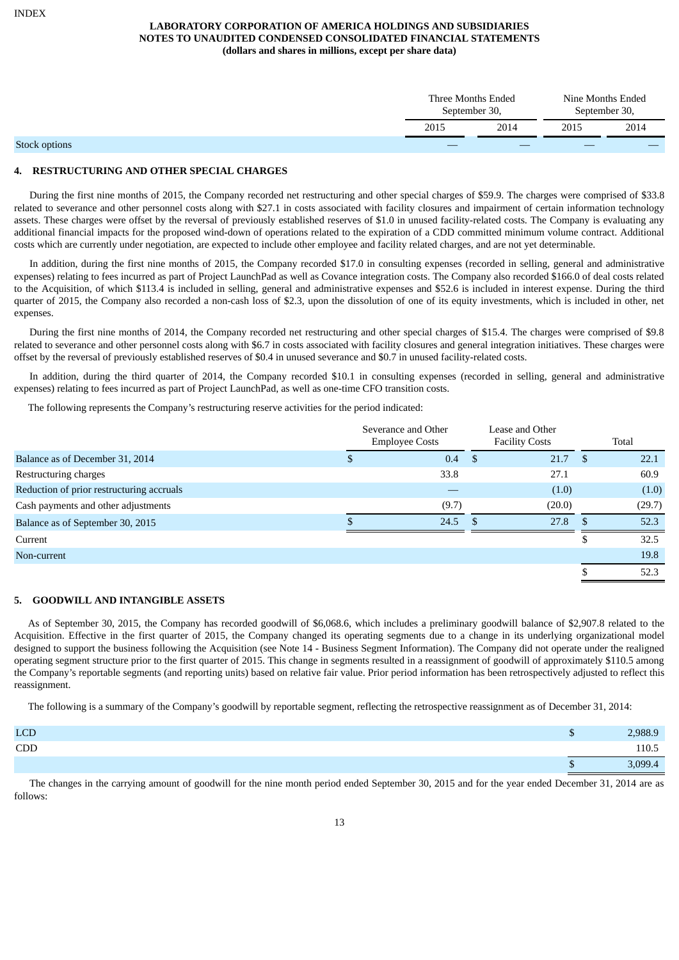|               | Three Months Ended<br>September 30, |      | Nine Months Ended<br>September 30, |      |  |
|---------------|-------------------------------------|------|------------------------------------|------|--|
|               | 2015                                | 2014 | 2015                               | 2014 |  |
| Stock options | _                                   |      |                                    |      |  |

## **4. RESTRUCTURING AND OTHER SPECIAL CHARGES**

During the first nine months of 2015, the Company recorded net restructuring and other special charges of \$59.9. The charges were comprised of \$33.8 related to severance and other personnel costs along with \$27.1 in costs associated with facility closures and impairment of certain information technology assets. These charges were offset by the reversal of previously established reserves of \$1.0 in unused facility-related costs. The Company is evaluating any additional financial impacts for the proposed wind-down of operations related to the expiration of a CDD committed minimum volume contract. Additional costs which are currently under negotiation, are expected to include other employee and facility related charges, and are not yet determinable.

In addition, during the first nine months of 2015, the Company recorded \$17.0 in consulting expenses (recorded in selling, general and administrative expenses) relating to fees incurred as part of Project LaunchPad as well as Covance integration costs. The Company also recorded \$166.0 of deal costs related to the Acquisition, of which \$113.4 is included in selling, general and administrative expenses and \$52.6 is included in interest expense. During the third quarter of 2015, the Company also recorded a non-cash loss of \$2.3, upon the dissolution of one of its equity investments, which is included in other, net expenses.

During the first nine months of 2014, the Company recorded net restructuring and other special charges of \$15.4. The charges were comprised of \$9.8 related to severance and other personnel costs along with \$6.7 in costs associated with facility closures and general integration initiatives. These charges were offset by the reversal of previously established reserves of \$0.4 in unused severance and \$0.7 in unused facility-related costs.

In addition, during the third quarter of 2014, the Company recorded \$10.1 in consulting expenses (recorded in selling, general and administrative expenses) relating to fees incurred as part of Project LaunchPad, as well as one-time CFO transition costs.

The following represents the Company's restructuring reserve activities for the period indicated:

|                                           | Severance and Other<br><b>Employee Costs</b> | Lease and Other<br><b>Facility Costs</b> |      | Total  |
|-------------------------------------------|----------------------------------------------|------------------------------------------|------|--------|
| Balance as of December 31, 2014           | 0.4                                          | 21.7<br>- \$                             | - \$ | 22.1   |
| Restructuring charges                     | 33.8                                         | 27.1                                     |      | 60.9   |
| Reduction of prior restructuring accruals |                                              | (1.0)                                    |      | (1.0)  |
| Cash payments and other adjustments       | (9.7)                                        | (20.0)                                   |      | (29.7) |
| Balance as of September 30, 2015          | 24.5                                         | 27.8                                     | -S   | 52.3   |
| Current                                   |                                              |                                          | Œ    | 32.5   |
| Non-current                               |                                              |                                          |      | 19.8   |
|                                           |                                              |                                          |      | 52.3   |

## **5. GOODWILL AND INTANGIBLE ASSETS**

As of September 30, 2015, the Company has recorded goodwill of \$6,068.6, which includes a preliminary goodwill balance of \$2,907.8 related to the Acquisition. Effective in the first quarter of 2015, the Company changed its operating segments due to a change in its underlying organizational model designed to support the business following the Acquisition (see Note 14 - Business Segment Information). The Company did not operate under the realigned operating segment structure prior to the first quarter of 2015. This change in segments resulted in a reassignment of goodwill of approximately \$110.5 among the Company's reportable segments (and reporting units) based on relative fair value. Prior period information has been retrospectively adjusted to reflect this reassignment.

The following is a summary of the Company's goodwill by reportable segment, reflecting the retrospective reassignment as of December 31, 2014:

| <b>LCD</b> | 2,988.9 |
|------------|---------|
| CDD        | 110.5   |
|            | 3,099.4 |

The changes in the carrying amount of goodwill for the nine month period ended September 30, 2015 and for the year ended December 31, 2014 are as follows: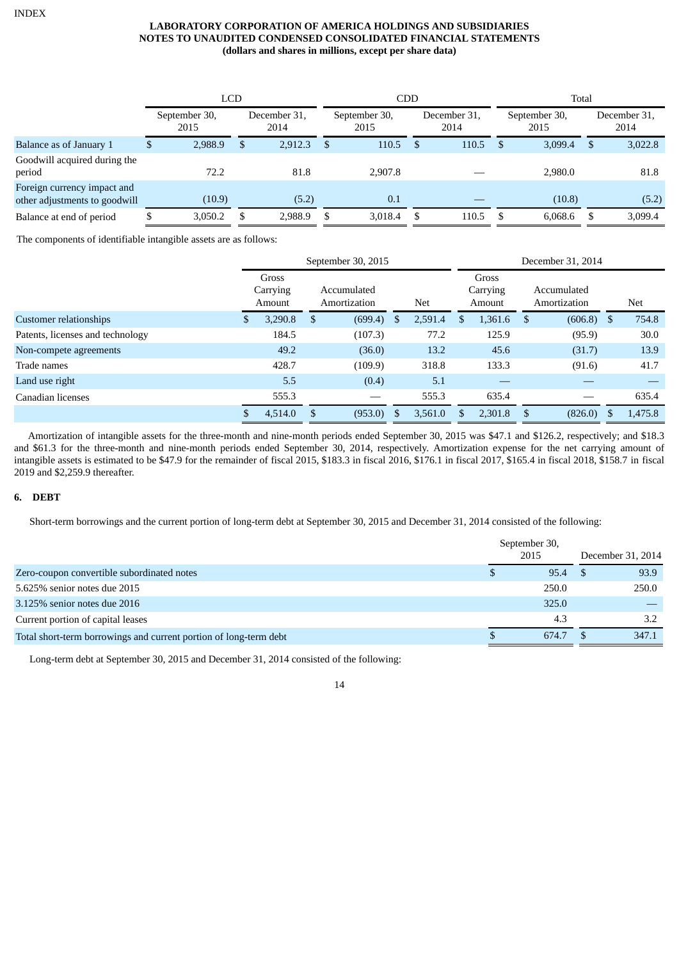|                                                              |                       | <b>LCD</b> |                      |         |          | <b>CDD</b>            |   |                      | Total |                       |  |                      |  |  |
|--------------------------------------------------------------|-----------------------|------------|----------------------|---------|----------|-----------------------|---|----------------------|-------|-----------------------|--|----------------------|--|--|
|                                                              | September 30,<br>2015 |            | December 31,<br>2014 |         |          | September 30,<br>2015 |   | December 31,<br>2014 |       | September 30,<br>2015 |  | December 31,<br>2014 |  |  |
| Balance as of January 1                                      | \$                    | 2.988.9    | \$.                  | 2.912.3 | <b>S</b> | 110.5                 | S | 110.5                |       | 3.099.4               |  | 3,022.8              |  |  |
| Goodwill acquired during the<br>period                       |                       | 72.2       |                      | 81.8    |          | 2.907.8               |   |                      |       | 2,980.0               |  | 81.8                 |  |  |
| Foreign currency impact and<br>other adjustments to goodwill |                       | (10.9)     |                      | (5.2)   |          | 0.1                   |   |                      |       | (10.8)                |  | (5.2)                |  |  |
| Balance at end of period                                     |                       | 3.050.2    | \$                   | 2.988.9 | -S       | 3.018.4               | S | 110.5                |       | 6,068.6               |  | 3,099.4              |  |  |

The components of identifiable intangible assets are as follows:

|                                  |     |                             |    | September 30, 2015          |              |         | December 31, 2014 |                             |    |                             |  |         |  |  |
|----------------------------------|-----|-----------------------------|----|-----------------------------|--------------|---------|-------------------|-----------------------------|----|-----------------------------|--|---------|--|--|
|                                  |     | Gross<br>Carrying<br>Amount |    | Accumulated<br>Amortization |              | Net     |                   | Gross<br>Carrying<br>Amount |    | Accumulated<br>Amortization |  | Net     |  |  |
| Customer relationships           | \$. | 3,290.8                     | \$ | (699.4)                     | \$           | 2,591.4 | S                 | 1,361.6                     | -S | $(606.8)$ \$                |  | 754.8   |  |  |
| Patents, licenses and technology |     | 184.5                       |    | (107.3)                     |              | 77.2    |                   | 125.9                       |    | (95.9)                      |  | 30.0    |  |  |
| Non-compete agreements           |     | 49.2                        |    | (36.0)                      |              | 13.2    |                   | 45.6                        |    | (31.7)                      |  | 13.9    |  |  |
| Trade names                      |     | 428.7                       |    | (109.9)                     |              | 318.8   |                   | 133.3                       |    | (91.6)                      |  | 41.7    |  |  |
| Land use right                   |     | 5.5                         |    | (0.4)                       |              | 5.1     |                   |                             |    |                             |  |         |  |  |
| Canadian licenses                |     | 555.3                       |    |                             |              | 555.3   |                   | 635.4                       |    |                             |  | 635.4   |  |  |
|                                  | \$. | 4,514.0                     | S  | (953.0)                     | <sup>S</sup> | 3,561.0 |                   | 2,301.8                     |    | (826.0)                     |  | 1,475.8 |  |  |

Amortization of intangible assets for the three-month and nine-month periods ended September 30, 2015 was \$47.1 and \$126.2, respectively; and \$18.3 and \$61.3 for the three-month and nine-month periods ended September 30, 2014, respectively. Amortization expense for the net carrying amount of intangible assets is estimated to be \$47.9 for the remainder of fiscal 2015, \$183.3 in fiscal 2016, \$176.1 in fiscal 2017, \$165.4 in fiscal 2018, \$158.7 in fiscal 2019 and \$2,259.9 thereafter.

## **6. DEBT**

Short-term borrowings and the current portion of long-term debt at September 30, 2015 and December 31, 2014 consisted of the following:

|                                                                   | September 30, |       |  |                   |  |
|-------------------------------------------------------------------|---------------|-------|--|-------------------|--|
|                                                                   |               | 2015  |  | December 31, 2014 |  |
| Zero-coupon convertible subordinated notes                        |               | 95.4  |  | 93.9              |  |
| 5.625% senior notes due 2015                                      |               | 250.0 |  | 250.0             |  |
| 3.125% senior notes due 2016                                      |               | 325.0 |  |                   |  |
| Current portion of capital leases                                 |               | 4.3   |  | 3.2               |  |
| Total short-term borrowings and current portion of long-term debt |               | 674.7 |  | 347.1             |  |

Long-term debt at September 30, 2015 and December 31, 2014 consisted of the following: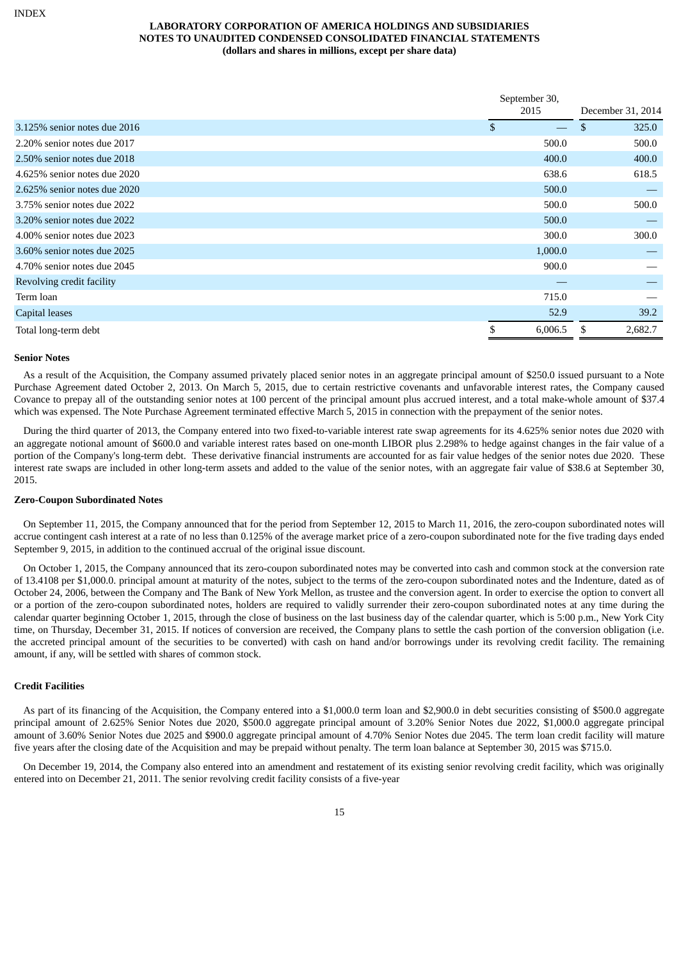|                              | September 30,                  |    |                   |  |
|------------------------------|--------------------------------|----|-------------------|--|
|                              | 2015                           |    | December 31, 2014 |  |
| 3.125% senior notes due 2016 | \$<br>$\overline{\phantom{m}}$ | \$ | 325.0             |  |
| 2.20% senior notes due 2017  | 500.0                          |    | 500.0             |  |
| 2.50% senior notes due 2018  | 400.0                          |    | 400.0             |  |
| 4.625% senior notes due 2020 | 638.6                          |    | 618.5             |  |
| 2.625% senior notes due 2020 | 500.0                          |    |                   |  |
| 3.75% senior notes due 2022  | 500.0                          |    | 500.0             |  |
| 3.20% senior notes due 2022  | 500.0                          |    |                   |  |
| 4.00% senior notes due 2023  | 300.0                          |    | 300.0             |  |
| 3.60% senior notes due 2025  | 1,000.0                        |    |                   |  |
| 4.70% senior notes due 2045  | 900.0                          |    |                   |  |
| Revolving credit facility    |                                |    |                   |  |
| Term loan                    | 715.0                          |    |                   |  |
| <b>Capital leases</b>        | 52.9                           |    | 39.2              |  |
| Total long-term debt         | 6,006.5<br>\$                  | -S | 2,682.7           |  |

#### **Senior Notes**

As a result of the Acquisition, the Company assumed privately placed senior notes in an aggregate principal amount of \$250.0 issued pursuant to a Note Purchase Agreement dated October 2, 2013. On March 5, 2015, due to certain restrictive covenants and unfavorable interest rates, the Company caused Covance to prepay all of the outstanding senior notes at 100 percent of the principal amount plus accrued interest, and a total make-whole amount of \$37.4 which was expensed. The Note Purchase Agreement terminated effective March 5, 2015 in connection with the prepayment of the senior notes.

During the third quarter of 2013, the Company entered into two fixed-to-variable interest rate swap agreements for its 4.625% senior notes due 2020 with an aggregate notional amount of \$600.0 and variable interest rates based on one-month LIBOR plus 2.298% to hedge against changes in the fair value of a portion of the Company's long-term debt. These derivative financial instruments are accounted for as fair value hedges of the senior notes due 2020. These interest rate swaps are included in other long-term assets and added to the value of the senior notes, with an aggregate fair value of \$38.6 at September 30, 2015.

#### **Zero-Coupon Subordinated Notes**

On September 11, 2015, the Company announced that for the period from September 12, 2015 to March 11, 2016, the zero-coupon subordinated notes will accrue contingent cash interest at a rate of no less than 0.125% of the average market price of a zero-coupon subordinated note for the five trading days ended September 9, 2015, in addition to the continued accrual of the original issue discount.

On October 1, 2015, the Company announced that its zero-coupon subordinated notes may be converted into cash and common stock at the conversion rate of 13.4108 per \$1,000.0. principal amount at maturity of the notes, subject to the terms of the zero-coupon subordinated notes and the Indenture, dated as of October 24, 2006, between the Company and The Bank of New York Mellon, as trustee and the conversion agent. In order to exercise the option to convert all or a portion of the zero-coupon subordinated notes, holders are required to validly surrender their zero-coupon subordinated notes at any time during the calendar quarter beginning October 1, 2015, through the close of business on the last business day of the calendar quarter, which is 5:00 p.m., New York City time, on Thursday, December 31, 2015. If notices of conversion are received, the Company plans to settle the cash portion of the conversion obligation (i.e. the accreted principal amount of the securities to be converted) with cash on hand and/or borrowings under its revolving credit facility. The remaining amount, if any, will be settled with shares of common stock.

## **Credit Facilities**

As part of its financing of the Acquisition, the Company entered into a \$1,000.0 term loan and \$2,900.0 in debt securities consisting of \$500.0 aggregate principal amount of 2.625% Senior Notes due 2020, \$500.0 aggregate principal amount of 3.20% Senior Notes due 2022, \$1,000.0 aggregate principal amount of 3.60% Senior Notes due 2025 and \$900.0 aggregate principal amount of 4.70% Senior Notes due 2045. The term loan credit facility will mature five years after the closing date of the Acquisition and may be prepaid without penalty. The term loan balance at September 30, 2015 was \$715.0.

On December 19, 2014, the Company also entered into an amendment and restatement of its existing senior revolving credit facility, which was originally entered into on December 21, 2011. The senior revolving credit facility consists of a five-year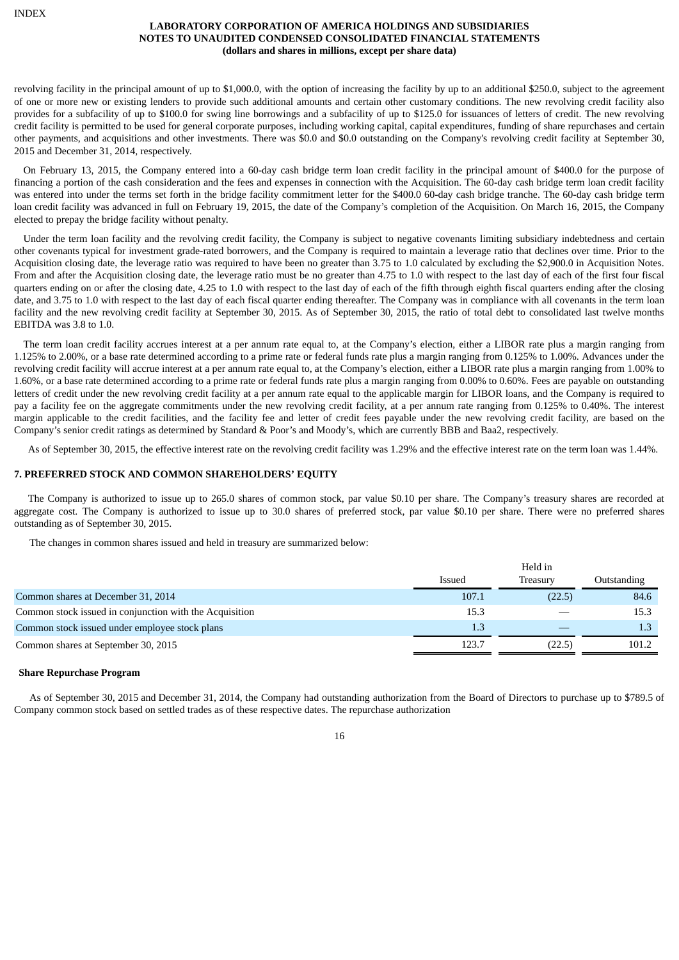revolving facility in the principal amount of up to \$1,000.0, with the option of increasing the facility by up to an additional \$250.0, subject to the agreement of one or more new or existing lenders to provide such additional amounts and certain other customary conditions. The new revolving credit facility also provides for a subfacility of up to \$100.0 for swing line borrowings and a subfacility of up to \$125.0 for issuances of letters of credit. The new revolving credit facility is permitted to be used for general corporate purposes, including working capital, capital expenditures, funding of share repurchases and certain other payments, and acquisitions and other investments. There was \$0.0 and \$0.0 outstanding on the Company's revolving credit facility at September 30, 2015 and December 31, 2014, respectively.

On February 13, 2015, the Company entered into a 60-day cash bridge term loan credit facility in the principal amount of \$400.0 for the purpose of financing a portion of the cash consideration and the fees and expenses in connection with the Acquisition. The 60-day cash bridge term loan credit facility was entered into under the terms set forth in the bridge facility commitment letter for the \$400.0 60-day cash bridge tranche. The 60-day cash bridge term loan credit facility was advanced in full on February 19, 2015, the date of the Company's completion of the Acquisition. On March 16, 2015, the Company elected to prepay the bridge facility without penalty.

Under the term loan facility and the revolving credit facility, the Company is subject to negative covenants limiting subsidiary indebtedness and certain other covenants typical for investment grade-rated borrowers, and the Company is required to maintain a leverage ratio that declines over time. Prior to the Acquisition closing date, the leverage ratio was required to have been no greater than 3.75 to 1.0 calculated by excluding the \$2,900.0 in Acquisition Notes. From and after the Acquisition closing date, the leverage ratio must be no greater than 4.75 to 1.0 with respect to the last day of each of the first four fiscal quarters ending on or after the closing date, 4.25 to 1.0 with respect to the last day of each of the fifth through eighth fiscal quarters ending after the closing date, and 3.75 to 1.0 with respect to the last day of each fiscal quarter ending thereafter. The Company was in compliance with all covenants in the term loan facility and the new revolving credit facility at September 30, 2015. As of September 30, 2015, the ratio of total debt to consolidated last twelve months EBITDA was 3.8 to 1.0.

The term loan credit facility accrues interest at a per annum rate equal to, at the Company's election, either a LIBOR rate plus a margin ranging from 1.125% to 2.00%, or a base rate determined according to a prime rate or federal funds rate plus a margin ranging from 0.125% to 1.00%. Advances under the revolving credit facility will accrue interest at a per annum rate equal to, at the Company's election, either a LIBOR rate plus a margin ranging from 1.00% to 1.60%, or a base rate determined according to a prime rate or federal funds rate plus a margin ranging from 0.00% to 0.60%. Fees are payable on outstanding letters of credit under the new revolving credit facility at a per annum rate equal to the applicable margin for LIBOR loans, and the Company is required to pay a facility fee on the aggregate commitments under the new revolving credit facility, at a per annum rate ranging from 0.125% to 0.40%. The interest margin applicable to the credit facilities, and the facility fee and letter of credit fees payable under the new revolving credit facility, are based on the Company's senior credit ratings as determined by Standard & Poor's and Moody's, which are currently BBB and Baa2, respectively.

As of September 30, 2015, the effective interest rate on the revolving credit facility was 1.29% and the effective interest rate on the term loan was 1.44%.

## **7. PREFERRED STOCK AND COMMON SHAREHOLDERS' EQUITY**

The Company is authorized to issue up to 265.0 shares of common stock, par value \$0.10 per share. The Company's treasury shares are recorded at aggregate cost. The Company is authorized to issue up to 30.0 shares of preferred stock, par value \$0.10 per share. There were no preferred shares outstanding as of September 30, 2015.

The changes in common shares issued and held in treasury are summarized below:

|                                                         |        | Held in                  |             |
|---------------------------------------------------------|--------|--------------------------|-------------|
|                                                         | Issued | Treasurv                 | Outstanding |
| Common shares at December 31, 2014                      | 107.1  | (22.5)                   | 84.6        |
| Common stock issued in conjunction with the Acquisition | 15.3   | $\overline{\phantom{a}}$ | 15.3        |
| Common stock issued under employee stock plans          | 1.3    |                          |             |
| Common shares at September 30, 2015                     | 123.7  | (22.5)                   | 101.2       |

#### **Share Repurchase Program**

As of September 30, 2015 and December 31, 2014, the Company had outstanding authorization from the Board of Directors to purchase up to \$789.5 of Company common stock based on settled trades as of these respective dates. The repurchase authorization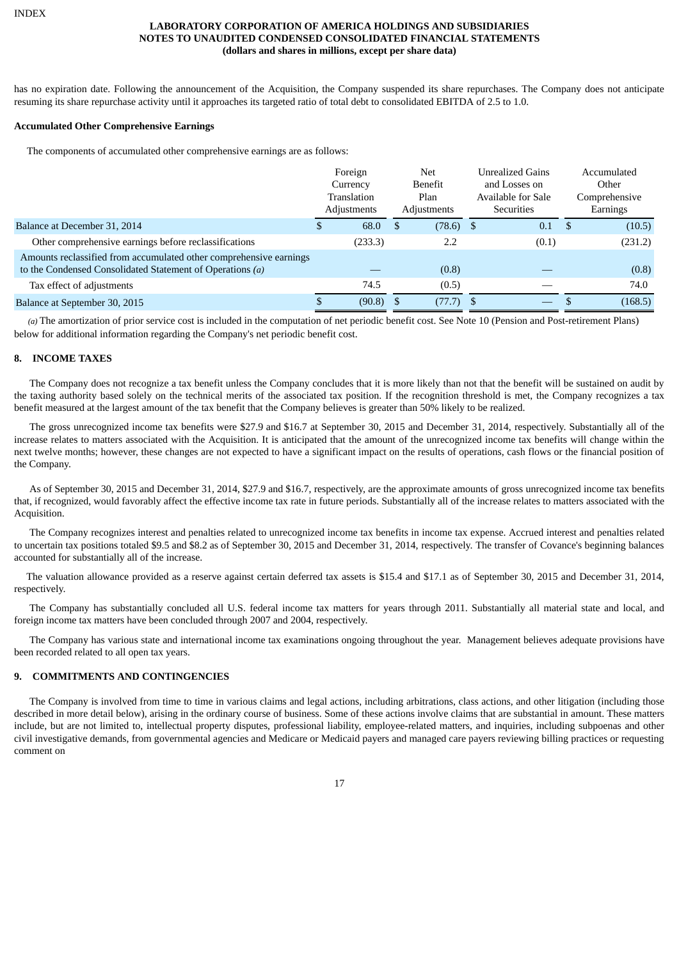has no expiration date. Following the announcement of the Acquisition, the Company suspended its share repurchases. The Company does not anticipate resuming its share repurchase activity until it approaches its targeted ratio of total debt to consolidated EBITDA of 2.5 to 1.0.

#### **Accumulated Other Comprehensive Earnings**

The components of accumulated other comprehensive earnings are as follows:

|                                                                                                                                 |                                        | Foreign |  | Net         |                   | Unrealized Gains   |    | Accumulated   |
|---------------------------------------------------------------------------------------------------------------------------------|----------------------------------------|---------|--|-------------|-------------------|--------------------|----|---------------|
|                                                                                                                                 | Currency<br>Translation<br>Adjustments |         |  | Benefit     |                   | and Losses on      |    | Other         |
|                                                                                                                                 |                                        |         |  | Plan        |                   | Available for Sale |    | Comprehensive |
|                                                                                                                                 |                                        |         |  | Adjustments | <b>Securities</b> |                    |    | Earnings      |
| Balance at December 31, 2014                                                                                                    | \$                                     | 68.0    |  | $(78.6)$ \$ |                   | 0.1                | -S | (10.5)        |
| Other comprehensive earnings before reclassifications                                                                           |                                        | (233.3) |  | 2.2         |                   | (0.1)              |    | (231.2)       |
| Amounts reclassified from accumulated other comprehensive earnings<br>to the Condensed Consolidated Statement of Operations (a) |                                        |         |  | (0.8)       |                   |                    |    | (0.8)         |
| Tax effect of adjustments                                                                                                       |                                        | 74.5    |  | (0.5)       |                   |                    |    | 74.0          |
| Balance at September 30, 2015                                                                                                   |                                        | (90.8)  |  | (77.7)      | - S               |                    |    | (168.5)       |

*(a)* The amortization of prior service cost is included in the computation of net periodic benefit cost. See Note 10 (Pension and Post-retirement Plans) below for additional information regarding the Company's net periodic benefit cost.

## **8. INCOME TAXES**

The Company does not recognize a tax benefit unless the Company concludes that it is more likely than not that the benefit will be sustained on audit by the taxing authority based solely on the technical merits of the associated tax position. If the recognition threshold is met, the Company recognizes a tax benefit measured at the largest amount of the tax benefit that the Company believes is greater than 50% likely to be realized.

The gross unrecognized income tax benefits were \$27.9 and \$16.7 at September 30, 2015 and December 31, 2014, respectively. Substantially all of the increase relates to matters associated with the Acquisition. It is anticipated that the amount of the unrecognized income tax benefits will change within the next twelve months; however, these changes are not expected to have a significant impact on the results of operations, cash flows or the financial position of the Company.

As of September 30, 2015 and December 31, 2014, \$27.9 and \$16.7, respectively, are the approximate amounts of gross unrecognized income tax benefits that, if recognized, would favorably affect the effective income tax rate in future periods. Substantially all of the increase relates to matters associated with the Acquisition.

The Company recognizes interest and penalties related to unrecognized income tax benefits in income tax expense. Accrued interest and penalties related to uncertain tax positions totaled \$9.5 and \$8.2 as of September 30, 2015 and December 31, 2014, respectively. The transfer of Covance's beginning balances accounted for substantially all of the increase.

The valuation allowance provided as a reserve against certain deferred tax assets is \$15.4 and \$17.1 as of September 30, 2015 and December 31, 2014, respectively.

The Company has substantially concluded all U.S. federal income tax matters for years through 2011. Substantially all material state and local, and foreign income tax matters have been concluded through 2007 and 2004, respectively.

The Company has various state and international income tax examinations ongoing throughout the year. Management believes adequate provisions have been recorded related to all open tax years.

## **9. COMMITMENTS AND CONTINGENCIES**

The Company is involved from time to time in various claims and legal actions, including arbitrations, class actions, and other litigation (including those described in more detail below), arising in the ordinary course of business. Some of these actions involve claims that are substantial in amount. These matters include, but are not limited to, intellectual property disputes, professional liability, employee-related matters, and inquiries, including subpoenas and other civil investigative demands, from governmental agencies and Medicare or Medicaid payers and managed care payers reviewing billing practices or requesting comment on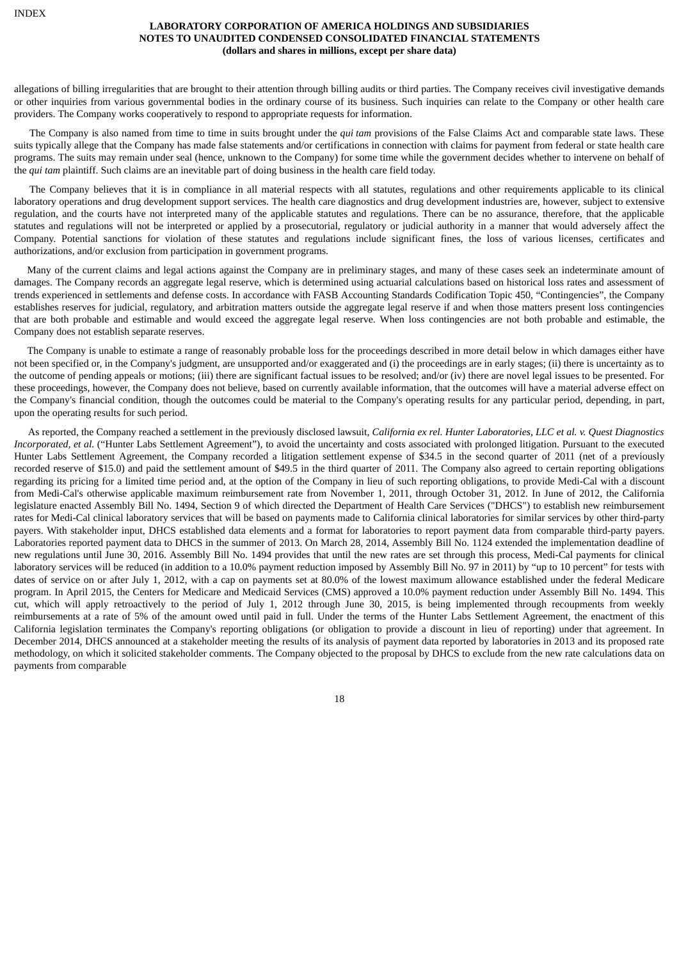allegations of billing irregularities that are brought to their attention through billing audits or third parties. The Company receives civil investigative demands or other inquiries from various governmental bodies in the ordinary course of its business. Such inquiries can relate to the Company or other health care providers. The Company works cooperatively to respond to appropriate requests for information.

The Company is also named from time to time in suits brought under the *qui tam* provisions of the False Claims Act and comparable state laws. These suits typically allege that the Company has made false statements and/or certifications in connection with claims for payment from federal or state health care programs. The suits may remain under seal (hence, unknown to the Company) for some time while the government decides whether to intervene on behalf of the *qui tam* plaintiff. Such claims are an inevitable part of doing business in the health care field today.

The Company believes that it is in compliance in all material respects with all statutes, regulations and other requirements applicable to its clinical laboratory operations and drug development support services. The health care diagnostics and drug development industries are, however, subject to extensive regulation, and the courts have not interpreted many of the applicable statutes and regulations. There can be no assurance, therefore, that the applicable statutes and regulations will not be interpreted or applied by a prosecutorial, regulatory or judicial authority in a manner that would adversely affect the Company. Potential sanctions for violation of these statutes and regulations include significant fines, the loss of various licenses, certificates and authorizations, and/or exclusion from participation in government programs.

Many of the current claims and legal actions against the Company are in preliminary stages, and many of these cases seek an indeterminate amount of damages. The Company records an aggregate legal reserve, which is determined using actuarial calculations based on historical loss rates and assessment of trends experienced in settlements and defense costs. In accordance with FASB Accounting Standards Codification Topic 450, "Contingencies", the Company establishes reserves for judicial, regulatory, and arbitration matters outside the aggregate legal reserve if and when those matters present loss contingencies that are both probable and estimable and would exceed the aggregate legal reserve. When loss contingencies are not both probable and estimable, the Company does not establish separate reserves.

The Company is unable to estimate a range of reasonably probable loss for the proceedings described in more detail below in which damages either have not been specified or, in the Company's judgment, are unsupported and/or exaggerated and (i) the proceedings are in early stages; (ii) there is uncertainty as to the outcome of pending appeals or motions; (iii) there are significant factual issues to be resolved; and/or (iv) there are novel legal issues to be presented. For these proceedings, however, the Company does not believe, based on currently available information, that the outcomes will have a material adverse effect on the Company's financial condition, though the outcomes could be material to the Company's operating results for any particular period, depending, in part, upon the operating results for such period.

As reported, the Company reached a settlement in the previously disclosed lawsuit, California ex rel. Hunter Laboratories, LLC et al. v. Quest Diagnostics *Incorporated, et al.* ("Hunter Labs Settlement Agreement"), to avoid the uncertainty and costs associated with prolonged litigation. Pursuant to the executed Hunter Labs Settlement Agreement, the Company recorded a litigation settlement expense of \$34.5 in the second quarter of 2011 (net of a previously recorded reserve of \$15.0) and paid the settlement amount of \$49.5 in the third quarter of 2011. The Company also agreed to certain reporting obligations regarding its pricing for a limited time period and, at the option of the Company in lieu of such reporting obligations, to provide Medi-Cal with a discount from Medi-Cal's otherwise applicable maximum reimbursement rate from November 1, 2011, through October 31, 2012. In June of 2012, the California legislature enacted Assembly Bill No. 1494, Section 9 of which directed the Department of Health Care Services ("DHCS") to establish new reimbursement rates for Medi-Cal clinical laboratory services that will be based on payments made to California clinical laboratories for similar services by other third-party payers. With stakeholder input, DHCS established data elements and a format for laboratories to report payment data from comparable third-party payers. Laboratories reported payment data to DHCS in the summer of 2013. On March 28, 2014, Assembly Bill No. 1124 extended the implementation deadline of new regulations until June 30, 2016. Assembly Bill No. 1494 provides that until the new rates are set through this process, Medi-Cal payments for clinical laboratory services will be reduced (in addition to a 10.0% payment reduction imposed by Assembly Bill No. 97 in 2011) by "up to 10 percent" for tests with dates of service on or after July 1, 2012, with a cap on payments set at 80.0% of the lowest maximum allowance established under the federal Medicare program. In April 2015, the Centers for Medicare and Medicaid Services (CMS) approved a 10.0% payment reduction under Assembly Bill No. 1494. This cut, which will apply retroactively to the period of July 1, 2012 through June 30, 2015, is being implemented through recoupments from weekly reimbursements at a rate of 5% of the amount owed until paid in full. Under the terms of the Hunter Labs Settlement Agreement, the enactment of this California legislation terminates the Company's reporting obligations (or obligation to provide a discount in lieu of reporting) under that agreement. In December 2014, DHCS announced at a stakeholder meeting the results of its analysis of payment data reported by laboratories in 2013 and its proposed rate methodology, on which it solicited stakeholder comments. The Company objected to the proposal by DHCS to exclude from the new rate calculations data on payments from comparable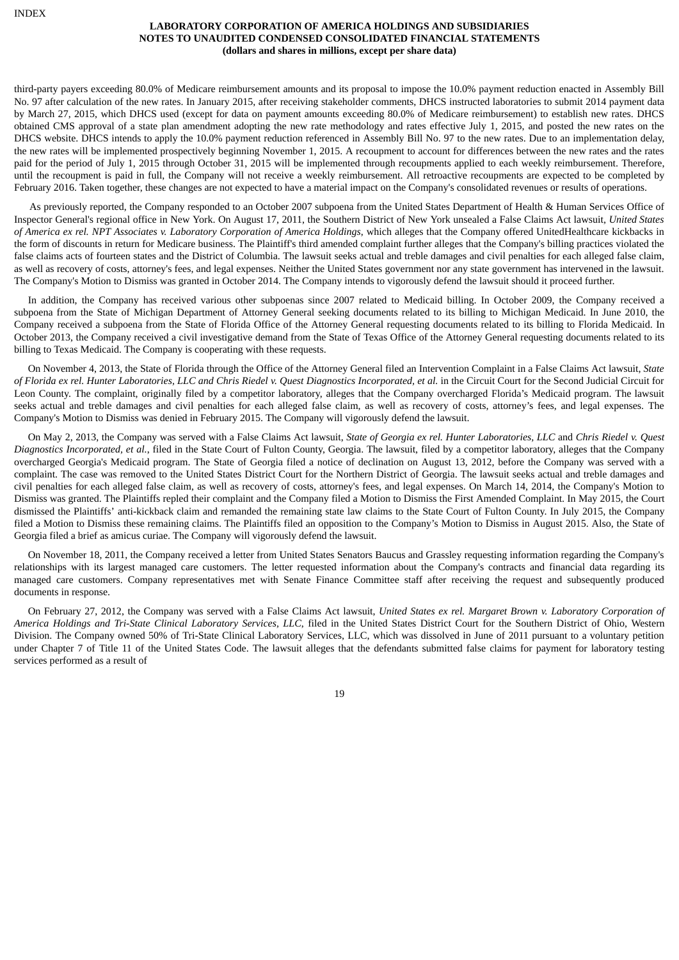third-party payers exceeding 80.0% of Medicare reimbursement amounts and its proposal to impose the 10.0% payment reduction enacted in Assembly Bill No. 97 after calculation of the new rates. In January 2015, after receiving stakeholder comments, DHCS instructed laboratories to submit 2014 payment data by March 27, 2015, which DHCS used (except for data on payment amounts exceeding 80.0% of Medicare reimbursement) to establish new rates. DHCS obtained CMS approval of a state plan amendment adopting the new rate methodology and rates effective July 1, 2015, and posted the new rates on the DHCS website. DHCS intends to apply the 10.0% payment reduction referenced in Assembly Bill No. 97 to the new rates. Due to an implementation delay, the new rates will be implemented prospectively beginning November 1, 2015. A recoupment to account for differences between the new rates and the rates paid for the period of July 1, 2015 through October 31, 2015 will be implemented through recoupments applied to each weekly reimbursement. Therefore, until the recoupment is paid in full, the Company will not receive a weekly reimbursement. All retroactive recoupments are expected to be completed by February 2016. Taken together, these changes are not expected to have a material impact on the Company's consolidated revenues or results of operations.

As previously reported, the Company responded to an October 2007 subpoena from the United States Department of Health & Human Services Office of Inspector General's regional office in New York. On August 17, 2011, the Southern District of New York unsealed a False Claims Act lawsuit, *United States* of America ex rel. NPT Associates v. Laboratory Corporation of America Holdings, which alleges that the Company offered UnitedHealthcare kickbacks in the form of discounts in return for Medicare business. The Plaintiff's third amended complaint further alleges that the Company's billing practices violated the false claims acts of fourteen states and the District of Columbia. The lawsuit seeks actual and treble damages and civil penalties for each alleged false claim, as well as recovery of costs, attorney's fees, and legal expenses. Neither the United States government nor any state government has intervened in the lawsuit. The Company's Motion to Dismiss was granted in October 2014. The Company intends to vigorously defend the lawsuit should it proceed further.

In addition, the Company has received various other subpoenas since 2007 related to Medicaid billing. In October 2009, the Company received a subpoena from the State of Michigan Department of Attorney General seeking documents related to its billing to Michigan Medicaid. In June 2010, the Company received a subpoena from the State of Florida Office of the Attorney General requesting documents related to its billing to Florida Medicaid. In October 2013, the Company received a civil investigative demand from the State of Texas Office of the Attorney General requesting documents related to its billing to Texas Medicaid. The Company is cooperating with these requests.

On November 4, 2013, the State of Florida through the Office of the Attorney General filed an Intervention Complaint in a False Claims Act lawsuit, *State* of Florida ex rel. Hunter Laboratories, LLC and Chris Riedel v. Quest Diagnostics Incorporated, et al. in the Circuit Court for the Second Judicial Circuit for Leon County. The complaint, originally filed by a competitor laboratory, alleges that the Company overcharged Florida's Medicaid program. The lawsuit seeks actual and treble damages and civil penalties for each alleged false claim, as well as recovery of costs, attorney's fees, and legal expenses. The Company's Motion to Dismiss was denied in February 2015. The Company will vigorously defend the lawsuit.

On May 2, 2013, the Company was served with a False Claims Act lawsuit, State of Georgia ex rel. Hunter Laboratories, LLC and Chris Riedel v. Quest *Diagnostics Incorporated, et al.*, filed in the State Court of Fulton County, Georgia. The lawsuit, filed by a competitor laboratory, alleges that the Company overcharged Georgia's Medicaid program. The State of Georgia filed a notice of declination on August 13, 2012, before the Company was served with a complaint. The case was removed to the United States District Court for the Northern District of Georgia. The lawsuit seeks actual and treble damages and civil penalties for each alleged false claim, as well as recovery of costs, attorney's fees, and legal expenses. On March 14, 2014, the Company's Motion to Dismiss was granted. The Plaintiffs repled their complaint and the Company filed a Motion to Dismiss the First Amended Complaint. In May 2015, the Court dismissed the Plaintiffs' anti-kickback claim and remanded the remaining state law claims to the State Court of Fulton County. In July 2015, the Company filed a Motion to Dismiss these remaining claims. The Plaintiffs filed an opposition to the Company's Motion to Dismiss in August 2015. Also, the State of Georgia filed a brief as amicus curiae. The Company will vigorously defend the lawsuit.

On November 18, 2011, the Company received a letter from United States Senators Baucus and Grassley requesting information regarding the Company's relationships with its largest managed care customers. The letter requested information about the Company's contracts and financial data regarding its managed care customers. Company representatives met with Senate Finance Committee staff after receiving the request and subsequently produced documents in response.

On February 27, 2012, the Company was served with a False Claims Act lawsuit, *United States ex rel. Margaret Brown v. Laboratory Corporation of America Holdings and Tri-State Clinical Laboratory Services, LLC*, filed in the United States District Court for the Southern District of Ohio, Western Division. The Company owned 50% of Tri-State Clinical Laboratory Services, LLC, which was dissolved in June of 2011 pursuant to a voluntary petition under Chapter 7 of Title 11 of the United States Code. The lawsuit alleges that the defendants submitted false claims for payment for laboratory testing services performed as a result of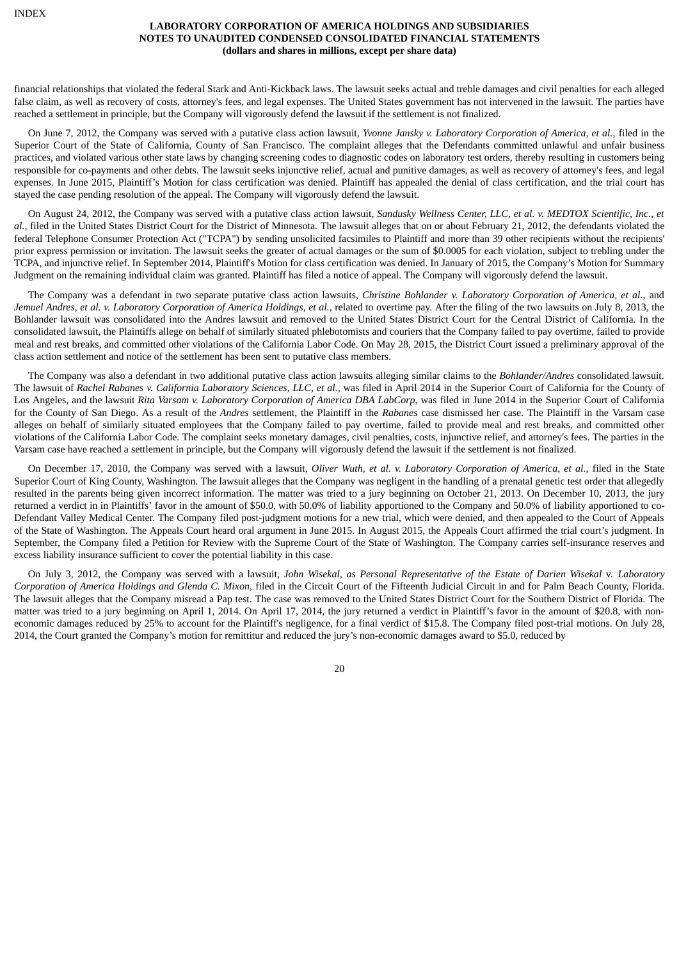financial relationships that violated the federal Stark and Anti-Kickback laws. The lawsuit seeks actual and treble damages and civil penalties for each alleged false claim, as well as recovery of costs, attorney's fees, and legal expenses. The United States government has not intervened in the lawsuit. The parties have reached a settlement in principle, but the Company will vigorously defend the lawsuit if the settlement is not finalized.

On June 7, 2012, the Company was served with a putative class action lawsuit, *Yvonne Jansky v. Laboratory Corporation of America, et al.*, filed in the Superior Court of the State of California, County of San Francisco. The complaint alleges that the Defendants committed unlawful and unfair business practices, and violated various other state laws by changing screening codes to diagnostic codes on laboratory test orders, thereby resulting in customers being responsible for co-payments and other debts. The lawsuit seeks injunctive relief, actual and punitive damages, as well as recovery of attorney's fees, and legal expenses. In June 2015, Plaintiff's Motion for class certification was denied. Plaintiff has appealed the denial of class certification, and the trial court has stayed the case pending resolution of the appeal. The Company will vigorously defend the lawsuit.

On August 24, 2012, the Company was served with a putative class action lawsuit, Sandusky Wellness Center, LLC, et al. v. MEDTOX Scientific, Inc., et *al.*, filed in the United States District Court for the District of Minnesota. The lawsuit alleges that on or about February 21, 2012, the defendants violated the federal Telephone Consumer Protection Act ("TCPA") by sending unsolicited facsimiles to Plaintiff and more than 39 other recipients without the recipients' prior express permission or invitation. The lawsuit seeks the greater of actual damages or the sum of \$0.0005 for each violation, subject to trebling under the TCPA, and injunctive relief. In September 2014, Plaintiff's Motion for class certification was denied. In January of 2015, the Company's Motion for Summary Judgment on the remaining individual claim was granted. Plaintiff has filed a notice of appeal. The Company will vigorously defend the lawsuit.

The Company was a defendant in two separate putative class action lawsuits, *Christine Bohlander v. Laboratory Corporation of America, et al.,* and Jemuel Andres, et al. v. Laboratory Corporation of America Holdinas, et al., related to overtime pay. After the filing of the two lawsuits on July 8, 2013, the Bohlander lawsuit was consolidated into the Andres lawsuit and removed to the United States District Court for the Central District of California. In the consolidated lawsuit, the Plaintiffs allege on behalf of similarly situated phlebotomists and couriers that the Company failed to pay overtime, failed to provide meal and rest breaks, and committed other violations of the California Labor Code. On May 28, 2015, the District Court issued a preliminary approval of the class action settlement and notice of the settlement has been sent to putative class members.

The Company was also a defendant in two additional putative class action lawsuits alleging similar claims to the *Bohlander/Andres* consolidated lawsuit. The lawsuit of *Rachel Rabanes v. California Laboratory Sciences, LLC, et al.,* was filed in April 2014 in the Superior Court of California for the County of Los Angeles, and the lawsuit *Rita Varsam v. Laboratory Corporation of America DBA LabCorp*, was filed in June 2014 in the Superior Court of California for the County of San Diego. As a result of the *Andres* settlement, the Plaintiff in the *Rabanes* case dismissed her case. The Plaintiff in the Varsam case alleges on behalf of similarly situated employees that the Company failed to pay overtime, failed to provide meal and rest breaks, and committed other violations of the California Labor Code. The complaint seeks monetary damages, civil penalties, costs, injunctive relief, and attorney's fees. The parties in the Varsam case have reached a settlement in principle, but the Company will vigorously defend the lawsuit if the settlement is not finalized.

On December 17, 2010, the Company was served with a lawsuit, *Oliver Wuth, et al. v. Laboratory Corporation of America, et al.*, filed in the State Superior Court of King County, Washington. The lawsuit alleges that the Company was negligent in the handling of a prenatal genetic test order that allegedly resulted in the parents being given incorrect information. The matter was tried to a jury beginning on October 21, 2013. On December 10, 2013, the jury returned a verdict in in Plaintiffs' favor in the amount of \$50.0, with 50.0% of liability apportioned to the Company and 50.0% of liability apportioned to co-Defendant Valley Medical Center. The Company filed post-judgment motions for a new trial, which were denied, and then appealed to the Court of Appeals of the State of Washington. The Appeals Court heard oral argument in June 2015. In August 2015, the Appeals Court affirmed the trial court's judgment. In September, the Company filed a Petition for Review with the Supreme Court of the State of Washington. The Company carries self-insurance reserves and excess liability insurance sufficient to cover the potential liability in this case.

On July 3, 2012, the Company was served with a lawsuit, John Wisekal, as Personal Representative of the Estate of Darien Wisekal v. Laboratory *Corporation of America Holdings and Glenda C. Mixon*, filed in the Circuit Court of the Fifteenth Judicial Circuit in and for Palm Beach County, Florida. The lawsuit alleges that the Company misread a Pap test. The case was removed to the United States District Court for the Southern District of Florida. The matter was tried to a jury beginning on April 1, 2014. On April 17, 2014, the jury returned a verdict in Plaintiff's favor in the amount of \$20.8, with noneconomic damages reduced by 25% to account for the Plaintiff's negligence, for a final verdict of \$15.8. The Company filed post-trial motions. On July 28, 2014, the Court granted the Company's motion for remittitur and reduced the jury's non-economic damages award to \$5.0, reduced by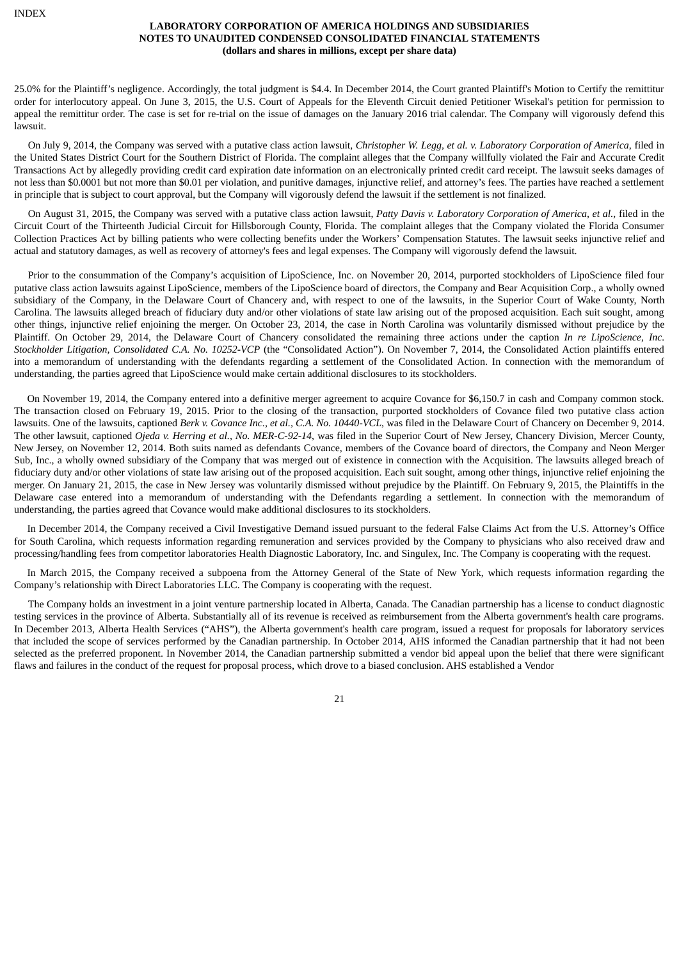25.0% for the Plaintiff's negligence. Accordingly, the total judgment is \$4.4. In December 2014, the Court granted Plaintiff's Motion to Certify the remittitur order for interlocutory appeal. On June 3, 2015, the U.S. Court of Appeals for the Eleventh Circuit denied Petitioner Wisekal's petition for permission to appeal the remittitur order. The case is set for re-trial on the issue of damages on the January 2016 trial calendar. The Company will vigorously defend this lawsuit.

On July 9, 2014, the Company was served with a putative class action lawsuit, *Christopher W. Legg, et al. v. Laboratory Corporation of America*, filed in the United States District Court for the Southern District of Florida. The complaint alleges that the Company willfully violated the Fair and Accurate Credit Transactions Act by allegedly providing credit card expiration date information on an electronically printed credit card receipt. The lawsuit seeks damages of not less than \$0.0001 but not more than \$0.01 per violation, and punitive damages, injunctive relief, and attorney's fees. The parties have reached a settlement in principle that is subject to court approval, but the Company will vigorously defend the lawsuit if the settlement is not finalized.

On August 31, 2015, the Company was served with a putative class action lawsuit, *Patty Davis v. Laboratory Corporation of America, et al.,* filed in the Circuit Court of the Thirteenth Judicial Circuit for Hillsborough County, Florida. The complaint alleges that the Company violated the Florida Consumer Collection Practices Act by billing patients who were collecting benefits under the Workers' Compensation Statutes. The lawsuit seeks injunctive relief and actual and statutory damages, as well as recovery of attorney's fees and legal expenses. The Company will vigorously defend the lawsuit.

Prior to the consummation of the Company's acquisition of LipoScience, Inc. on November 20, 2014, purported stockholders of LipoScience filed four putative class action lawsuits against LipoScience, members of the LipoScience board of directors, the Company and Bear Acquisition Corp., a wholly owned subsidiary of the Company, in the Delaware Court of Chancery and, with respect to one of the lawsuits, in the Superior Court of Wake County, North Carolina. The lawsuits alleged breach of fiduciary duty and/or other violations of state law arising out of the proposed acquisition. Each suit sought, among other things, injunctive relief enjoining the merger. On October 23, 2014, the case in North Carolina was voluntarily dismissed without prejudice by the Plaintiff. On October 29, 2014, the Delaware Court of Chancery consolidated the remaining three actions under the caption *In re LipoScience, Inc. Stockholder Litigation, Consolidated C.A. No. 10252-VCP* (the "Consolidated Action"). On November 7, 2014, the Consolidated Action plaintiffs entered into a memorandum of understanding with the defendants regarding a settlement of the Consolidated Action. In connection with the memorandum of understanding, the parties agreed that LipoScience would make certain additional disclosures to its stockholders.

On November 19, 2014, the Company entered into a definitive merger agreement to acquire Covance for \$6,150.7 in cash and Company common stock. The transaction closed on February 19, 2015. Prior to the closing of the transaction, purported stockholders of Covance filed two putative class action lawsuits. One of the lawsuits, captioned *Berk v. Covance Inc., et al., C.A. No. 10440-VCL*, was filed in the Delaware Court of Chancery on December 9, 2014. The other lawsuit, captioned *Ojeda v. Herring et al., No. MER-C-92-14*, was filed in the Superior Court of New Jersey, Chancery Division, Mercer County, New Jersey, on November 12, 2014. Both suits named as defendants Covance, members of the Covance board of directors, the Company and Neon Merger Sub, Inc., a wholly owned subsidiary of the Company that was merged out of existence in connection with the Acquisition. The lawsuits alleged breach of fiduciary duty and/or other violations of state law arising out of the proposed acquisition. Each suit sought, among other things, injunctive relief enjoining the merger. On January 21, 2015, the case in New Jersey was voluntarily dismissed without prejudice by the Plaintiff. On February 9, 2015, the Plaintiffs in the Delaware case entered into a memorandum of understanding with the Defendants regarding a settlement. In connection with the memorandum of understanding, the parties agreed that Covance would make additional disclosures to its stockholders.

In December 2014, the Company received a Civil Investigative Demand issued pursuant to the federal False Claims Act from the U.S. Attorney's Office for South Carolina, which requests information regarding remuneration and services provided by the Company to physicians who also received draw and processing/handling fees from competitor laboratories Health Diagnostic Laboratory, Inc. and Singulex, Inc. The Company is cooperating with the request.

In March 2015, the Company received a subpoena from the Attorney General of the State of New York, which requests information regarding the Company's relationship with Direct Laboratories LLC. The Company is cooperating with the request.

The Company holds an investment in a joint venture partnership located in Alberta, Canada. The Canadian partnership has a license to conduct diagnostic testing services in the province of Alberta. Substantially all of its revenue is received as reimbursement from the Alberta government's health care programs. In December 2013, Alberta Health Services ("AHS"), the Alberta government's health care program, issued a request for proposals for laboratory services that included the scope of services performed by the Canadian partnership. In October 2014, AHS informed the Canadian partnership that it had not been selected as the preferred proponent. In November 2014, the Canadian partnership submitted a vendor bid appeal upon the belief that there were significant flaws and failures in the conduct of the request for proposal process, which drove to a biased conclusion. AHS established a Vendor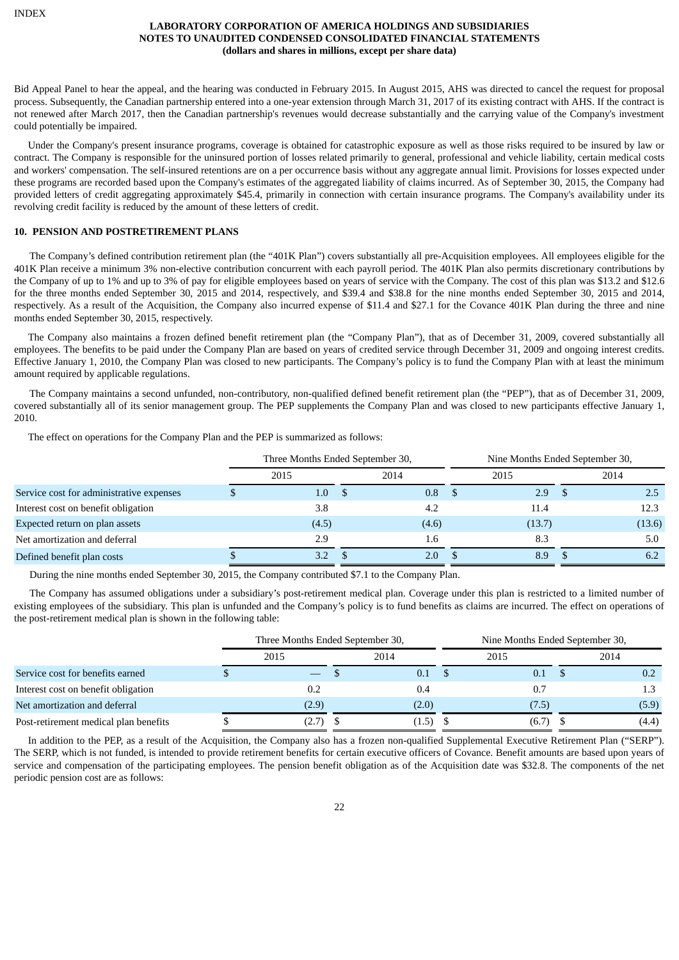Bid Appeal Panel to hear the appeal, and the hearing was conducted in February 2015. In August 2015, AHS was directed to cancel the request for proposal process. Subsequently, the Canadian partnership entered into a one-year extension through March 31, 2017 of its existing contract with AHS. If the contract is not renewed after March 2017, then the Canadian partnership's revenues would decrease substantially and the carrying value of the Company's investment could potentially be impaired.

Under the Company's present insurance programs, coverage is obtained for catastrophic exposure as well as those risks required to be insured by law or contract. The Company is responsible for the uninsured portion of losses related primarily to general, professional and vehicle liability, certain medical costs and workers' compensation. The self-insured retentions are on a per occurrence basis without any aggregate annual limit. Provisions for losses expected under these programs are recorded based upon the Company's estimates of the aggregated liability of claims incurred. As of September 30, 2015, the Company had provided letters of credit aggregating approximately \$45.4, primarily in connection with certain insurance programs. The Company's availability under its revolving credit facility is reduced by the amount of these letters of credit.

## **10. PENSION AND POSTRETIREMENT PLANS**

The Company's defined contribution retirement plan (the "401K Plan") covers substantially all pre-Acquisition employees. All employees eligible for the 401K Plan receive a minimum 3% non-elective contribution concurrent with each payroll period. The 401K Plan also permits discretionary contributions by the Company of up to 1% and up to 3% of pay for eligible employees based on years of service with the Company. The cost of this plan was \$13.2 and \$12.6 for the three months ended September 30, 2015 and 2014, respectively, and \$39.4 and \$38.8 for the nine months ended September 30, 2015 and 2014, respectively. As a result of the Acquisition, the Company also incurred expense of \$11.4 and \$27.1 for the Covance 401K Plan during the three and nine months ended September 30, 2015, respectively.

The Company also maintains a frozen defined benefit retirement plan (the "Company Plan"), that as of December 31, 2009, covered substantially all employees. The benefits to be paid under the Company Plan are based on years of credited service through December 31, 2009 and ongoing interest credits. Effective January 1, 2010, the Company Plan was closed to new participants. The Company's policy is to fund the Company Plan with at least the minimum amount required by applicable regulations.

The Company maintains a second unfunded, non-contributory, non-qualified defined benefit retirement plan (the "PEP"), that as of December 31, 2009, covered substantially all of its senior management group. The PEP supplements the Company Plan and was closed to new participants effective January 1, 2010.

The effect on operations for the Company Plan and the PEP is summarized as follows:

|                                          |      |         | Three Months Ended September 30, |       | Nine Months Ended September 30, |        |      |        |  |  |
|------------------------------------------|------|---------|----------------------------------|-------|---------------------------------|--------|------|--------|--|--|
|                                          | 2015 |         |                                  | 2014  |                                 | 2015   | 2014 |        |  |  |
| Service cost for administrative expenses |      | $1.0\,$ |                                  | 0.8   |                                 | 2.9    |      | 2.5    |  |  |
| Interest cost on benefit obligation      |      | 3.8     |                                  | 4.2   |                                 | 11.4   |      | 12.3   |  |  |
| Expected return on plan assets           |      | (4.5)   |                                  | (4.6) |                                 | (13.7) |      | (13.6) |  |  |
| Net amortization and deferral            |      | 2.9     |                                  | 1.6   |                                 | 8.3    |      | 5.0    |  |  |
| Defined benefit plan costs               |      | 3.2     |                                  | 2.0   |                                 | 8.9    |      | 6.2    |  |  |

During the nine months ended September 30, 2015, the Company contributed \$7.1 to the Company Plan.

The Company has assumed obligations under a subsidiary's post-retirement medical plan. Coverage under this plan is restricted to a limited number of existing employees of the subsidiary. This plan is unfunded and the Company's policy is to fund benefits as claims are incurred. The effect on operations of the post-retirement medical plan is shown in the following table:

|                                       |    | Three Months Ended September 30, |       | Nine Months Ended September 30, |       |  |       |  |  |  |
|---------------------------------------|----|----------------------------------|-------|---------------------------------|-------|--|-------|--|--|--|
|                                       |    | 2015                             | 2014  |                                 | 2015  |  | 2014  |  |  |  |
| Service cost for benefits earned      | ۰υ | $\hspace{0.05cm}$                | 0.1   |                                 | 0.1   |  | 0.2   |  |  |  |
| Interest cost on benefit obligation   |    | 0.2                              | 0.4   |                                 | 0.7   |  |       |  |  |  |
| Net amortization and deferral         |    | (2.9)                            | (2.0) |                                 | (7.5) |  | (5.9) |  |  |  |
| Post-retirement medical plan benefits |    | (2.7)                            | (1.5) |                                 | (6.7) |  | (4.4) |  |  |  |

In addition to the PEP, as a result of the Acquisition, the Company also has a frozen non-qualified Supplemental Executive Retirement Plan ("SERP"). The SERP, which is not funded, is intended to provide retirement benefits for certain executive officers of Covance. Benefit amounts are based upon years of service and compensation of the participating employees. The pension benefit obligation as of the Acquisition date was \$32.8. The components of the net periodic pension cost are as follows: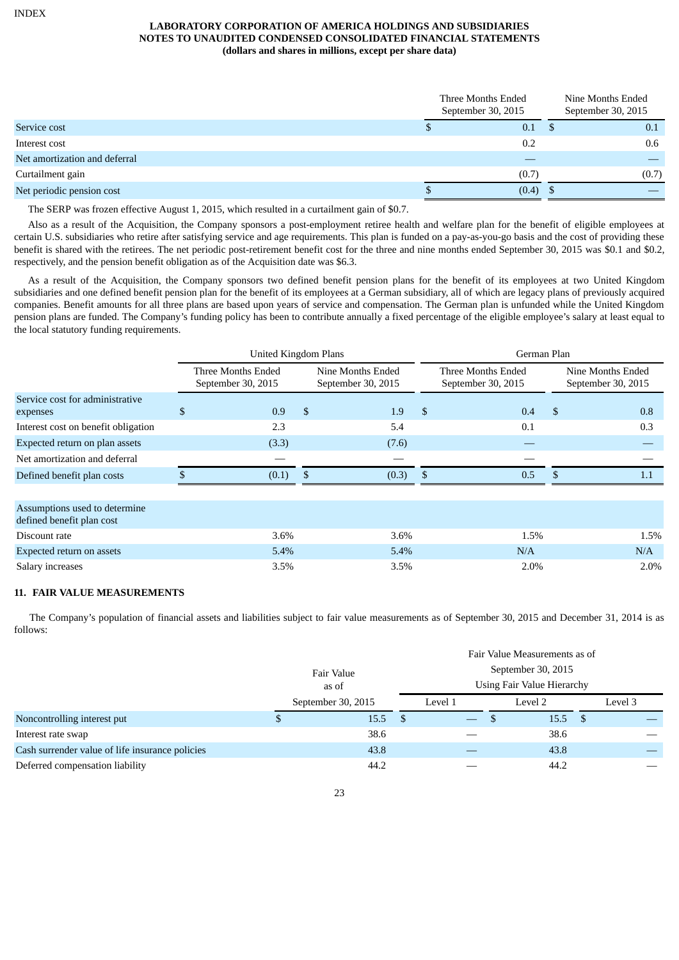|                               |     | Three Months Ended<br>September 30, 2015 | Nine Months Ended<br>September 30, 2015 |  |  |
|-------------------------------|-----|------------------------------------------|-----------------------------------------|--|--|
| Service cost                  | \$. | 0.1                                      | 0.1                                     |  |  |
| Interest cost                 |     | 0.2                                      | 0.6                                     |  |  |
| Net amortization and deferral |     |                                          |                                         |  |  |
| Curtailment gain              |     | (0.7)                                    | (0.7)                                   |  |  |
| Net periodic pension cost     |     | $(0.4)$ \$                               |                                         |  |  |

The SERP was frozen effective August 1, 2015, which resulted in a curtailment gain of \$0.7.

Also as a result of the Acquisition, the Company sponsors a post-employment retiree health and welfare plan for the benefit of eligible employees at certain U.S. subsidiaries who retire after satisfying service and age requirements. This plan is funded on a pay-as-you-go basis and the cost of providing these benefit is shared with the retirees. The net periodic post-retirement benefit cost for the three and nine months ended September 30, 2015 was \$0.1 and \$0.2, respectively, and the pension benefit obligation as of the Acquisition date was \$6.3.

As a result of the Acquisition, the Company sponsors two defined benefit pension plans for the benefit of its employees at two United Kingdom subsidiaries and one defined benefit pension plan for the benefit of its employees at a German subsidiary, all of which are legacy plans of previously acquired companies. Benefit amounts for all three plans are based upon years of service and compensation. The German plan is unfunded while the United Kingdom pension plans are funded. The Company's funding policy has been to contribute annually a fixed percentage of the eligible employee's salary at least equal to the local statutory funding requirements.

|                                                            | <b>United Kingdom Plans</b>              |              |                                         | German Plan |                                          |     |                                         |  |  |  |  |
|------------------------------------------------------------|------------------------------------------|--------------|-----------------------------------------|-------------|------------------------------------------|-----|-----------------------------------------|--|--|--|--|
|                                                            | Three Months Ended<br>September 30, 2015 |              | Nine Months Ended<br>September 30, 2015 |             | Three Months Ended<br>September 30, 2015 |     | Nine Months Ended<br>September 30, 2015 |  |  |  |  |
| Service cost for administrative                            |                                          |              |                                         |             |                                          |     |                                         |  |  |  |  |
| expenses                                                   | \$<br>0.9                                | $\mathbb{S}$ | 1.9                                     | \$          | 0.4                                      | \$  | 0.8                                     |  |  |  |  |
| Interest cost on benefit obligation                        | 2.3                                      |              | 5.4                                     |             | 0.1                                      |     | 0.3                                     |  |  |  |  |
| Expected return on plan assets                             | (3.3)                                    |              | (7.6)                                   |             |                                          |     |                                         |  |  |  |  |
| Net amortization and deferral                              |                                          |              |                                         |             |                                          |     |                                         |  |  |  |  |
| Defined benefit plan costs                                 | (0.1)                                    | \$           | (0.3)                                   | $\sqrt{S}$  | 0.5                                      | \$. | 1.1                                     |  |  |  |  |
|                                                            |                                          |              |                                         |             |                                          |     |                                         |  |  |  |  |
| Assumptions used to determine<br>defined benefit plan cost |                                          |              |                                         |             |                                          |     |                                         |  |  |  |  |
| Discount rate                                              | $3.6\%$                                  |              | 3.6%                                    |             | 1.5%                                     |     | 1.5%                                    |  |  |  |  |
| Expected return on assets                                  | 5.4%                                     |              | 5.4%                                    |             | N/A                                      |     | N/A                                     |  |  |  |  |
| Salary increases                                           | 3.5%                                     |              | 3.5%                                    |             | 2.0%                                     |     | 2.0%                                    |  |  |  |  |

## **11. FAIR VALUE MEASUREMENTS**

The Company's population of financial assets and liabilities subject to fair value measurements as of September 30, 2015 and December 31, 2014 is as follows:

|                                                 |                    |            | Fair Value Measurements as of     |                          |  |         |      |         |  |  |  |  |  |
|-------------------------------------------------|--------------------|------------|-----------------------------------|--------------------------|--|---------|------|---------|--|--|--|--|--|
|                                                 |                    | Fair Value | September 30, 2015                |                          |  |         |      |         |  |  |  |  |  |
|                                                 |                    | as of      | <b>Using Fair Value Hierarchy</b> |                          |  |         |      |         |  |  |  |  |  |
|                                                 | September 30, 2015 |            |                                   | Level 1                  |  | Level 2 |      | Level 3 |  |  |  |  |  |
| Noncontrolling interest put                     | J                  | 15.5       | - S                               | $\overline{\phantom{m}}$ |  | 15.5    | - \$ |         |  |  |  |  |  |
| Interest rate swap                              |                    | 38.6       |                                   |                          |  | 38.6    |      |         |  |  |  |  |  |
| Cash surrender value of life insurance policies |                    | 43.8       |                                   |                          |  | 43.8    |      |         |  |  |  |  |  |
| Deferred compensation liability                 |                    | 44.2       |                                   |                          |  | 44.2    |      |         |  |  |  |  |  |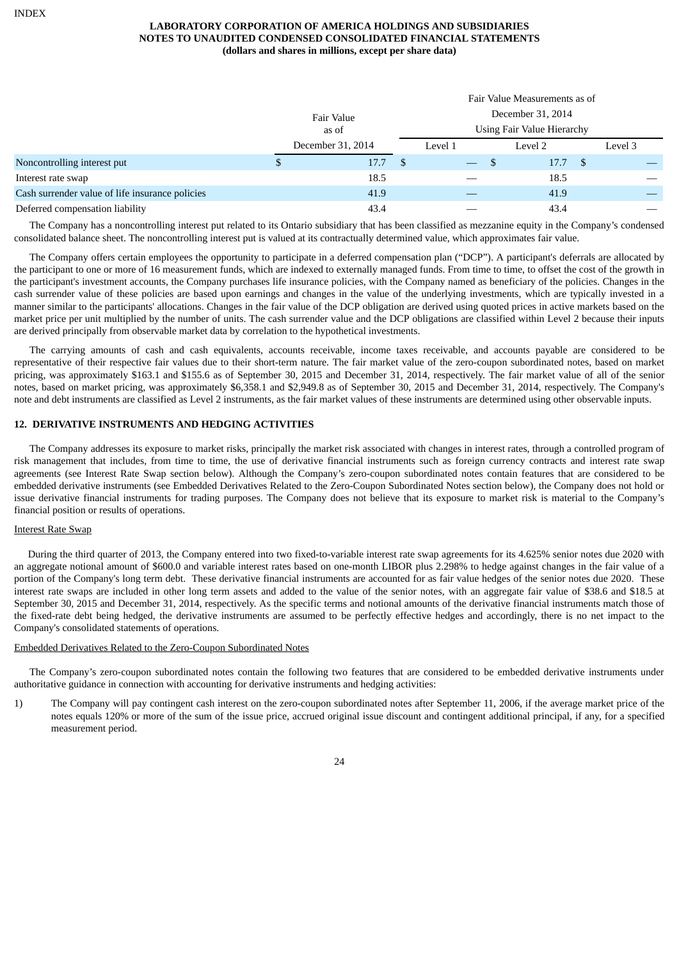|                                                 |    | Fair Value<br>as of |      |         |    | Fair Value Measurements as of<br>December 31, 2014<br>Using Fair Value Hierarchy |      |         |
|-------------------------------------------------|----|---------------------|------|---------|----|----------------------------------------------------------------------------------|------|---------|
|                                                 |    | December 31, 2014   |      | Level 1 |    | Level 2                                                                          |      | Level 3 |
| Noncontrolling interest put                     | S, | 17.7                | - SS | $\sim$  | -5 | 17.7                                                                             | - \$ |         |
| Interest rate swap                              |    | 18.5                |      |         |    | 18.5                                                                             |      |         |
| Cash surrender value of life insurance policies |    | 41.9                |      |         |    | 41.9                                                                             |      |         |
| Deferred compensation liability                 |    | 43.4                |      |         |    | 43.4                                                                             |      |         |

The Company has a noncontrolling interest put related to its Ontario subsidiary that has been classified as mezzanine equity in the Company's condensed consolidated balance sheet. The noncontrolling interest put is valued at its contractually determined value, which approximates fair value.

The Company offers certain employees the opportunity to participate in a deferred compensation plan ("DCP"). A participant's deferrals are allocated by the participant to one or more of 16 measurement funds, which are indexed to externally managed funds. From time to time, to offset the cost of the growth in the participant's investment accounts, the Company purchases life insurance policies, with the Company named as beneficiary of the policies. Changes in the cash surrender value of these policies are based upon earnings and changes in the value of the underlying investments, which are typically invested in a manner similar to the participants' allocations. Changes in the fair value of the DCP obligation are derived using quoted prices in active markets based on the market price per unit multiplied by the number of units. The cash surrender value and the DCP obligations are classified within Level 2 because their inputs are derived principally from observable market data by correlation to the hypothetical investments.

The carrying amounts of cash and cash equivalents, accounts receivable, income taxes receivable, and accounts payable are considered to be representative of their respective fair values due to their short-term nature. The fair market value of the zero-coupon subordinated notes, based on market pricing, was approximately \$163.1 and \$155.6 as of September 30, 2015 and December 31, 2014, respectively. The fair market value of all of the senior notes, based on market pricing, was approximately \$6,358.1 and \$2,949.8 as of September 30, 2015 and December 31, 2014, respectively. The Company's note and debt instruments are classified as Level 2 instruments, as the fair market values of these instruments are determined using other observable inputs.

## **12. DERIVATIVE INSTRUMENTS AND HEDGING ACTIVITIES**

The Company addresses its exposure to market risks, principally the market risk associated with changes in interest rates, through a controlled program of risk management that includes, from time to time, the use of derivative financial instruments such as foreign currency contracts and interest rate swap agreements (see Interest Rate Swap section below). Although the Company's zero-coupon subordinated notes contain features that are considered to be embedded derivative instruments (see Embedded Derivatives Related to the Zero-Coupon Subordinated Notes section below), the Company does not hold or issue derivative financial instruments for trading purposes. The Company does not believe that its exposure to market risk is material to the Company's financial position or results of operations.

#### **Interest Rate Swap**

During the third quarter of 2013, the Company entered into two fixed-to-variable interest rate swap agreements for its 4.625% senior notes due 2020 with an aggregate notional amount of \$600.0 and variable interest rates based on one-month LIBOR plus 2.298% to hedge against changes in the fair value of a portion of the Company's long term debt. These derivative financial instruments are accounted for as fair value hedges of the senior notes due 2020. These interest rate swaps are included in other long term assets and added to the value of the senior notes, with an aggregate fair value of \$38.6 and \$18.5 at September 30, 2015 and December 31, 2014, respectively. As the specific terms and notional amounts of the derivative financial instruments match those of the fixed-rate debt being hedged, the derivative instruments are assumed to be perfectly effective hedges and accordingly, there is no net impact to the Company's consolidated statements of operations.

#### Embedded Derivatives Related to the Zero-Coupon Subordinated Notes

The Company's zero-coupon subordinated notes contain the following two features that are considered to be embedded derivative instruments under authoritative guidance in connection with accounting for derivative instruments and hedging activities:

1) The Company will pay contingent cash interest on the zero-coupon subordinated notes after September 11, 2006, if the average market price of the notes equals 120% or more of the sum of the issue price, accrued original issue discount and contingent additional principal, if any, for a specified measurement period.

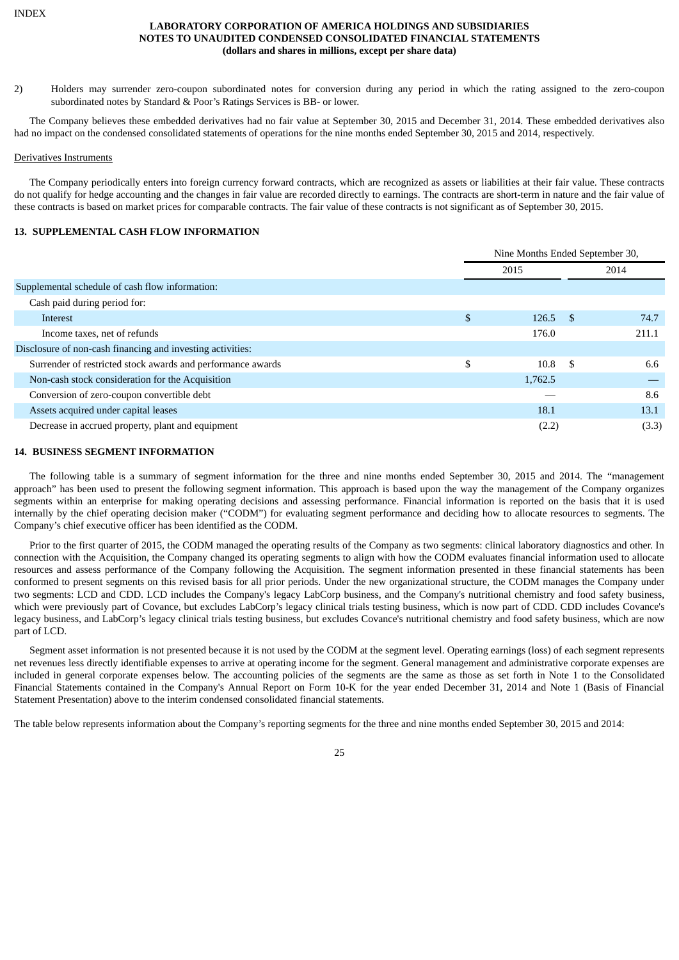2) Holders may surrender zero-coupon subordinated notes for conversion during any period in which the rating assigned to the zero-coupon subordinated notes by Standard & Poor's Ratings Services is BB- or lower.

The Company believes these embedded derivatives had no fair value at September 30, 2015 and December 31, 2014. These embedded derivatives also had no impact on the condensed consolidated statements of operations for the nine months ended September 30, 2015 and 2014, respectively.

## Derivatives Instruments

The Company periodically enters into foreign currency forward contracts, which are recognized as assets or liabilities at their fair value. These contracts do not qualify for hedge accounting and the changes in fair value are recorded directly to earnings. The contracts are short-term in nature and the fair value of these contracts is based on market prices for comparable contracts. The fair value of these contracts is not significant as of September 30, 2015.

## **13. SUPPLEMENTAL CASH FLOW INFORMATION**

|                                                             | Nine Months Ended September 30, |         |      |       |
|-------------------------------------------------------------|---------------------------------|---------|------|-------|
|                                                             |                                 | 2015    |      | 2014  |
| Supplemental schedule of cash flow information:             |                                 |         |      |       |
| Cash paid during period for:                                |                                 |         |      |       |
| Interest                                                    | \$                              | 126.5   | - \$ | 74.7  |
| Income taxes, net of refunds                                |                                 | 176.0   |      | 211.1 |
| Disclosure of non-cash financing and investing activities:  |                                 |         |      |       |
| Surrender of restricted stock awards and performance awards |                                 | 10.8    | -S   | 6.6   |
| Non-cash stock consideration for the Acquisition            |                                 | 1,762.5 |      |       |
| Conversion of zero-coupon convertible debt                  |                                 |         |      | 8.6   |
| Assets acquired under capital leases                        |                                 | 18.1    |      | 13.1  |
| Decrease in accrued property, plant and equipment           |                                 | (2.2)   |      | (3.3) |

#### **14. BUSINESS SEGMENT INFORMATION**

The following table is a summary of segment information for the three and nine months ended September 30, 2015 and 2014. The "management approach" has been used to present the following segment information. This approach is based upon the way the management of the Company organizes segments within an enterprise for making operating decisions and assessing performance. Financial information is reported on the basis that it is used internally by the chief operating decision maker ("CODM") for evaluating segment performance and deciding how to allocate resources to segments. The Company's chief executive officer has been identified as the CODM.

Prior to the first quarter of 2015, the CODM managed the operating results of the Company as two segments: clinical laboratory diagnostics and other. In connection with the Acquisition, the Company changed its operating segments to align with how the CODM evaluates financial information used to allocate resources and assess performance of the Company following the Acquisition. The segment information presented in these financial statements has been conformed to present segments on this revised basis for all prior periods. Under the new organizational structure, the CODM manages the Company under two segments: LCD and CDD. LCD includes the Company's legacy LabCorp business, and the Company's nutritional chemistry and food safety business, which were previously part of Covance, but excludes LabCorp's legacy clinical trials testing business, which is now part of CDD. CDD includes Covance's legacy business, and LabCorp's legacy clinical trials testing business, but excludes Covance's nutritional chemistry and food safety business, which are now part of LCD.

Segment asset information is not presented because it is not used by the CODM at the segment level. Operating earnings (loss) of each segment represents net revenues less directly identifiable expenses to arrive at operating income for the segment. General management and administrative corporate expenses are included in general corporate expenses below. The accounting policies of the segments are the same as those as set forth in Note 1 to the Consolidated Financial Statements contained in the Company's Annual Report on Form 10-K for the year ended December 31, 2014 and Note 1 (Basis of Financial Statement Presentation) above to the interim condensed consolidated financial statements.

The table below represents information about the Company's reporting segments for the three and nine months ended September 30, 2015 and 2014: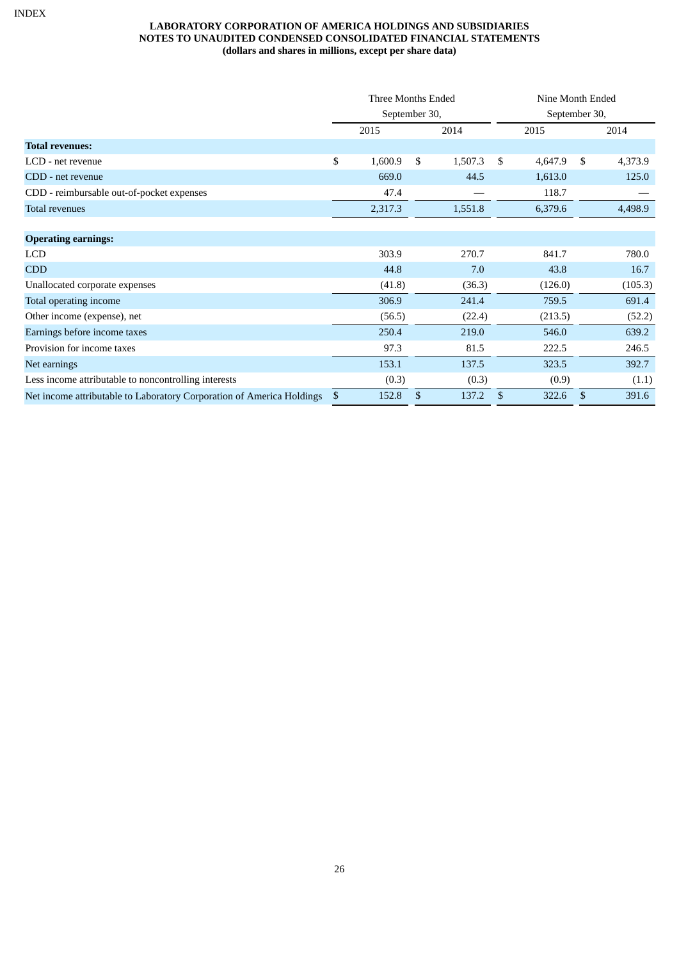<span id="page-26-0"></span>

|                                                                       | Three Months Ended<br>September 30, |         |    |         |    | Nine Month Ended<br>September 30, |    |         |       |  |
|-----------------------------------------------------------------------|-------------------------------------|---------|----|---------|----|-----------------------------------|----|---------|-------|--|
|                                                                       |                                     | 2015    |    | 2014    |    | 2015                              |    | 2014    |       |  |
| <b>Total revenues:</b>                                                |                                     |         |    |         |    |                                   |    |         |       |  |
| LCD - net revenue                                                     | \$                                  | 1,600.9 | \$ | 1,507.3 | \$ | 4,647.9                           | \$ | 4,373.9 |       |  |
| CDD - net revenue                                                     |                                     | 669.0   |    | 44.5    |    | 1,613.0                           |    | 125.0   |       |  |
| CDD - reimbursable out-of-pocket expenses                             |                                     | 47.4    |    |         |    | 118.7                             |    |         |       |  |
| <b>Total revenues</b>                                                 |                                     | 2,317.3 |    | 1,551.8 |    | 6,379.6                           |    | 4,498.9 |       |  |
|                                                                       |                                     |         |    |         |    |                                   |    |         |       |  |
| <b>Operating earnings:</b>                                            |                                     |         |    |         |    |                                   |    |         |       |  |
| LCD                                                                   |                                     | 303.9   |    | 270.7   |    | 841.7                             |    | 780.0   |       |  |
| <b>CDD</b>                                                            |                                     | 44.8    |    | 7.0     |    | 43.8                              |    | 16.7    |       |  |
| Unallocated corporate expenses                                        |                                     | (41.8)  |    | (36.3)  |    | (126.0)                           |    | (105.3) |       |  |
| Total operating income                                                |                                     | 306.9   |    | 241.4   |    | 759.5                             |    | 691.4   |       |  |
| Other income (expense), net                                           |                                     | (56.5)  |    | (22.4)  |    | (213.5)                           |    | (52.2)  |       |  |
| Earnings before income taxes                                          |                                     | 250.4   |    | 219.0   |    | 546.0                             |    | 639.2   |       |  |
| Provision for income taxes                                            |                                     | 97.3    |    | 81.5    |    | 222.5                             |    | 246.5   |       |  |
| Net earnings                                                          |                                     | 153.1   |    | 137.5   |    | 323.5                             |    | 392.7   |       |  |
| Less income attributable to noncontrolling interests                  |                                     | (0.3)   |    | (0.3)   |    |                                   |    | (0.9)   | (1.1) |  |
| Net income attributable to Laboratory Corporation of America Holdings | \$                                  | 152.8   | \$ | 137.2   | \$ | 322.6                             | \$ | 391.6   |       |  |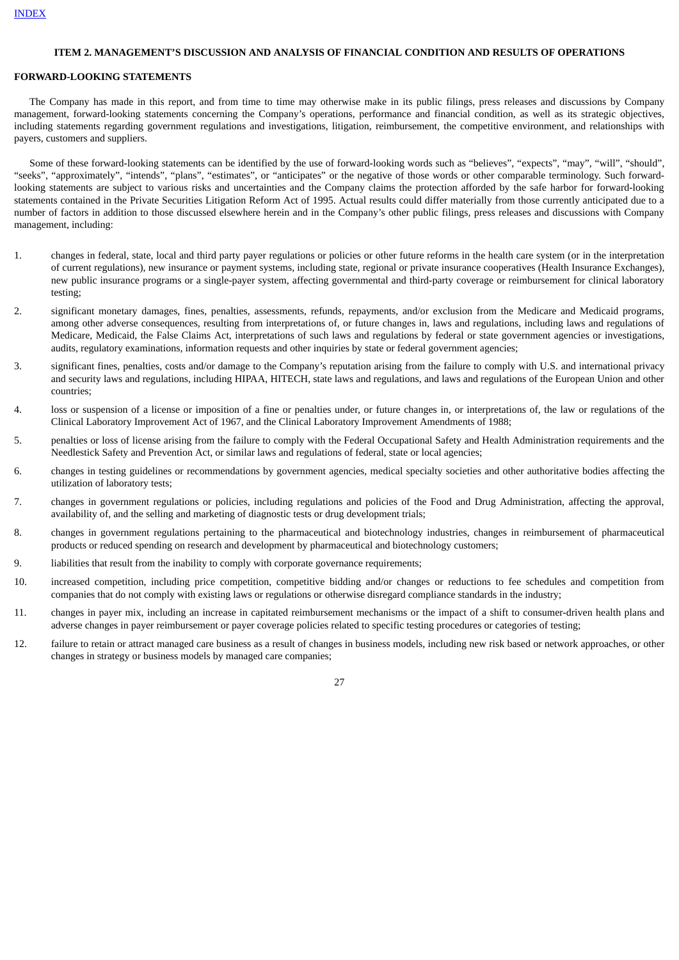#### **ITEM 2. MANAGEMENT'S DISCUSSION AND ANALYSIS OF FINANCIAL CONDITION AND RESULTS OF OPERATIONS**

## **FORWARD-LOOKING STATEMENTS**

The Company has made in this report, and from time to time may otherwise make in its public filings, press releases and discussions by Company management, forward-looking statements concerning the Company's operations, performance and financial condition, as well as its strategic objectives, including statements regarding government regulations and investigations, litigation, reimbursement, the competitive environment, and relationships with payers, customers and suppliers.

Some of these forward-looking statements can be identified by the use of forward-looking words such as "believes", "expects", "may", "will", "should", "seeks", "approximately", "intends", "plans", "estimates", or "anticipates" or the negative of those words or other comparable terminology. Such forwardlooking statements are subject to various risks and uncertainties and the Company claims the protection afforded by the safe harbor for forward-looking statements contained in the Private Securities Litigation Reform Act of 1995. Actual results could differ materially from those currently anticipated due to a number of factors in addition to those discussed elsewhere herein and in the Company's other public filings, press releases and discussions with Company management, including:

- 1. changes in federal, state, local and third party payer regulations or policies or other future reforms in the health care system (or in the interpretation of current regulations), new insurance or payment systems, including state, regional or private insurance cooperatives (Health Insurance Exchanges), new public insurance programs or a single-payer system, affecting governmental and third-party coverage or reimbursement for clinical laboratory testing;
- 2. significant monetary damages, fines, penalties, assessments, refunds, repayments, and/or exclusion from the Medicare and Medicaid programs, among other adverse consequences, resulting from interpretations of, or future changes in, laws and regulations, including laws and regulations of Medicare, Medicaid, the False Claims Act, interpretations of such laws and regulations by federal or state government agencies or investigations, audits, regulatory examinations, information requests and other inquiries by state or federal government agencies;
- 3. significant fines, penalties, costs and/or damage to the Company's reputation arising from the failure to comply with U.S. and international privacy and security laws and regulations, including HIPAA, HITECH, state laws and regulations, and laws and regulations of the European Union and other countries;
- 4. loss or suspension of a license or imposition of a fine or penalties under, or future changes in, or interpretations of, the law or regulations of the Clinical Laboratory Improvement Act of 1967, and the Clinical Laboratory Improvement Amendments of 1988;
- 5. penalties or loss of license arising from the failure to comply with the Federal Occupational Safety and Health Administration requirements and the Needlestick Safety and Prevention Act, or similar laws and regulations of federal, state or local agencies;
- 6. changes in testing guidelines or recommendations by government agencies, medical specialty societies and other authoritative bodies affecting the utilization of laboratory tests;
- 7. changes in government regulations or policies, including regulations and policies of the Food and Drug Administration, affecting the approval, availability of, and the selling and marketing of diagnostic tests or drug development trials;
- 8. changes in government regulations pertaining to the pharmaceutical and biotechnology industries, changes in reimbursement of pharmaceutical products or reduced spending on research and development by pharmaceutical and biotechnology customers;
- 9. liabilities that result from the inability to comply with corporate governance requirements;
- 10. increased competition, including price competition, competitive bidding and/or changes or reductions to fee schedules and competition from companies that do not comply with existing laws or regulations or otherwise disregard compliance standards in the industry;
- 11. changes in payer mix, including an increase in capitated reimbursement mechanisms or the impact of a shift to consumer-driven health plans and adverse changes in payer reimbursement or payer coverage policies related to specific testing procedures or categories of testing;
- 12. failure to retain or attract managed care business as a result of changes in business models, including new risk based or network approaches, or other changes in strategy or business models by managed care companies;

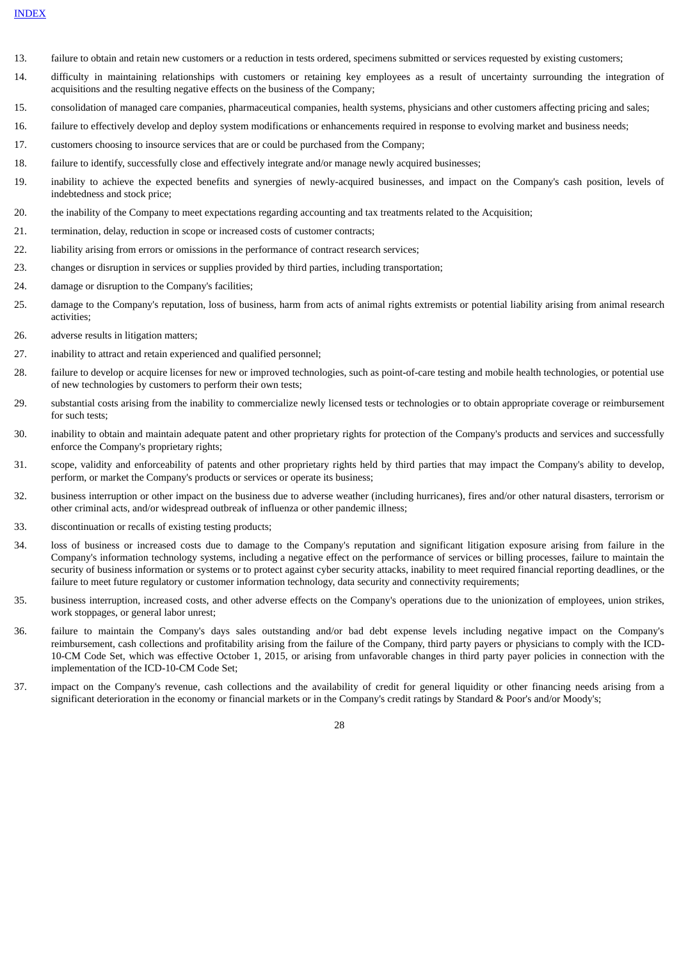- 13. failure to obtain and retain new customers or a reduction in tests ordered, specimens submitted or services requested by existing customers;
- 14. difficulty in maintaining relationships with customers or retaining key employees as a result of uncertainty surrounding the integration of acquisitions and the resulting negative effects on the business of the Company;
- 15. consolidation of managed care companies, pharmaceutical companies, health systems, physicians and other customers affecting pricing and sales;
- 16. failure to effectively develop and deploy system modifications or enhancements required in response to evolving market and business needs;
- 17. customers choosing to insource services that are or could be purchased from the Company;
- 18. failure to identify, successfully close and effectively integrate and/or manage newly acquired businesses;
- 19. inability to achieve the expected benefits and synergies of newly-acquired businesses, and impact on the Company's cash position, levels of indebtedness and stock price;
- 20. the inability of the Company to meet expectations regarding accounting and tax treatments related to the Acquisition;
- 21. termination, delay, reduction in scope or increased costs of customer contracts;
- 22. liability arising from errors or omissions in the performance of contract research services;
- 23. changes or disruption in services or supplies provided by third parties, including transportation;
- 24. damage or disruption to the Company's facilities;
- 25. damage to the Company's reputation, loss of business, harm from acts of animal rights extremists or potential liability arising from animal research activities;
- 26. adverse results in litigation matters;
- 27. inability to attract and retain experienced and qualified personnel;
- 28. failure to develop or acquire licenses for new or improved technologies, such as point-of-care testing and mobile health technologies, or potential use of new technologies by customers to perform their own tests;
- 29. substantial costs arising from the inability to commercialize newly licensed tests or technologies or to obtain appropriate coverage or reimbursement for such tests;
- 30. inability to obtain and maintain adequate patent and other proprietary rights for protection of the Company's products and services and successfully enforce the Company's proprietary rights;
- 31. scope, validity and enforceability of patents and other proprietary rights held by third parties that may impact the Company's ability to develop, perform, or market the Company's products or services or operate its business;
- 32. business interruption or other impact on the business due to adverse weather (including hurricanes), fires and/or other natural disasters, terrorism or other criminal acts, and/or widespread outbreak of influenza or other pandemic illness;
- 33. discontinuation or recalls of existing testing products;
- 34. loss of business or increased costs due to damage to the Company's reputation and significant litigation exposure arising from failure in the Company's information technology systems, including a negative effect on the performance of services or billing processes, failure to maintain the security of business information or systems or to protect against cyber security attacks, inability to meet required financial reporting deadlines, or the failure to meet future regulatory or customer information technology, data security and connectivity requirements;
- 35. business interruption, increased costs, and other adverse effects on the Company's operations due to the unionization of employees, union strikes, work stoppages, or general labor unrest;
- 36. failure to maintain the Company's days sales outstanding and/or bad debt expense levels including negative impact on the Company's reimbursement, cash collections and profitability arising from the failure of the Company, third party payers or physicians to comply with the ICD-10-CM Code Set, which was effective October 1, 2015, or arising from unfavorable changes in third party payer policies in connection with the implementation of the ICD-10-CM Code Set;
- 37. impact on the Company's revenue, cash collections and the availability of credit for general liquidity or other financing needs arising from a significant deterioration in the economy or financial markets or in the Company's credit ratings by Standard & Poor's and/or Moody's;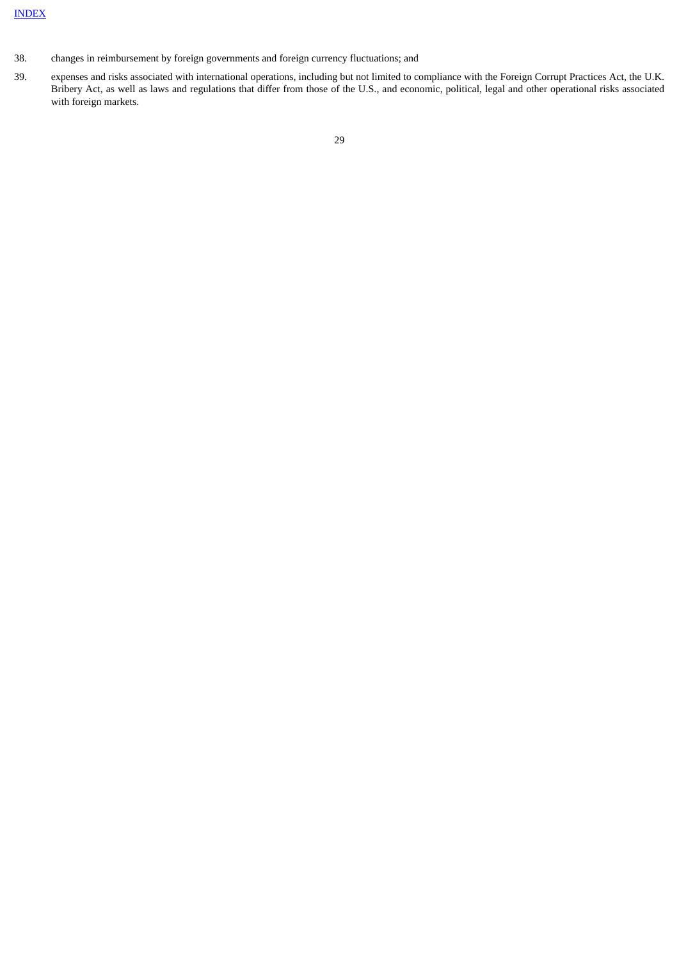## [INDEX](#page-0-0)

- 38. changes in reimbursement by foreign governments and foreign currency fluctuations; and
- 39. expenses and risks associated with international operations, including but not limited to compliance with the Foreign Corrupt Practices Act, the U.K. Bribery Act, as well as laws and regulations that differ from those of the U.S., and economic, political, legal and other operational risks associated with foreign markets.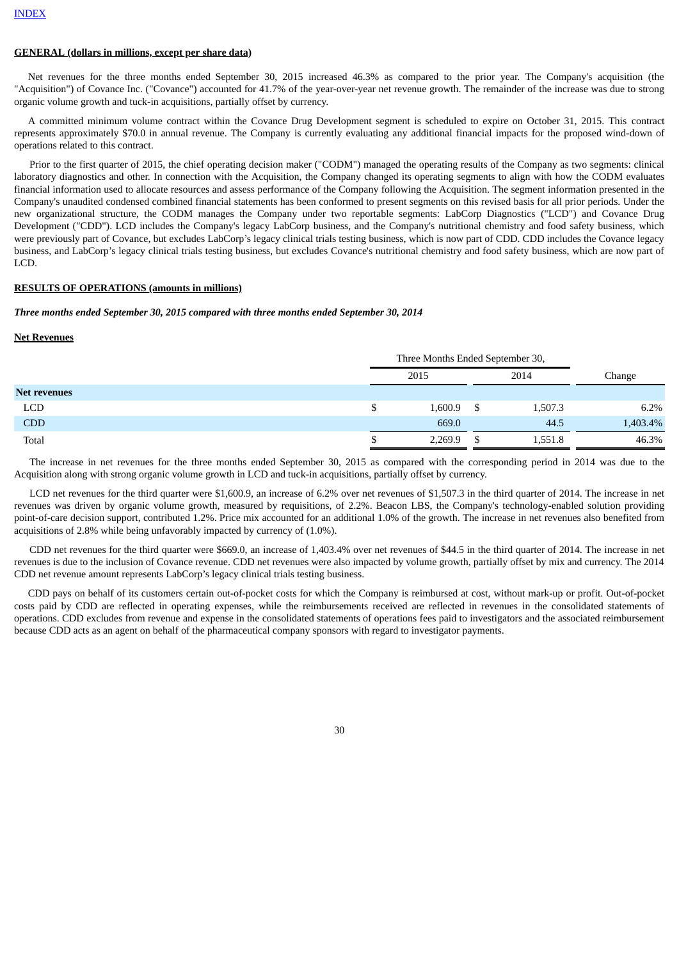## **GENERAL (dollars in millions, except per share data)**

Net revenues for the three months ended September 30, 2015 increased 46.3% as compared to the prior year. The Company's acquisition (the "Acquisition") of Covance Inc. ("Covance") accounted for 41.7% of the year-over-year net revenue growth. The remainder of the increase was due to strong organic volume growth and tuck-in acquisitions, partially offset by currency.

A committed minimum volume contract within the Covance Drug Development segment is scheduled to expire on October 31, 2015. This contract represents approximately \$70.0 in annual revenue. The Company is currently evaluating any additional financial impacts for the proposed wind-down of operations related to this contract.

Prior to the first quarter of 2015, the chief operating decision maker ("CODM") managed the operating results of the Company as two segments: clinical laboratory diagnostics and other. In connection with the Acquisition, the Company changed its operating segments to align with how the CODM evaluates financial information used to allocate resources and assess performance of the Company following the Acquisition. The segment information presented in the Company's unaudited condensed combined financial statements has been conformed to present segments on this revised basis for all prior periods. Under the new organizational structure, the CODM manages the Company under two reportable segments: LabCorp Diagnostics ("LCD") and Covance Drug Development ("CDD"). LCD includes the Company's legacy LabCorp business, and the Company's nutritional chemistry and food safety business, which were previously part of Covance, but excludes LabCorp's legacy clinical trials testing business, which is now part of CDD. CDD includes the Covance legacy business, and LabCorp's legacy clinical trials testing business, but excludes Covance's nutritional chemistry and food safety business, which are now part of LCD.

#### **RESULTS OF OPERATIONS (amounts in millions)**

#### *Three months ended September 30, 2015 compared with three months ended September 30, 2014*

#### **Net Revenues**

|                     |   | Three Months Ended September 30, |  |         |          |  |
|---------------------|---|----------------------------------|--|---------|----------|--|
|                     |   | 2015                             |  | 2014    | Change   |  |
| <b>Net revenues</b> |   |                                  |  |         |          |  |
| <b>LCD</b>          | S | 1,600.9                          |  | 1,507.3 | $6.2\%$  |  |
| <b>CDD</b>          |   | 669.0                            |  | 44.5    | 1,403.4% |  |
| Total               |   | 2,269.9                          |  | 1,551.8 | 46.3%    |  |

The increase in net revenues for the three months ended September 30, 2015 as compared with the corresponding period in 2014 was due to the Acquisition along with strong organic volume growth in LCD and tuck-in acquisitions, partially offset by currency.

LCD net revenues for the third quarter were \$1,600.9, an increase of 6.2% over net revenues of \$1,507.3 in the third quarter of 2014. The increase in net revenues was driven by organic volume growth, measured by requisitions, of 2.2%. Beacon LBS, the Company's technology-enabled solution providing point-of-care decision support, contributed 1.2%. Price mix accounted for an additional 1.0% of the growth. The increase in net revenues also benefited from acquisitions of 2.8% while being unfavorably impacted by currency of (1.0%).

CDD net revenues for the third quarter were \$669.0, an increase of 1,403.4% over net revenues of \$44.5 in the third quarter of 2014. The increase in net revenues is due to the inclusion of Covance revenue. CDD net revenues were also impacted by volume growth, partially offset by mix and currency. The 2014 CDD net revenue amount represents LabCorp's legacy clinical trials testing business.

CDD pays on behalf of its customers certain out-of-pocket costs for which the Company is reimbursed at cost, without mark-up or profit. Out-of-pocket costs paid by CDD are reflected in operating expenses, while the reimbursements received are reflected in revenues in the consolidated statements of operations. CDD excludes from revenue and expense in the consolidated statements of operations fees paid to investigators and the associated reimbursement because CDD acts as an agent on behalf of the pharmaceutical company sponsors with regard to investigator payments.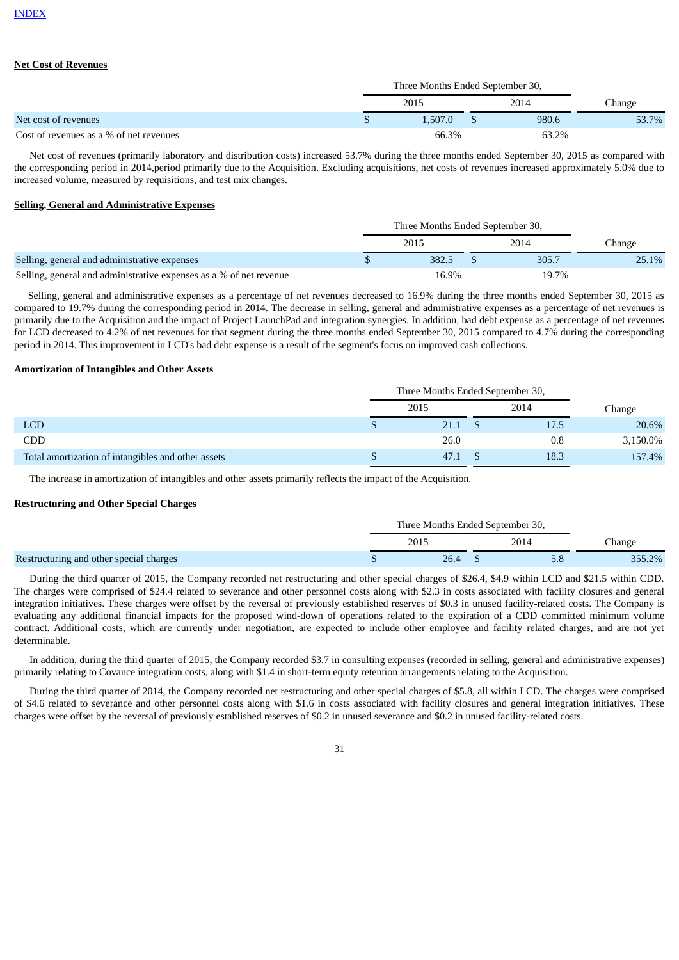## **Net Cost of Revenues**

|                                         |  | Three Months Ended September 30, |       |               |  |
|-----------------------------------------|--|----------------------------------|-------|---------------|--|
|                                         |  | 2015                             | 2014  | <b>Change</b> |  |
| Net cost of revenues                    |  | l.507.0                          | 980.6 | 53.7%         |  |
| Cost of revenues as a % of net revenues |  | 66.3%                            | 63.2% |               |  |

Net cost of revenues (primarily laboratory and distribution costs) increased 53.7% during the three months ended September 30, 2015 as compared with the corresponding period in 2014,period primarily due to the Acquisition. Excluding acquisitions, net costs of revenues increased approximately 5.0% due to increased volume, measured by requisitions, and test mix changes.

## **Selling, General and Administrative Expenses**

|                                                                    | Three Months Ended September 30, |       |       |        |  |
|--------------------------------------------------------------------|----------------------------------|-------|-------|--------|--|
|                                                                    |                                  | 2015  | 2014  | Change |  |
| Selling, general and administrative expenses                       |                                  | 382.5 | 305.7 | 25.1%  |  |
| Selling, general and administrative expenses as a % of net revenue |                                  | 16.9% | 19.7% |        |  |

Selling, general and administrative expenses as a percentage of net revenues decreased to 16.9% during the three months ended September 30, 2015 as compared to 19.7% during the corresponding period in 2014. The decrease in selling, general and administrative expenses as a percentage of net revenues is primarily due to the Acquisition and the impact of Project LaunchPad and integration synergies. In addition, bad debt expense as a percentage of net revenues for LCD decreased to 4.2% of net revenues for that segment during the three months ended September 30, 2015 compared to 4.7% during the corresponding period in 2014. This improvement in LCD's bad debt expense is a result of the segment's focus on improved cash collections.

## **Amortization of Intangibles and Other Assets**

|                                                    |  | 2015 | 2014 | Change   |
|----------------------------------------------------|--|------|------|----------|
| <b>LCD</b>                                         |  | 21.1 | 17.5 | 20.6%    |
| CDD                                                |  | 26.0 | 0.8  | 3,150.0% |
| Total amortization of intangibles and other assets |  | 47.1 | 18.3 | 157.4%   |

The increase in amortization of intangibles and other assets primarily reflects the impact of the Acquisition.

## **Restructuring and Other Special Charges**

|                                         |      | Three Months Ended September 30, |  |      |          |  |
|-----------------------------------------|------|----------------------------------|--|------|----------|--|
|                                         | 2015 |                                  |  | 2014 | Change : |  |
| Restructuring and other special charges |      | 26.4                             |  | J.C  | 355.2%   |  |

During the third quarter of 2015, the Company recorded net restructuring and other special charges of \$26.4, \$4.9 within LCD and \$21.5 within CDD. The charges were comprised of \$24.4 related to severance and other personnel costs along with \$2.3 in costs associated with facility closures and general integration initiatives. These charges were offset by the reversal of previously established reserves of \$0.3 in unused facility-related costs. The Company is evaluating any additional financial impacts for the proposed wind-down of operations related to the expiration of a CDD committed minimum volume contract. Additional costs, which are currently under negotiation, are expected to include other employee and facility related charges, and are not yet determinable.

In addition, during the third quarter of 2015, the Company recorded \$3.7 in consulting expenses (recorded in selling, general and administrative expenses) primarily relating to Covance integration costs, along with \$1.4 in short-term equity retention arrangements relating to the Acquisition.

During the third quarter of 2014, the Company recorded net restructuring and other special charges of \$5.8, all within LCD. The charges were comprised of \$4.6 related to severance and other personnel costs along with \$1.6 in costs associated with facility closures and general integration initiatives. These charges were offset by the reversal of previously established reserves of \$0.2 in unused severance and \$0.2 in unused facility-related costs.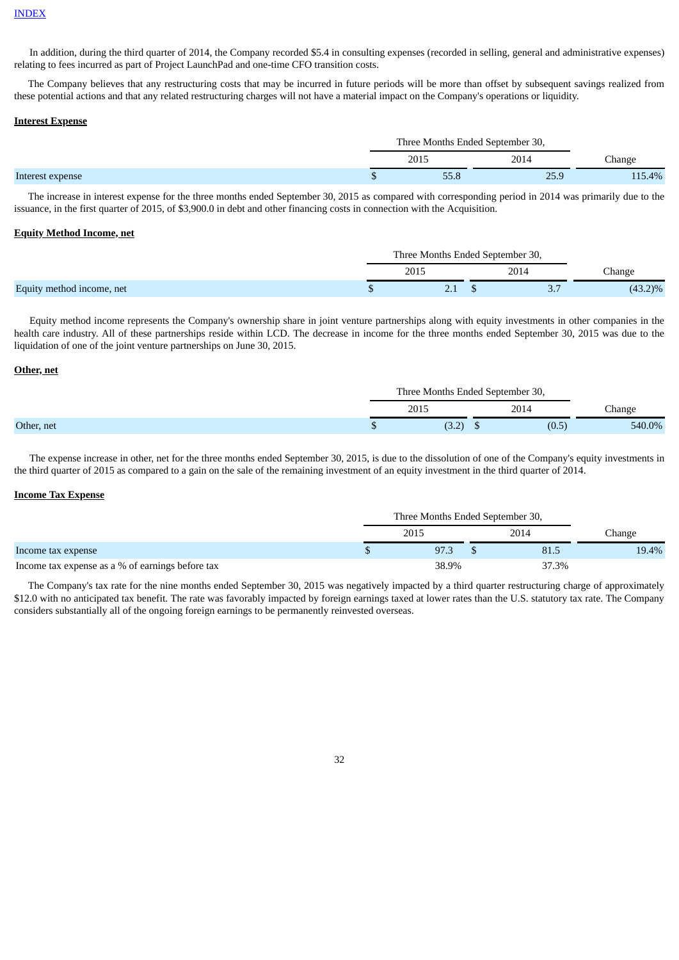In addition, during the third quarter of 2014, the Company recorded \$5.4 in consulting expenses (recorded in selling, general and administrative expenses) relating to fees incurred as part of Project LaunchPad and one-time CFO transition costs.

The Company believes that any restructuring costs that may be incurred in future periods will be more than offset by subsequent savings realized from these potential actions and that any related restructuring charges will not have a material impact on the Company's operations or liquidity.

#### **Interest Expense**

|  |      |      | Three Months Ended September 30, |          |
|--|------|------|----------------------------------|----------|
|  | 2015 |      | 2014                             | `hange   |
|  |      | 55.8 | ے ، اب                           | $15.4\%$ |

The increase in interest expense for the three months ended September 30, 2015 as compared with corresponding period in 2014 was primarily due to the issuance, in the first quarter of 2015, of \$3,900.0 in debt and other financing costs in connection with the Acquisition.

#### **Equity Method Income, net**

|                           | Three Months Ended September 30, |  |  |            |
|---------------------------|----------------------------------|--|--|------------|
|                           | 2015<br>2014                     |  |  | Change     |
| Equity method income, net | . ب<br>$\sim$ .                  |  |  | $(43.2)\%$ |

Equity method income represents the Company's ownership share in joint venture partnerships along with equity investments in other companies in the health care industry. All of these partnerships reside within LCD. The decrease in income for the three months ended September 30, 2015 was due to the liquidation of one of the joint venture partnerships on June 30, 2015.

#### **Other, net**

|            | Three Months Ended September 30, |       |               |
|------------|----------------------------------|-------|---------------|
|            | 2015                             | 2014  | <b>Change</b> |
| Other, net | (3.2)                            | (0.5) | 540.0%        |

The expense increase in other, net for the three months ended September 30, 2015, is due to the dissolution of one of the Company's equity investments in the third quarter of 2015 as compared to a gain on the sale of the remaining investment of an equity investment in the third quarter of 2014.

#### **Income Tax Expense**

|                                                  |  | Three Months Ended September 30, |      |       |               |  |
|--------------------------------------------------|--|----------------------------------|------|-------|---------------|--|
|                                                  |  | 2015                             | 2014 |       | <b>Change</b> |  |
| Income tax expense                               |  | 97.3                             |      | 81.5  | 19.4%         |  |
| Income tax expense as a % of earnings before tax |  | 38.9%                            |      | 37.3% |               |  |

The Company's tax rate for the nine months ended September 30, 2015 was negatively impacted by a third quarter restructuring charge of approximately \$12.0 with no anticipated tax benefit. The rate was favorably impacted by foreign earnings taxed at lower rates than the U.S. statutory tax rate. The Company considers substantially all of the ongoing foreign earnings to be permanently reinvested overseas.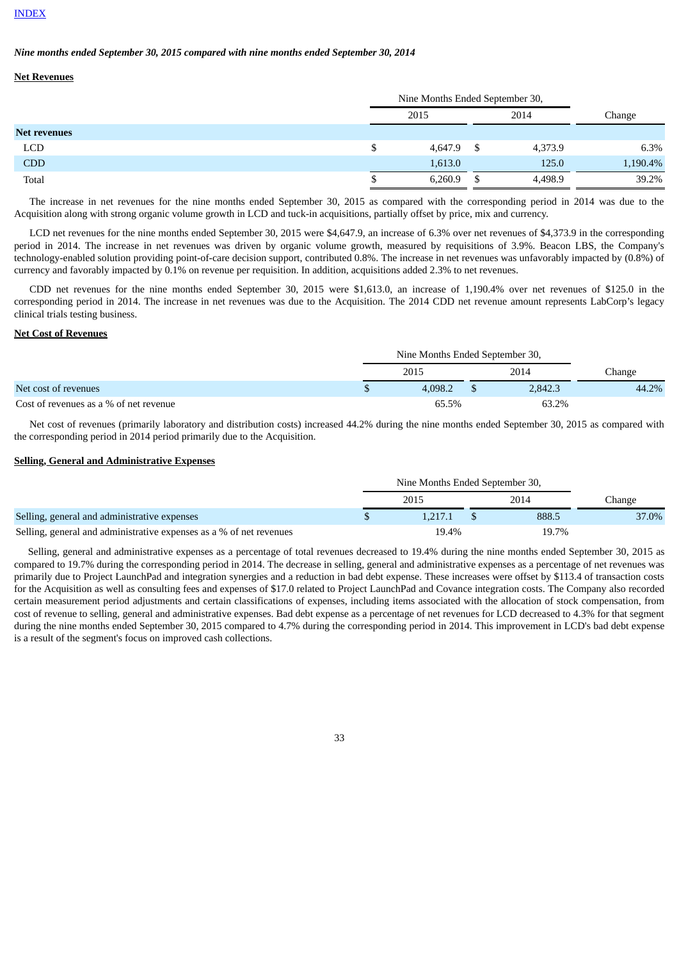#### *Nine months ended September 30, 2015 compared with nine months ended September 30, 2014*

#### **Net Revenues**

|                     | Nine Months Ended September 30, |         |          |  |
|---------------------|---------------------------------|---------|----------|--|
|                     | 2015                            | 2014    | Change   |  |
| <b>Net revenues</b> |                                 |         |          |  |
| <b>LCD</b>          | 4,647.9                         | 4,373.9 | 6.3%     |  |
| <b>CDD</b>          | 1,613.0                         | 125.0   | 1,190.4% |  |
| Total               | 6,260.9                         | 4,498.9 | 39.2%    |  |

The increase in net revenues for the nine months ended September 30, 2015 as compared with the corresponding period in 2014 was due to the Acquisition along with strong organic volume growth in LCD and tuck-in acquisitions, partially offset by price, mix and currency.

LCD net revenues for the nine months ended September 30, 2015 were \$4,647.9, an increase of 6.3% over net revenues of \$4,373.9 in the corresponding period in 2014. The increase in net revenues was driven by organic volume growth, measured by requisitions of 3.9%. Beacon LBS, the Company's technology-enabled solution providing point-of-care decision support, contributed 0.8%. The increase in net revenues was unfavorably impacted by (0.8%) of currency and favorably impacted by 0.1% on revenue per requisition. In addition, acquisitions added 2.3% to net revenues.

CDD net revenues for the nine months ended September 30, 2015 were \$1,613.0, an increase of 1,190.4% over net revenues of \$125.0 in the corresponding period in 2014. The increase in net revenues was due to the Acquisition. The 2014 CDD net revenue amount represents LabCorp's legacy clinical trials testing business.

#### **Net Cost of Revenues**

|                                        |  | 2015    | 2014    | Change |  |
|----------------------------------------|--|---------|---------|--------|--|
| Net cost of revenues                   |  | 4.098.2 | 2,842.3 | 44.2%  |  |
| Cost of revenues as a % of net revenue |  | 65.5%   | 63.2%   |        |  |

Net cost of revenues (primarily laboratory and distribution costs) increased 44.2% during the nine months ended September 30, 2015 as compared with the corresponding period in 2014 period primarily due to the Acquisition.

#### **Selling, General and Administrative Expenses**

|                                                                     |  | Nine Months Ended September 30, |  |       |                 |  |
|---------------------------------------------------------------------|--|---------------------------------|--|-------|-----------------|--|
|                                                                     |  | 2015                            |  | 2014  | Change<br>37.0% |  |
| Selling, general and administrative expenses                        |  | 1.217.1                         |  | 888.5 |                 |  |
| Selling, general and administrative expenses as a % of net revenues |  | 19.4%                           |  | 19.7% |                 |  |

Selling, general and administrative expenses as a percentage of total revenues decreased to 19.4% during the nine months ended September 30, 2015 as compared to 19.7% during the corresponding period in 2014. The decrease in selling, general and administrative expenses as a percentage of net revenues was primarily due to Project LaunchPad and integration synergies and a reduction in bad debt expense. These increases were offset by \$113.4 of transaction costs for the Acquisition as well as consulting fees and expenses of \$17.0 related to Project LaunchPad and Covance integration costs. The Company also recorded certain measurement period adjustments and certain classifications of expenses, including items associated with the allocation of stock compensation, from cost of revenue to selling, general and administrative expenses. Bad debt expense as a percentage of net revenues for LCD decreased to 4.3% for that segment during the nine months ended September 30, 2015 compared to 4.7% during the corresponding period in 2014. This improvement in LCD's bad debt expense is a result of the segment's focus on improved cash collections.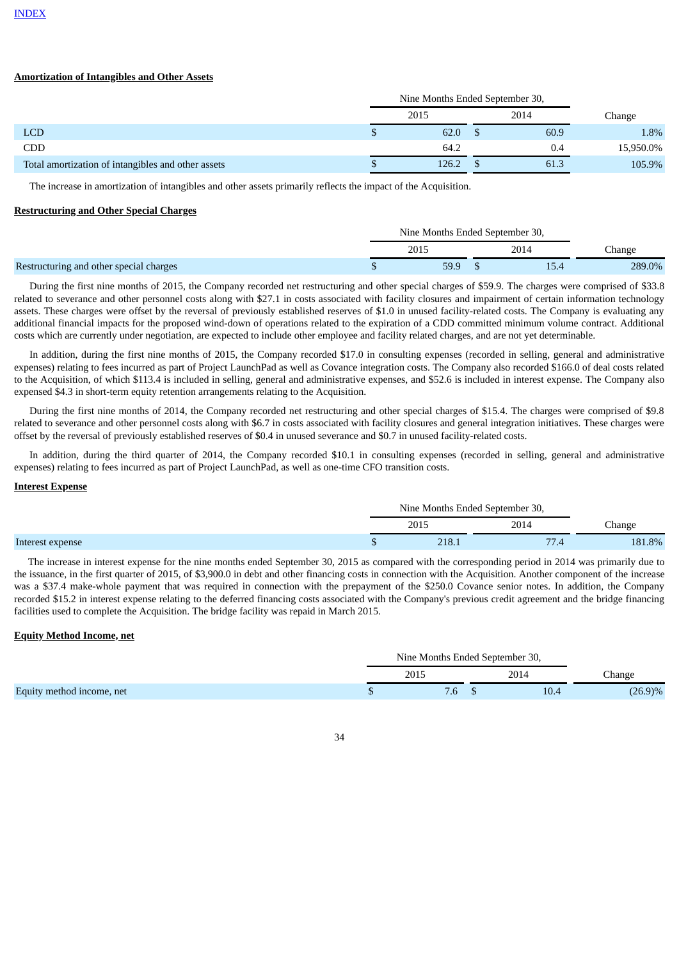## **Amortization of Intangibles and Other Assets**

|                                                    | Nine Months Ended September 30, |      |           |  |
|----------------------------------------------------|---------------------------------|------|-----------|--|
|                                                    | 2015                            | 2014 | Change    |  |
| <b>LCD</b>                                         | 62.0                            | 60.9 | 1.8%      |  |
| <b>CDD</b>                                         | 64.2                            | 0.4  | 15,950.0% |  |
| Total amortization of intangibles and other assets | 126.2                           | 61.3 | 105.9%    |  |

The increase in amortization of intangibles and other assets primarily reflects the impact of the Acquisition.

#### **Restructuring and Other Special Charges**

|                                         |  | 2015 | 2014 | lhange |
|-----------------------------------------|--|------|------|--------|
| Restructuring and other special charges |  | 59.9 |      | 289.0% |

During the first nine months of 2015, the Company recorded net restructuring and other special charges of \$59.9. The charges were comprised of \$33.8 related to severance and other personnel costs along with \$27.1 in costs associated with facility closures and impairment of certain information technology assets. These charges were offset by the reversal of previously established reserves of \$1.0 in unused facility-related costs. The Company is evaluating any additional financial impacts for the proposed wind-down of operations related to the expiration of a CDD committed minimum volume contract. Additional costs which are currently under negotiation, are expected to include other employee and facility related charges, and are not yet determinable.

In addition, during the first nine months of 2015, the Company recorded \$17.0 in consulting expenses (recorded in selling, general and administrative expenses) relating to fees incurred as part of Project LaunchPad as well as Covance integration costs. The Company also recorded \$166.0 of deal costs related to the Acquisition, of which \$113.4 is included in selling, general and administrative expenses, and \$52.6 is included in interest expense. The Company also expensed \$4.3 in short-term equity retention arrangements relating to the Acquisition.

During the first nine months of 2014, the Company recorded net restructuring and other special charges of \$15.4. The charges were comprised of \$9.8 related to severance and other personnel costs along with \$6.7 in costs associated with facility closures and general integration initiatives. These charges were offset by the reversal of previously established reserves of \$0.4 in unused severance and \$0.7 in unused facility-related costs.

In addition, during the third quarter of 2014, the Company recorded \$10.1 in consulting expenses (recorded in selling, general and administrative expenses) relating to fees incurred as part of Project LaunchPad, as well as one-time CFO transition costs.

#### **Interest Expense**

|                  | Nine Months Ended September 30, |       |      |               |
|------------------|---------------------------------|-------|------|---------------|
|                  |                                 | 2015  | 2014 | <b>Change</b> |
| Interest expense |                                 | 218.1 | $-1$ | 181.8%        |

The increase in interest expense for the nine months ended September 30, 2015 as compared with the corresponding period in 2014 was primarily due to the issuance, in the first quarter of 2015, of \$3,900.0 in debt and other financing costs in connection with the Acquisition. Another component of the increase was a \$37.4 make-whole payment that was required in connection with the prepayment of the \$250.0 Covance senior notes. In addition, the Company recorded \$15.2 in interest expense relating to the deferred financing costs associated with the Company's previous credit agreement and the bridge financing facilities used to complete the Acquisition. The bridge facility was repaid in March 2015.

#### **Equity Method Income, net**

|                           | Nine Months Ended September 30, |      |            |
|---------------------------|---------------------------------|------|------------|
|                           | 2015                            | 2014 | hange.     |
| Equity method income, net | .ប                              | 10.4 | $(26.9)\%$ |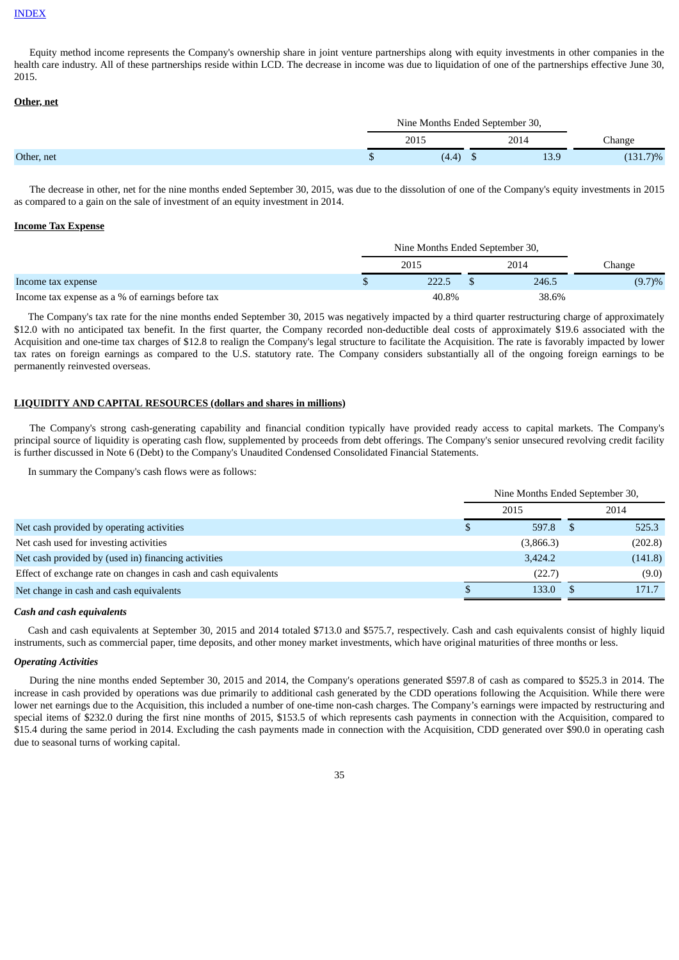#### [INDEX](#page-0-0)

Equity method income represents the Company's ownership share in joint venture partnerships along with equity investments in other companies in the health care industry. All of these partnerships reside within LCD. The decrease in income was due to liquidation of one of the partnerships effective June 30, 2015.

#### **Other, net**

|            | Nine Months Ended September 30, |      |               |
|------------|---------------------------------|------|---------------|
|            | 2015                            | 2014 | <b>Change</b> |
| Other, net | (4.4)                           | 13.9 | $(131.7)\%$   |

The decrease in other, net for the nine months ended September 30, 2015, was due to the dissolution of one of the Company's equity investments in 2015 as compared to a gain on the sale of investment of an equity investment in 2014.

#### **Income Tax Expense**

|                                                  |  | 2015  | 2014  | Change |  |
|--------------------------------------------------|--|-------|-------|--------|--|
| Income tax expense                               |  | 222.5 | 246.5 | (9.7)% |  |
| Income tax expense as a % of earnings before tax |  | 40.8% | 38.6% |        |  |

The Company's tax rate for the nine months ended September 30, 2015 was negatively impacted by a third quarter restructuring charge of approximately \$12.0 with no anticipated tax benefit. In the first quarter, the Company recorded non-deductible deal costs of approximately \$19.6 associated with the Acquisition and one-time tax charges of \$12.8 to realign the Company's legal structure to facilitate the Acquisition. The rate is favorably impacted by lower tax rates on foreign earnings as compared to the U.S. statutory rate. The Company considers substantially all of the ongoing foreign earnings to be permanently reinvested overseas.

### **LIQUIDITY AND CAPITAL RESOURCES (dollars and shares in millions)**

The Company's strong cash-generating capability and financial condition typically have provided ready access to capital markets. The Company's principal source of liquidity is operating cash flow, supplemented by proceeds from debt offerings. The Company's senior unsecured revolving credit facility is further discussed in Note 6 (Debt) to the Company's Unaudited Condensed Consolidated Financial Statements.

In summary the Company's cash flows were as follows:

|                                                                 | Nine Months Ended September 30, |           |  |         |  |  |
|-----------------------------------------------------------------|---------------------------------|-----------|--|---------|--|--|
|                                                                 |                                 | 2015      |  | 2014    |  |  |
| Net cash provided by operating activities                       |                                 | 597.8     |  | 525.3   |  |  |
| Net cash used for investing activities                          |                                 | (3,866.3) |  | (202.8) |  |  |
| Net cash provided by (used in) financing activities             |                                 | 3,424.2   |  | (141.8) |  |  |
| Effect of exchange rate on changes in cash and cash equivalents |                                 | (22.7)    |  | (9.0)   |  |  |
| Net change in cash and cash equivalents                         |                                 | 133.0     |  | 171.7   |  |  |

#### *Cash and cash equivalents*

Cash and cash equivalents at September 30, 2015 and 2014 totaled \$713.0 and \$575.7, respectively. Cash and cash equivalents consist of highly liquid instruments, such as commercial paper, time deposits, and other money market investments, which have original maturities of three months or less.

#### *Operating Activities*

During the nine months ended September 30, 2015 and 2014, the Company's operations generated \$597.8 of cash as compared to \$525.3 in 2014. The increase in cash provided by operations was due primarily to additional cash generated by the CDD operations following the Acquisition. While there were lower net earnings due to the Acquisition, this included a number of one-time non-cash charges. The Company's earnings were impacted by restructuring and special items of \$232.0 during the first nine months of 2015, \$153.5 of which represents cash payments in connection with the Acquisition, compared to \$15.4 during the same period in 2014. Excluding the cash payments made in connection with the Acquisition, CDD generated over \$90.0 in operating cash due to seasonal turns of working capital.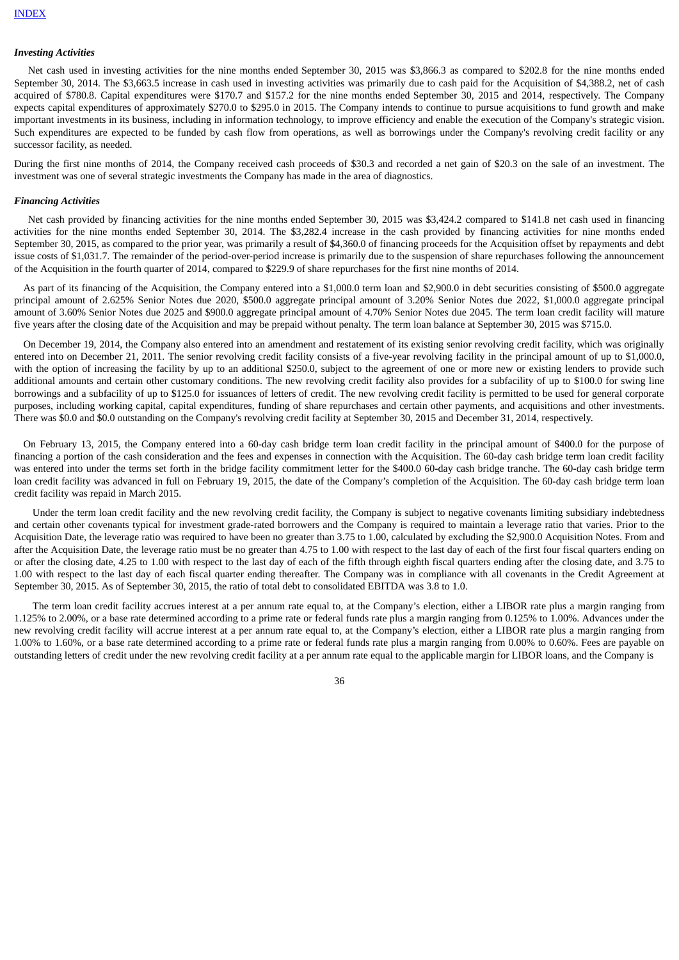#### *Investing Activities*

Net cash used in investing activities for the nine months ended September 30, 2015 was \$3,866.3 as compared to \$202.8 for the nine months ended September 30, 2014. The \$3,663.5 increase in cash used in investing activities was primarily due to cash paid for the Acquisition of \$4,388.2, net of cash acquired of \$780.8. Capital expenditures were \$170.7 and \$157.2 for the nine months ended September 30, 2015 and 2014, respectively. The Company expects capital expenditures of approximately \$270.0 to \$295.0 in 2015. The Company intends to continue to pursue acquisitions to fund growth and make important investments in its business, including in information technology, to improve efficiency and enable the execution of the Company's strategic vision. Such expenditures are expected to be funded by cash flow from operations, as well as borrowings under the Company's revolving credit facility or any successor facility, as needed.

During the first nine months of 2014, the Company received cash proceeds of \$30.3 and recorded a net gain of \$20.3 on the sale of an investment. The investment was one of several strategic investments the Company has made in the area of diagnostics.

#### *Financing Activities*

Net cash provided by financing activities for the nine months ended September 30, 2015 was \$3,424.2 compared to \$141.8 net cash used in financing activities for the nine months ended September 30, 2014. The \$3,282.4 increase in the cash provided by financing activities for nine months ended September 30, 2015, as compared to the prior year, was primarily a result of \$4,360.0 of financing proceeds for the Acquisition offset by repayments and debt issue costs of \$1,031.7. The remainder of the period-over-period increase is primarily due to the suspension of share repurchases following the announcement of the Acquisition in the fourth quarter of 2014, compared to \$229.9 of share repurchases for the first nine months of 2014.

As part of its financing of the Acquisition, the Company entered into a \$1,000.0 term loan and \$2,900.0 in debt securities consisting of \$500.0 aggregate principal amount of 2.625% Senior Notes due 2020, \$500.0 aggregate principal amount of 3.20% Senior Notes due 2022, \$1,000.0 aggregate principal amount of 3.60% Senior Notes due 2025 and \$900.0 aggregate principal amount of 4.70% Senior Notes due 2045. The term loan credit facility will mature five years after the closing date of the Acquisition and may be prepaid without penalty. The term loan balance at September 30, 2015 was \$715.0.

On December 19, 2014, the Company also entered into an amendment and restatement of its existing senior revolving credit facility, which was originally entered into on December 21, 2011. The senior revolving credit facility consists of a five-year revolving facility in the principal amount of up to \$1,000.0, with the option of increasing the facility by up to an additional \$250.0, subject to the agreement of one or more new or existing lenders to provide such additional amounts and certain other customary conditions. The new revolving credit facility also provides for a subfacility of up to \$100.0 for swing line borrowings and a subfacility of up to \$125.0 for issuances of letters of credit. The new revolving credit facility is permitted to be used for general corporate purposes, including working capital, capital expenditures, funding of share repurchases and certain other payments, and acquisitions and other investments. There was \$0.0 and \$0.0 outstanding on the Company's revolving credit facility at September 30, 2015 and December 31, 2014, respectively.

On February 13, 2015, the Company entered into a 60-day cash bridge term loan credit facility in the principal amount of \$400.0 for the purpose of financing a portion of the cash consideration and the fees and expenses in connection with the Acquisition. The 60-day cash bridge term loan credit facility was entered into under the terms set forth in the bridge facility commitment letter for the \$400.0 60-day cash bridge tranche. The 60-day cash bridge term loan credit facility was advanced in full on February 19, 2015, the date of the Company's completion of the Acquisition. The 60-day cash bridge term loan credit facility was repaid in March 2015.

Under the term loan credit facility and the new revolving credit facility, the Company is subject to negative covenants limiting subsidiary indebtedness and certain other covenants typical for investment grade-rated borrowers and the Company is required to maintain a leverage ratio that varies. Prior to the Acquisition Date, the leverage ratio was required to have been no greater than 3.75 to 1.00, calculated by excluding the \$2,900.0 Acquisition Notes. From and after the Acquisition Date, the leverage ratio must be no greater than 4.75 to 1.00 with respect to the last day of each of the first four fiscal quarters ending on or after the closing date, 4.25 to 1.00 with respect to the last day of each of the fifth through eighth fiscal quarters ending after the closing date, and 3.75 to 1.00 with respect to the last day of each fiscal quarter ending thereafter. The Company was in compliance with all covenants in the Credit Agreement at September 30, 2015. As of September 30, 2015, the ratio of total debt to consolidated EBITDA was 3.8 to 1.0.

The term loan credit facility accrues interest at a per annum rate equal to, at the Company's election, either a LIBOR rate plus a margin ranging from 1.125% to 2.00%, or a base rate determined according to a prime rate or federal funds rate plus a margin ranging from 0.125% to 1.00%. Advances under the new revolving credit facility will accrue interest at a per annum rate equal to, at the Company's election, either a LIBOR rate plus a margin ranging from 1.00% to 1.60%, or a base rate determined according to a prime rate or federal funds rate plus a margin ranging from 0.00% to 0.60%. Fees are payable on outstanding letters of credit under the new revolving credit facility at a per annum rate equal to the applicable margin for LIBOR loans, and the Company is

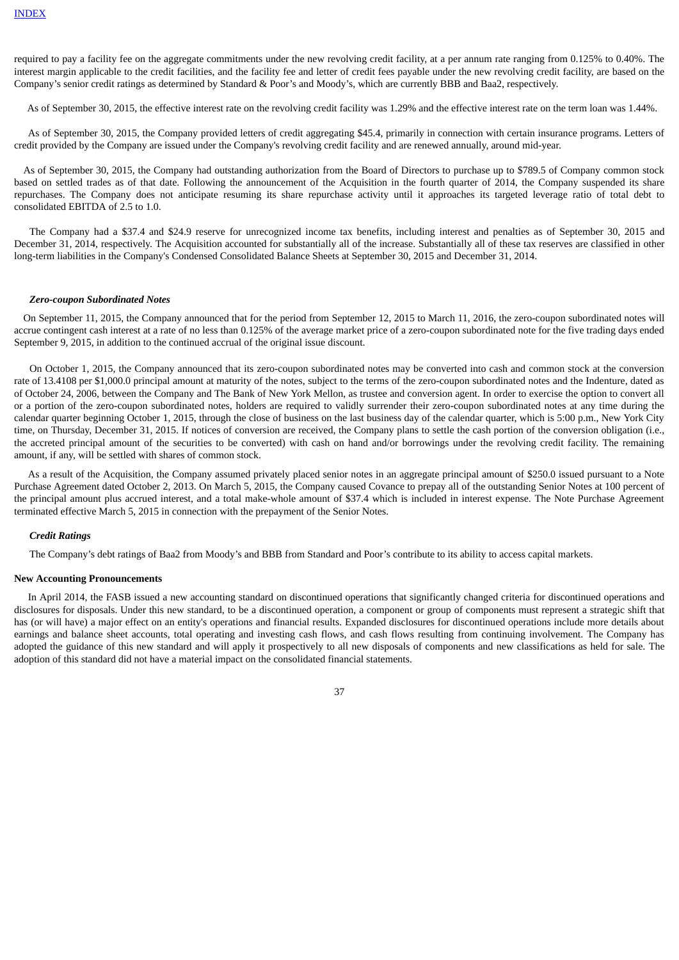required to pay a facility fee on the aggregate commitments under the new revolving credit facility, at a per annum rate ranging from 0.125% to 0.40%. The interest margin applicable to the credit facilities, and the facility fee and letter of credit fees payable under the new revolving credit facility, are based on the Company's senior credit ratings as determined by Standard & Poor's and Moody's, which are currently BBB and Baa2, respectively.

As of September 30, 2015, the effective interest rate on the revolving credit facility was 1.29% and the effective interest rate on the term loan was 1.44%.

As of September 30, 2015, the Company provided letters of credit aggregating \$45.4, primarily in connection with certain insurance programs. Letters of credit provided by the Company are issued under the Company's revolving credit facility and are renewed annually, around mid-year.

As of September 30, 2015, the Company had outstanding authorization from the Board of Directors to purchase up to \$789.5 of Company common stock based on settled trades as of that date. Following the announcement of the Acquisition in the fourth quarter of 2014, the Company suspended its share repurchases. The Company does not anticipate resuming its share repurchase activity until it approaches its targeted leverage ratio of total debt to consolidated EBITDA of 2.5 to 1.0.

The Company had a \$37.4 and \$24.9 reserve for unrecognized income tax benefits, including interest and penalties as of September 30, 2015 and December 31, 2014, respectively. The Acquisition accounted for substantially all of the increase. Substantially all of these tax reserves are classified in other long-term liabilities in the Company's Condensed Consolidated Balance Sheets at September 30, 2015 and December 31, 2014.

#### *Zero-coupon Subordinated Notes*

On September 11, 2015, the Company announced that for the period from September 12, 2015 to March 11, 2016, the zero-coupon subordinated notes will accrue contingent cash interest at a rate of no less than 0.125% of the average market price of a zero-coupon subordinated note for the five trading days ended September 9, 2015, in addition to the continued accrual of the original issue discount.

On October 1, 2015, the Company announced that its zero-coupon subordinated notes may be converted into cash and common stock at the conversion rate of 13.4108 per \$1,000.0 principal amount at maturity of the notes, subject to the terms of the zero-coupon subordinated notes and the Indenture, dated as of October 24, 2006, between the Company and The Bank of New York Mellon, as trustee and conversion agent. In order to exercise the option to convert all or a portion of the zero-coupon subordinated notes, holders are required to validly surrender their zero-coupon subordinated notes at any time during the calendar quarter beginning October 1, 2015, through the close of business on the last business day of the calendar quarter, which is 5:00 p.m., New York City time, on Thursday, December 31, 2015. If notices of conversion are received, the Company plans to settle the cash portion of the conversion obligation (i.e., the accreted principal amount of the securities to be converted) with cash on hand and/or borrowings under the revolving credit facility. The remaining amount, if any, will be settled with shares of common stock.

As a result of the Acquisition, the Company assumed privately placed senior notes in an aggregate principal amount of \$250.0 issued pursuant to a Note Purchase Agreement dated October 2, 2013. On March 5, 2015, the Company caused Covance to prepay all of the outstanding Senior Notes at 100 percent of the principal amount plus accrued interest, and a total make-whole amount of \$37.4 which is included in interest expense. The Note Purchase Agreement terminated effective March 5, 2015 in connection with the prepayment of the Senior Notes.

#### *Credit Ratings*

The Company's debt ratings of Baa2 from Moody's and BBB from Standard and Poor's contribute to its ability to access capital markets.

#### **New Accounting Pronouncements**

In April 2014, the FASB issued a new accounting standard on discontinued operations that significantly changed criteria for discontinued operations and disclosures for disposals. Under this new standard, to be a discontinued operation, a component or group of components must represent a strategic shift that has (or will have) a major effect on an entity's operations and financial results. Expanded disclosures for discontinued operations include more details about earnings and balance sheet accounts, total operating and investing cash flows, and cash flows resulting from continuing involvement. The Company has adopted the guidance of this new standard and will apply it prospectively to all new disposals of components and new classifications as held for sale. The adoption of this standard did not have a material impact on the consolidated financial statements.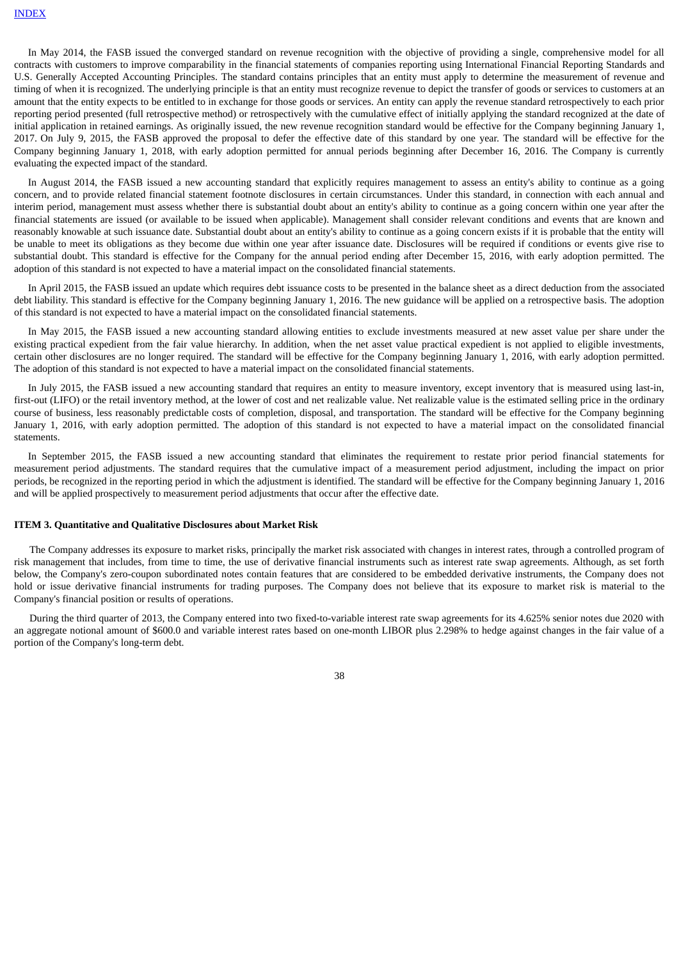In May 2014, the FASB issued the converged standard on revenue recognition with the objective of providing a single, comprehensive model for all contracts with customers to improve comparability in the financial statements of companies reporting using International Financial Reporting Standards and U.S. Generally Accepted Accounting Principles. The standard contains principles that an entity must apply to determine the measurement of revenue and timing of when it is recognized. The underlying principle is that an entity must recognize revenue to depict the transfer of goods or services to customers at an amount that the entity expects to be entitled to in exchange for those goods or services. An entity can apply the revenue standard retrospectively to each prior reporting period presented (full retrospective method) or retrospectively with the cumulative effect of initially applying the standard recognized at the date of initial application in retained earnings. As originally issued, the new revenue recognition standard would be effective for the Company beginning January 1, 2017. On July 9, 2015, the FASB approved the proposal to defer the effective date of this standard by one year. The standard will be effective for the Company beginning January 1, 2018, with early adoption permitted for annual periods beginning after December 16, 2016. The Company is currently evaluating the expected impact of the standard.

In August 2014, the FASB issued a new accounting standard that explicitly requires management to assess an entity's ability to continue as a going concern, and to provide related financial statement footnote disclosures in certain circumstances. Under this standard, in connection with each annual and interim period, management must assess whether there is substantial doubt about an entity's ability to continue as a going concern within one year after the financial statements are issued (or available to be issued when applicable). Management shall consider relevant conditions and events that are known and reasonably knowable at such issuance date. Substantial doubt about an entity's ability to continue as a going concern exists if it is probable that the entity will be unable to meet its obligations as they become due within one year after issuance date. Disclosures will be required if conditions or events give rise to substantial doubt. This standard is effective for the Company for the annual period ending after December 15, 2016, with early adoption permitted. The adoption of this standard is not expected to have a material impact on the consolidated financial statements.

In April 2015, the FASB issued an update which requires debt issuance costs to be presented in the balance sheet as a direct deduction from the associated debt liability. This standard is effective for the Company beginning January 1, 2016. The new guidance will be applied on a retrospective basis. The adoption of this standard is not expected to have a material impact on the consolidated financial statements.

In May 2015, the FASB issued a new accounting standard allowing entities to exclude investments measured at new asset value per share under the existing practical expedient from the fair value hierarchy. In addition, when the net asset value practical expedient is not applied to eligible investments, certain other disclosures are no longer required. The standard will be effective for the Company beginning January 1, 2016, with early adoption permitted. The adoption of this standard is not expected to have a material impact on the consolidated financial statements.

In July 2015, the FASB issued a new accounting standard that requires an entity to measure inventory, except inventory that is measured using last-in, first-out (LIFO) or the retail inventory method, at the lower of cost and net realizable value. Net realizable value is the estimated selling price in the ordinary course of business, less reasonably predictable costs of completion, disposal, and transportation. The standard will be effective for the Company beginning January 1, 2016, with early adoption permitted. The adoption of this standard is not expected to have a material impact on the consolidated financial statements.

In September 2015, the FASB issued a new accounting standard that eliminates the requirement to restate prior period financial statements for measurement period adjustments. The standard requires that the cumulative impact of a measurement period adjustment, including the impact on prior periods, be recognized in the reporting period in which the adjustment is identified. The standard will be effective for the Company beginning January 1, 2016 and will be applied prospectively to measurement period adjustments that occur after the effective date.

#### <span id="page-38-0"></span>**ITEM 3. Quantitative and Qualitative Disclosures about Market Risk**

The Company addresses its exposure to market risks, principally the market risk associated with changes in interest rates, through a controlled program of risk management that includes, from time to time, the use of derivative financial instruments such as interest rate swap agreements. Although, as set forth below, the Company's zero-coupon subordinated notes contain features that are considered to be embedded derivative instruments, the Company does not hold or issue derivative financial instruments for trading purposes. The Company does not believe that its exposure to market risk is material to the Company's financial position or results of operations.

During the third quarter of 2013, the Company entered into two fixed-to-variable interest rate swap agreements for its 4.625% senior notes due 2020 with an aggregate notional amount of \$600.0 and variable interest rates based on one-month LIBOR plus 2.298% to hedge against changes in the fair value of a portion of the Company's long-term debt.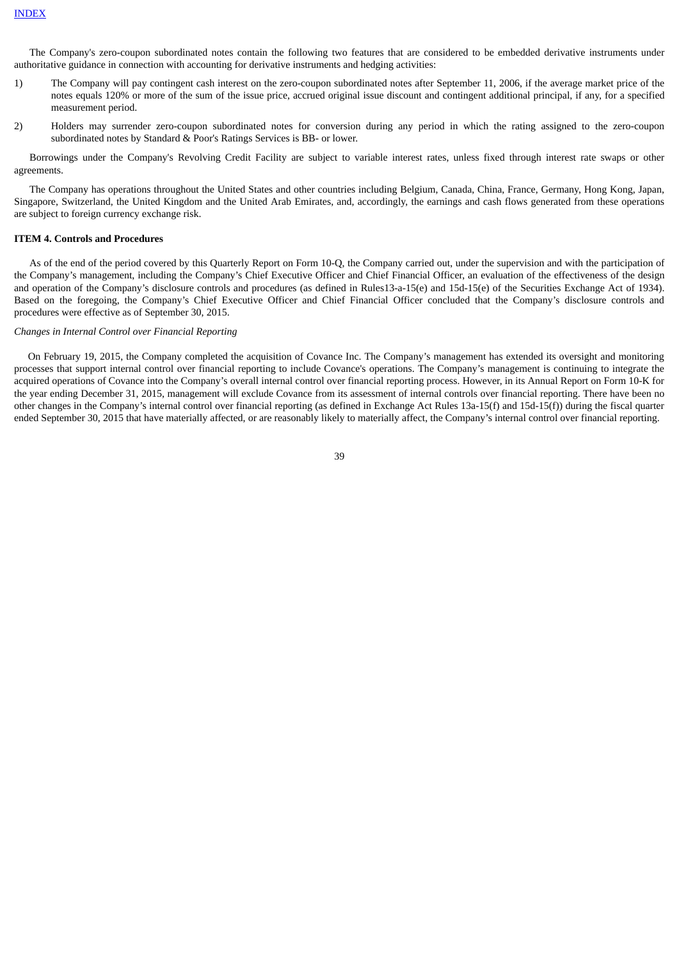The Company's zero-coupon subordinated notes contain the following two features that are considered to be embedded derivative instruments under authoritative guidance in connection with accounting for derivative instruments and hedging activities:

- 1) The Company will pay contingent cash interest on the zero-coupon subordinated notes after September 11, 2006, if the average market price of the notes equals 120% or more of the sum of the issue price, accrued original issue discount and contingent additional principal, if any, for a specified measurement period.
- 2) Holders may surrender zero-coupon subordinated notes for conversion during any period in which the rating assigned to the zero-coupon subordinated notes by Standard & Poor's Ratings Services is BB- or lower.

Borrowings under the Company's Revolving Credit Facility are subject to variable interest rates, unless fixed through interest rate swaps or other agreements.

The Company has operations throughout the United States and other countries including Belgium, Canada, China, France, Germany, Hong Kong, Japan, Singapore, Switzerland, the United Kingdom and the United Arab Emirates, and, accordingly, the earnings and cash flows generated from these operations are subject to foreign currency exchange risk.

#### <span id="page-39-0"></span>**ITEM 4. Controls and Procedures**

As of the end of the period covered by this Quarterly Report on Form 10-Q, the Company carried out, under the supervision and with the participation of the Company's management, including the Company's Chief Executive Officer and Chief Financial Officer, an evaluation of the effectiveness of the design and operation of the Company's disclosure controls and procedures (as defined in Rules13-a-15(e) and 15d-15(e) of the Securities Exchange Act of 1934). Based on the foregoing, the Company's Chief Executive Officer and Chief Financial Officer concluded that the Company's disclosure controls and procedures were effective as of September 30, 2015.

#### *Changes in Internal Control over Financial Reporting*

On February 19, 2015, the Company completed the acquisition of Covance Inc. The Company's management has extended its oversight and monitoring processes that support internal control over financial reporting to include Covance's operations. The Company's management is continuing to integrate the acquired operations of Covance into the Company's overall internal control over financial reporting process. However, in its Annual Report on Form 10-K for the year ending December 31, 2015, management will exclude Covance from its assessment of internal controls over financial reporting. There have been no other changes in the Company's internal control over financial reporting (as defined in Exchange Act Rules 13a-15(f) and 15d-15(f)) during the fiscal quarter ended September 30, 2015 that have materially affected, or are reasonably likely to materially affect, the Company's internal control over financial reporting.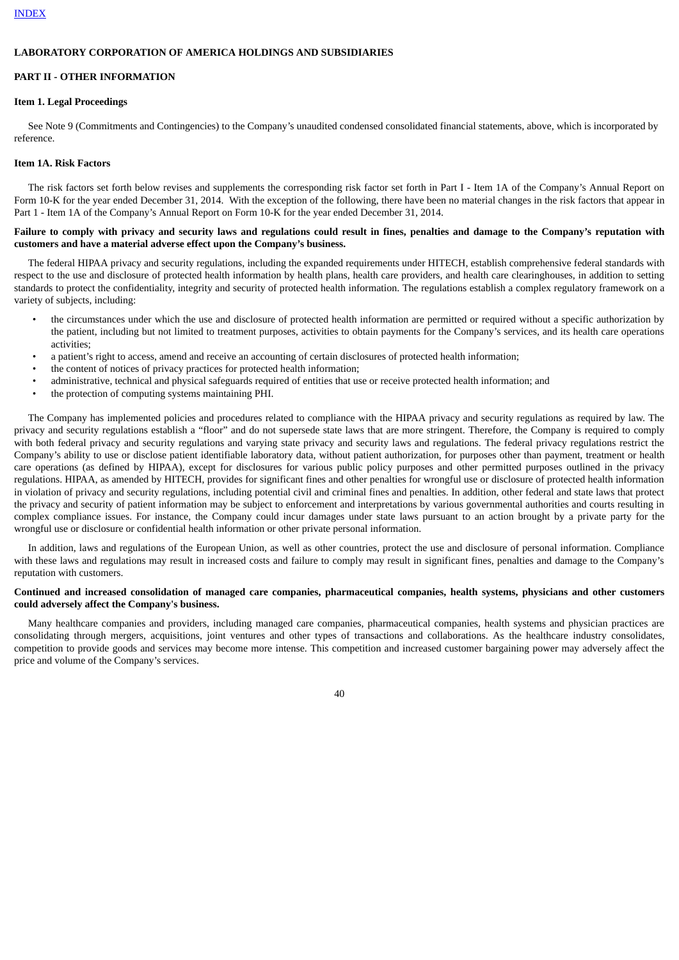## **LABORATORY CORPORATION OF AMERICA HOLDINGS AND SUBSIDIARIES**

## <span id="page-40-0"></span>**PART II - OTHER INFORMATION**

#### **Item 1. Legal Proceedings**

See Note 9 (Commitments and Contingencies) to the Company's unaudited condensed consolidated financial statements, above, which is incorporated by reference.

#### <span id="page-40-1"></span>**Item 1A. Risk Factors**

The risk factors set forth below revises and supplements the corresponding risk factor set forth in Part I - Item 1A of the Company's Annual Report on Form 10-K for the year ended December 31, 2014. With the exception of the following, there have been no material changes in the risk factors that appear in Part 1 - Item 1A of the Company's Annual Report on Form 10-K for the year ended December 31, 2014.

## Failure to comply with privacy and security laws and regulations could result in fines, penalties and damage to the Company's reputation with **customers and have a material adverse effect upon the Company's business.**

The federal HIPAA privacy and security regulations, including the expanded requirements under HITECH, establish comprehensive federal standards with respect to the use and disclosure of protected health information by health plans, health care providers, and health care clearinghouses, in addition to setting standards to protect the confidentiality, integrity and security of protected health information. The regulations establish a complex regulatory framework on a variety of subjects, including:

- the circumstances under which the use and disclosure of protected health information are permitted or required without a specific authorization by the patient, including but not limited to treatment purposes, activities to obtain payments for the Company's services, and its health care operations activities;
- a patient's right to access, amend and receive an accounting of certain disclosures of protected health information;
- the content of notices of privacy practices for protected health information;
- administrative, technical and physical safeguards required of entities that use or receive protected health information; and
- the protection of computing systems maintaining PHI.

The Company has implemented policies and procedures related to compliance with the HIPAA privacy and security regulations as required by law. The privacy and security regulations establish a "floor" and do not supersede state laws that are more stringent. Therefore, the Company is required to comply with both federal privacy and security regulations and varying state privacy and security laws and regulations. The federal privacy regulations restrict the Company's ability to use or disclose patient identifiable laboratory data, without patient authorization, for purposes other than payment, treatment or health care operations (as defined by HIPAA), except for disclosures for various public policy purposes and other permitted purposes outlined in the privacy regulations. HIPAA, as amended by HITECH, provides for significant fines and other penalties for wrongful use or disclosure of protected health information in violation of privacy and security regulations, including potential civil and criminal fines and penalties. In addition, other federal and state laws that protect the privacy and security of patient information may be subject to enforcement and interpretations by various governmental authorities and courts resulting in complex compliance issues. For instance, the Company could incur damages under state laws pursuant to an action brought by a private party for the wrongful use or disclosure or confidential health information or other private personal information.

In addition, laws and regulations of the European Union, as well as other countries, protect the use and disclosure of personal information. Compliance with these laws and regulations may result in increased costs and failure to comply may result in significant fines, penalties and damage to the Company's reputation with customers.

## Continued and increased consolidation of managed care companies, pharmaceutical companies, health systems, physicians and other customers **could adversely affect the Company's business.**

Many healthcare companies and providers, including managed care companies, pharmaceutical companies, health systems and physician practices are consolidating through mergers, acquisitions, joint ventures and other types of transactions and collaborations. As the healthcare industry consolidates, competition to provide goods and services may become more intense. This competition and increased customer bargaining power may adversely affect the price and volume of the Company's services.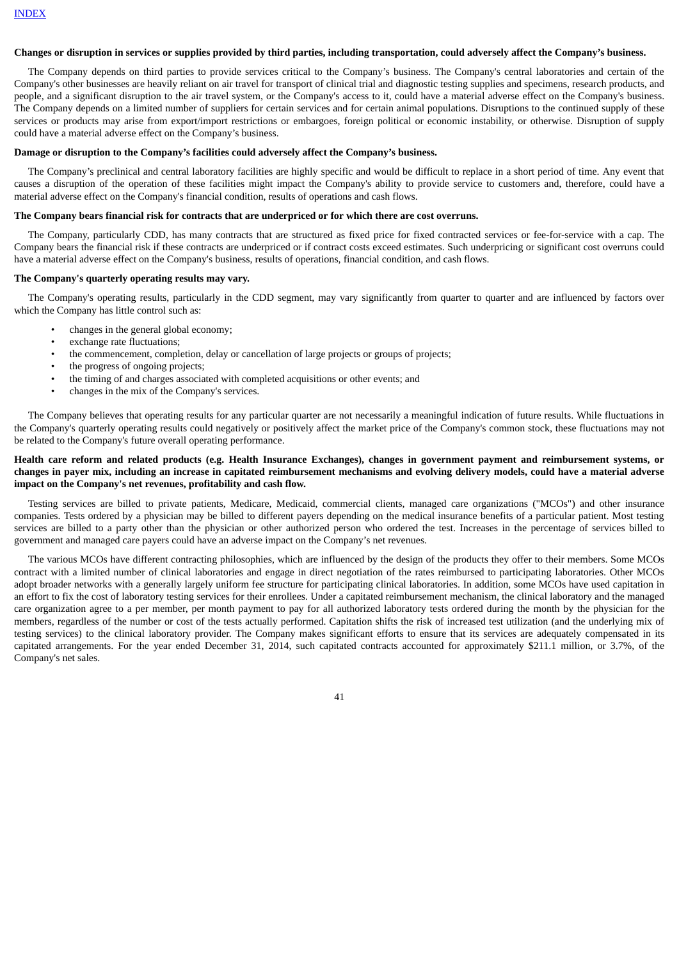#### Changes or disruption in services or supplies provided by third parties, including transportation, could adversely affect the Company's business.

The Company depends on third parties to provide services critical to the Company's business. The Company's central laboratories and certain of the Company's other businesses are heavily reliant on air travel for transport of clinical trial and diagnostic testing supplies and specimens, research products, and people, and a significant disruption to the air travel system, or the Company's access to it, could have a material adverse effect on the Company's business. The Company depends on a limited number of suppliers for certain services and for certain animal populations. Disruptions to the continued supply of these services or products may arise from export/import restrictions or embargoes, foreign political or economic instability, or otherwise. Disruption of supply could have a material adverse effect on the Company's business.

#### **Damage or disruption to the Company's facilities could adversely affect the Company's business.**

The Company's preclinical and central laboratory facilities are highly specific and would be difficult to replace in a short period of time. Any event that causes a disruption of the operation of these facilities might impact the Company's ability to provide service to customers and, therefore, could have a material adverse effect on the Company's financial condition, results of operations and cash flows.

#### **The Company bears financial risk for contracts that are underpriced or for which there are cost overruns.**

The Company, particularly CDD, has many contracts that are structured as fixed price for fixed contracted services or fee-for-service with a cap. The Company bears the financial risk if these contracts are underpriced or if contract costs exceed estimates. Such underpricing or significant cost overruns could have a material adverse effect on the Company's business, results of operations, financial condition, and cash flows.

## **The Company's quarterly operating results may vary.**

The Company's operating results, particularly in the CDD segment, may vary significantly from quarter to quarter and are influenced by factors over which the Company has little control such as:

- changes in the general global economy;
- exchange rate fluctuations;
- the commencement, completion, delay or cancellation of large projects or groups of projects;
- the progress of ongoing projects;
- the timing of and charges associated with completed acquisitions or other events; and
- changes in the mix of the Company's services.

The Company believes that operating results for any particular quarter are not necessarily a meaningful indication of future results. While fluctuations in the Company's quarterly operating results could negatively or positively affect the market price of the Company's common stock, these fluctuations may not be related to the Company's future overall operating performance.

#### Health care reform and related products (e.g. Health Insurance Exchanges), changes in government payment and reimbursement systems, or changes in payer mix, including an increase in capitated reimbursement mechanisms and evolving delivery models, could have a material adverse **impact on the Company's net revenues, profitability and cash flow.**

Testing services are billed to private patients, Medicare, Medicaid, commercial clients, managed care organizations ("MCOs") and other insurance companies. Tests ordered by a physician may be billed to different payers depending on the medical insurance benefits of a particular patient. Most testing services are billed to a party other than the physician or other authorized person who ordered the test. Increases in the percentage of services billed to government and managed care payers could have an adverse impact on the Company's net revenues.

The various MCOs have different contracting philosophies, which are influenced by the design of the products they offer to their members. Some MCOs contract with a limited number of clinical laboratories and engage in direct negotiation of the rates reimbursed to participating laboratories. Other MCOs adopt broader networks with a generally largely uniform fee structure for participating clinical laboratories. In addition, some MCOs have used capitation in an effort to fix the cost of laboratory testing services for their enrollees. Under a capitated reimbursement mechanism, the clinical laboratory and the managed care organization agree to a per member, per month payment to pay for all authorized laboratory tests ordered during the month by the physician for the members, regardless of the number or cost of the tests actually performed. Capitation shifts the risk of increased test utilization (and the underlying mix of testing services) to the clinical laboratory provider. The Company makes significant efforts to ensure that its services are adequately compensated in its capitated arrangements. For the year ended December 31, 2014, such capitated contracts accounted for approximately \$211.1 million, or 3.7%, of the Company's net sales.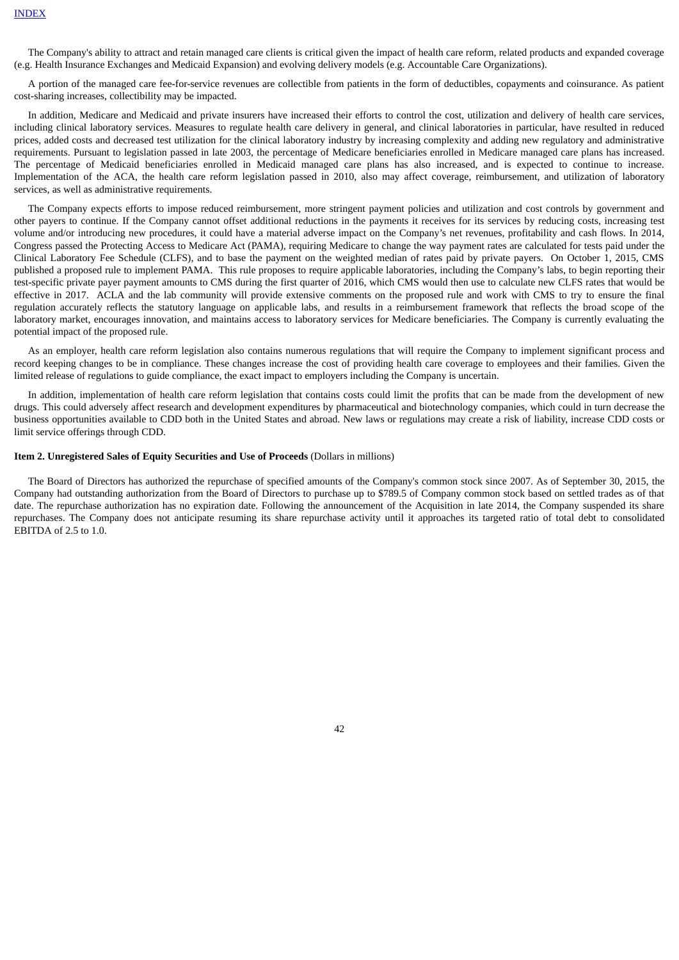The Company's ability to attract and retain managed care clients is critical given the impact of health care reform, related products and expanded coverage (e.g. Health Insurance Exchanges and Medicaid Expansion) and evolving delivery models (e.g. Accountable Care Organizations).

A portion of the managed care fee-for-service revenues are collectible from patients in the form of deductibles, copayments and coinsurance. As patient cost-sharing increases, collectibility may be impacted.

In addition, Medicare and Medicaid and private insurers have increased their efforts to control the cost, utilization and delivery of health care services, including clinical laboratory services. Measures to regulate health care delivery in general, and clinical laboratories in particular, have resulted in reduced prices, added costs and decreased test utilization for the clinical laboratory industry by increasing complexity and adding new regulatory and administrative requirements. Pursuant to legislation passed in late 2003, the percentage of Medicare beneficiaries enrolled in Medicare managed care plans has increased. The percentage of Medicaid beneficiaries enrolled in Medicaid managed care plans has also increased, and is expected to continue to increase. Implementation of the ACA, the health care reform legislation passed in 2010, also may affect coverage, reimbursement, and utilization of laboratory services, as well as administrative requirements.

The Company expects efforts to impose reduced reimbursement, more stringent payment policies and utilization and cost controls by government and other payers to continue. If the Company cannot offset additional reductions in the payments it receives for its services by reducing costs, increasing test volume and/or introducing new procedures, it could have a material adverse impact on the Company's net revenues, profitability and cash flows. In 2014, Congress passed the Protecting Access to Medicare Act (PAMA), requiring Medicare to change the way payment rates are calculated for tests paid under the Clinical Laboratory Fee Schedule (CLFS), and to base the payment on the weighted median of rates paid by private payers. On October 1, 2015, CMS published a proposed rule to implement PAMA. This rule proposes to require applicable laboratories, including the Company's labs, to begin reporting their test-specific private payer payment amounts to CMS during the first quarter of 2016, which CMS would then use to calculate new CLFS rates that would be effective in 2017. ACLA and the lab community will provide extensive comments on the proposed rule and work with CMS to try to ensure the final regulation accurately reflects the statutory language on applicable labs, and results in a reimbursement framework that reflects the broad scope of the laboratory market, encourages innovation, and maintains access to laboratory services for Medicare beneficiaries. The Company is currently evaluating the potential impact of the proposed rule.

As an employer, health care reform legislation also contains numerous regulations that will require the Company to implement significant process and record keeping changes to be in compliance. These changes increase the cost of providing health care coverage to employees and their families. Given the limited release of regulations to guide compliance, the exact impact to employers including the Company is uncertain.

In addition, implementation of health care reform legislation that contains costs could limit the profits that can be made from the development of new drugs. This could adversely affect research and development expenditures by pharmaceutical and biotechnology companies, which could in turn decrease the business opportunities available to CDD both in the United States and abroad. New laws or regulations may create a risk of liability, increase CDD costs or limit service offerings through CDD.

#### <span id="page-42-0"></span>**Item 2. Unregistered Sales of Equity Securities and Use of Proceeds** (Dollars in millions)

<span id="page-42-1"></span>The Board of Directors has authorized the repurchase of specified amounts of the Company's common stock since 2007. As of September 30, 2015, the Company had outstanding authorization from the Board of Directors to purchase up to \$789.5 of Company common stock based on settled trades as of that date. The repurchase authorization has no expiration date. Following the announcement of the Acquisition in late 2014, the Company suspended its share repurchases. The Company does not anticipate resuming its share repurchase activity until it approaches its targeted ratio of total debt to consolidated EBITDA of 2.5 to 1.0.

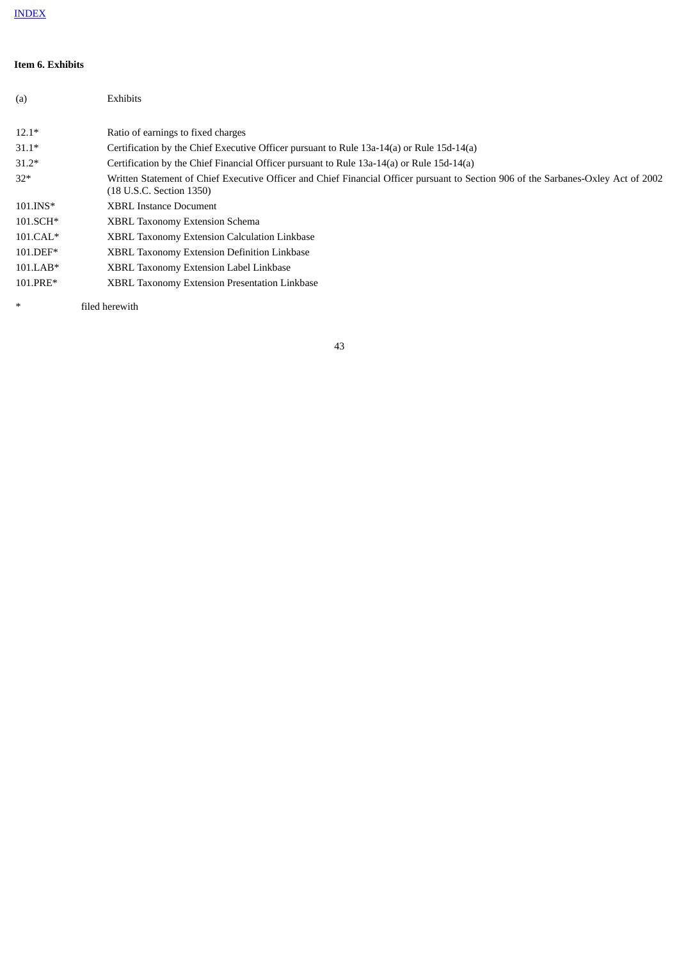## **Item 6. Exhibits**

| (a)        | Exhibits                                                                                                                                                       |
|------------|----------------------------------------------------------------------------------------------------------------------------------------------------------------|
| $12.1*$    | Ratio of earnings to fixed charges                                                                                                                             |
| $31.1*$    | Certification by the Chief Executive Officer pursuant to Rule 13a-14(a) or Rule 15d-14(a)                                                                      |
| $31.2*$    | Certification by the Chief Financial Officer pursuant to Rule 13a-14(a) or Rule 15d-14(a)                                                                      |
| $32*$      | Written Statement of Chief Executive Officer and Chief Financial Officer pursuant to Section 906 of the Sarbanes-Oxley Act of 2002<br>(18 U.S.C. Section 1350) |
| 101.INS*   | <b>XBRL Instance Document</b>                                                                                                                                  |
| 101.SCH*   | <b>XBRL Taxonomy Extension Schema</b>                                                                                                                          |
| $101.CAL*$ | <b>XBRL Taxonomy Extension Calculation Linkbase</b>                                                                                                            |
| 101.DEF*   | <b>XBRL Taxonomy Extension Definition Linkbase</b>                                                                                                             |
| $101.LAB*$ | XBRL Taxonomy Extension Label Linkbase                                                                                                                         |
| 101.PRE*   | <b>XBRL Taxonomy Extension Presentation Linkbase</b>                                                                                                           |

\* filed herewith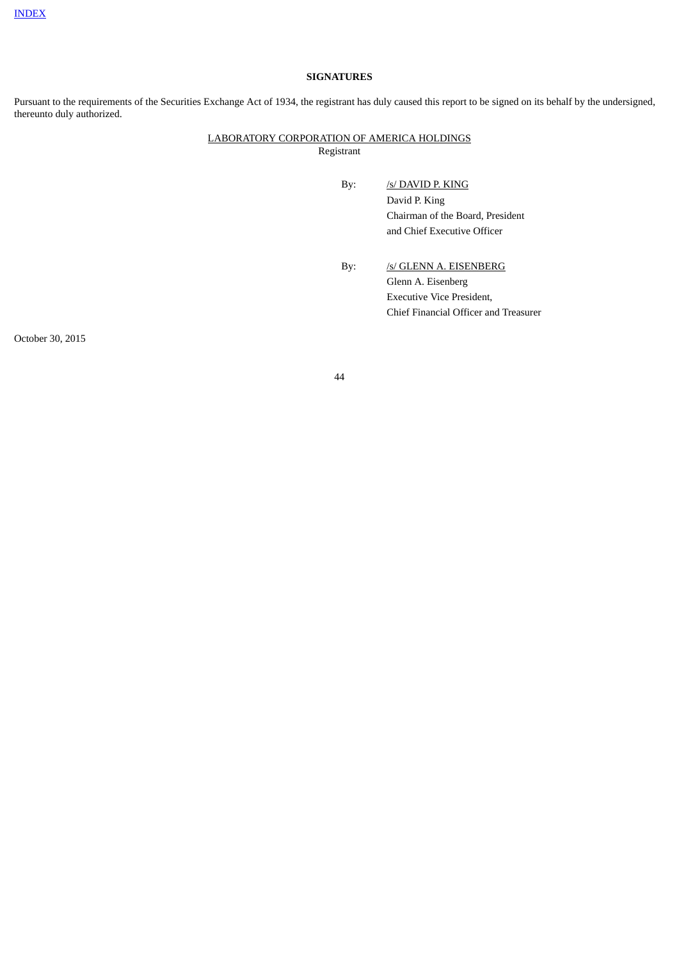## **SIGNATURES**

Pursuant to the requirements of the Securities Exchange Act of 1934, the registrant has duly caused this report to be signed on its behalf by the undersigned, thereunto duly authorized.

## LABORATORY CORPORATION OF AMERICA HOLDINGS Registrant

- By: /s/ DAVID P. KING David P. King Chairman of the Board, President and Chief Executive Officer
- By: /s/ GLENN A. EISENBERG Glenn A. Eisenberg Executive Vice President, Chief Financial Officer and Treasurer

October 30, 2015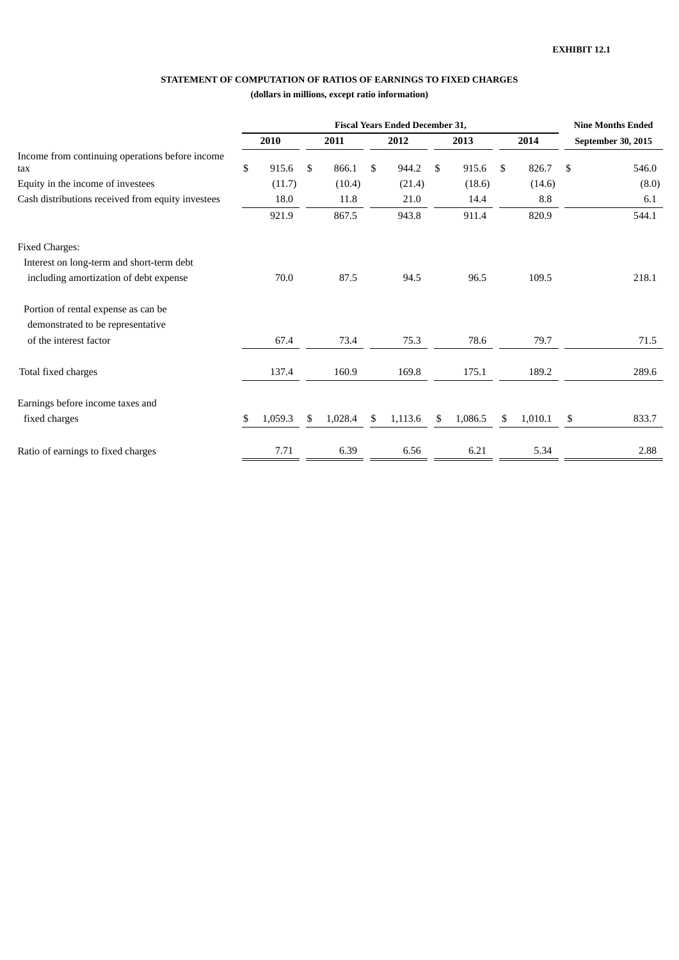## **STATEMENT OF COMPUTATION OF RATIOS OF EARNINGS TO FIXED CHARGES**

## **(dollars in millions, except ratio information)**

|                                                        | <b>Fiscal Years Ended December 31,</b> |         |    |         |    |         |    |         | <b>Nine Months Ended</b> |    |                    |
|--------------------------------------------------------|----------------------------------------|---------|----|---------|----|---------|----|---------|--------------------------|----|--------------------|
|                                                        |                                        | 2010    |    | 2011    |    | 2012    |    | 2013    | 2014                     |    | September 30, 2015 |
| Income from continuing operations before income<br>tax | \$                                     | 915.6   | \$ | 866.1   | \$ | 944.2   | \$ | 915.6   | \$<br>826.7              | \$ | 546.0              |
| Equity in the income of investees                      |                                        | (11.7)  |    | (10.4)  |    | (21.4)  |    | (18.6)  | (14.6)                   |    | (8.0)              |
| Cash distributions received from equity investees      |                                        | 18.0    |    | 11.8    |    | 21.0    |    | 14.4    | 8.8                      |    | 6.1                |
|                                                        |                                        | 921.9   |    | 867.5   |    | 943.8   |    | 911.4   | 820.9                    |    | 544.1              |
| <b>Fixed Charges:</b>                                  |                                        |         |    |         |    |         |    |         |                          |    |                    |
| Interest on long-term and short-term debt              |                                        |         |    |         |    |         |    |         |                          |    |                    |
| including amortization of debt expense                 |                                        | 70.0    |    | 87.5    |    | 94.5    |    | 96.5    | 109.5                    |    | 218.1              |
| Portion of rental expense as can be                    |                                        |         |    |         |    |         |    |         |                          |    |                    |
| demonstrated to be representative                      |                                        |         |    |         |    |         |    |         |                          |    |                    |
| of the interest factor                                 |                                        | 67.4    |    | 73.4    |    | 75.3    |    | 78.6    | 79.7                     |    | 71.5               |
| Total fixed charges                                    |                                        | 137.4   |    | 160.9   |    | 169.8   |    | 175.1   | 189.2                    |    | 289.6              |
| Earnings before income taxes and                       |                                        |         |    |         |    |         |    |         |                          |    |                    |
| fixed charges                                          | \$                                     | 1,059.3 | \$ | 1,028.4 | \$ | 1,113.6 | \$ | 1,086.5 | \$<br>1,010.1            | \$ | 833.7              |
| Ratio of earnings to fixed charges                     |                                        | 7.71    |    | 6.39    |    | 6.56    |    | 6.21    | 5.34                     |    | 2.88               |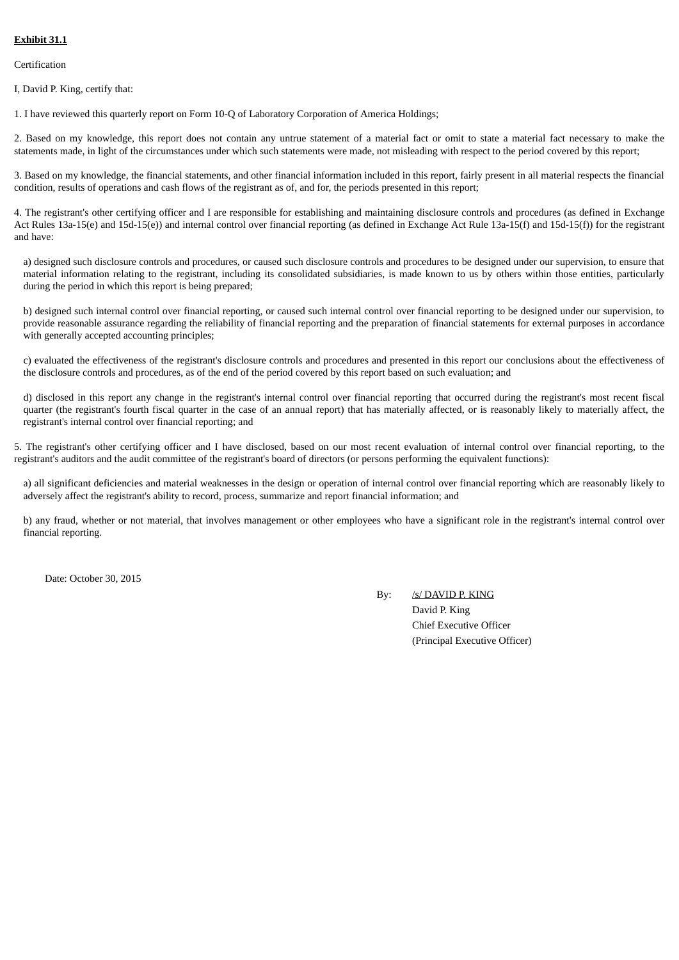## **Exhibit 31.1**

Certification

I, David P. King, certify that:

1. I have reviewed this quarterly report on Form 10-Q of Laboratory Corporation of America Holdings;

2. Based on my knowledge, this report does not contain any untrue statement of a material fact or omit to state a material fact necessary to make the statements made, in light of the circumstances under which such statements were made, not misleading with respect to the period covered by this report;

3. Based on my knowledge, the financial statements, and other financial information included in this report, fairly present in all material respects the financial condition, results of operations and cash flows of the registrant as of, and for, the periods presented in this report;

4. The registrant's other certifying officer and I are responsible for establishing and maintaining disclosure controls and procedures (as defined in Exchange Act Rules 13a-15(e) and 15d-15(e)) and internal control over financial reporting (as defined in Exchange Act Rule 13a-15(f) and 15d-15(f)) for the registrant and have:

a) designed such disclosure controls and procedures, or caused such disclosure controls and procedures to be designed under our supervision, to ensure that material information relating to the registrant, including its consolidated subsidiaries, is made known to us by others within those entities, particularly during the period in which this report is being prepared;

b) designed such internal control over financial reporting, or caused such internal control over financial reporting to be designed under our supervision, to provide reasonable assurance regarding the reliability of financial reporting and the preparation of financial statements for external purposes in accordance with generally accepted accounting principles;

c) evaluated the effectiveness of the registrant's disclosure controls and procedures and presented in this report our conclusions about the effectiveness of the disclosure controls and procedures, as of the end of the period covered by this report based on such evaluation; and

d) disclosed in this report any change in the registrant's internal control over financial reporting that occurred during the registrant's most recent fiscal quarter (the registrant's fourth fiscal quarter in the case of an annual report) that has materially affected, or is reasonably likely to materially affect, the registrant's internal control over financial reporting; and

5. The registrant's other certifying officer and I have disclosed, based on our most recent evaluation of internal control over financial reporting, to the registrant's auditors and the audit committee of the registrant's board of directors (or persons performing the equivalent functions):

a) all significant deficiencies and material weaknesses in the design or operation of internal control over financial reporting which are reasonably likely to adversely affect the registrant's ability to record, process, summarize and report financial information; and

b) any fraud, whether or not material, that involves management or other employees who have a significant role in the registrant's internal control over financial reporting.

Date: October 30, 2015

By: /s/ DAVID P. KING David P. King Chief Executive Officer (Principal Executive Officer)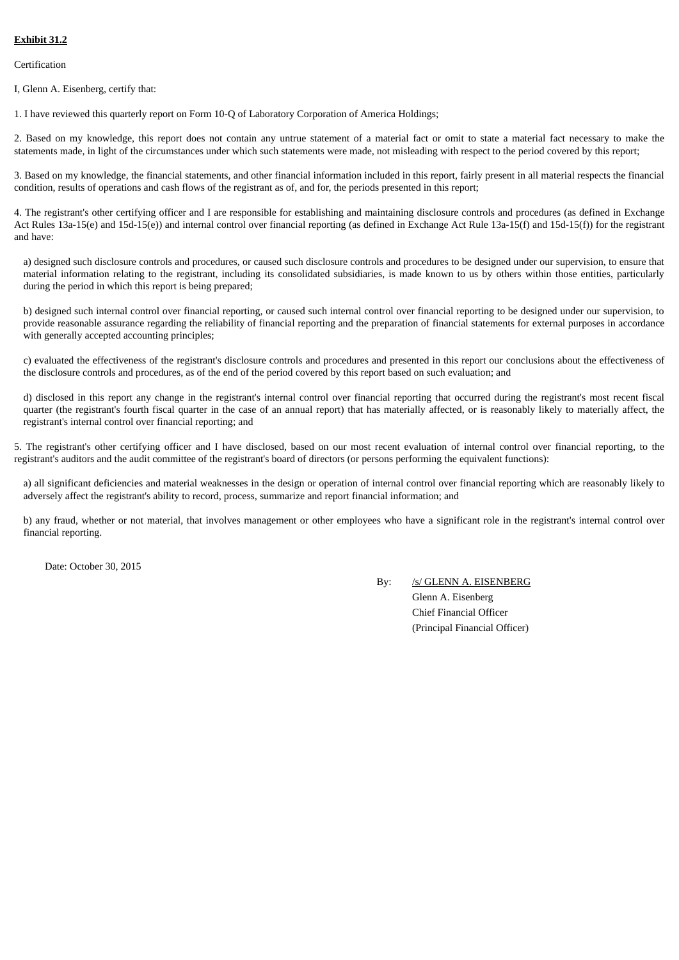## **Exhibit 31.2**

Certification

I, Glenn A. Eisenberg, certify that:

1. I have reviewed this quarterly report on Form 10-Q of Laboratory Corporation of America Holdings;

2. Based on my knowledge, this report does not contain any untrue statement of a material fact or omit to state a material fact necessary to make the statements made, in light of the circumstances under which such statements were made, not misleading with respect to the period covered by this report;

3. Based on my knowledge, the financial statements, and other financial information included in this report, fairly present in all material respects the financial condition, results of operations and cash flows of the registrant as of, and for, the periods presented in this report;

4. The registrant's other certifying officer and I are responsible for establishing and maintaining disclosure controls and procedures (as defined in Exchange Act Rules 13a-15(e) and 15d-15(e)) and internal control over financial reporting (as defined in Exchange Act Rule 13a-15(f) and 15d-15(f)) for the registrant and have:

a) designed such disclosure controls and procedures, or caused such disclosure controls and procedures to be designed under our supervision, to ensure that material information relating to the registrant, including its consolidated subsidiaries, is made known to us by others within those entities, particularly during the period in which this report is being prepared;

b) designed such internal control over financial reporting, or caused such internal control over financial reporting to be designed under our supervision, to provide reasonable assurance regarding the reliability of financial reporting and the preparation of financial statements for external purposes in accordance with generally accepted accounting principles;

c) evaluated the effectiveness of the registrant's disclosure controls and procedures and presented in this report our conclusions about the effectiveness of the disclosure controls and procedures, as of the end of the period covered by this report based on such evaluation; and

d) disclosed in this report any change in the registrant's internal control over financial reporting that occurred during the registrant's most recent fiscal quarter (the registrant's fourth fiscal quarter in the case of an annual report) that has materially affected, or is reasonably likely to materially affect, the registrant's internal control over financial reporting; and

5. The registrant's other certifying officer and I have disclosed, based on our most recent evaluation of internal control over financial reporting, to the registrant's auditors and the audit committee of the registrant's board of directors (or persons performing the equivalent functions):

a) all significant deficiencies and material weaknesses in the design or operation of internal control over financial reporting which are reasonably likely to adversely affect the registrant's ability to record, process, summarize and report financial information; and

b) any fraud, whether or not material, that involves management or other employees who have a significant role in the registrant's internal control over financial reporting.

Date: October 30, 2015

By: /s/ GLENN A. EISENBERG

Glenn A. Eisenberg Chief Financial Officer (Principal Financial Officer)